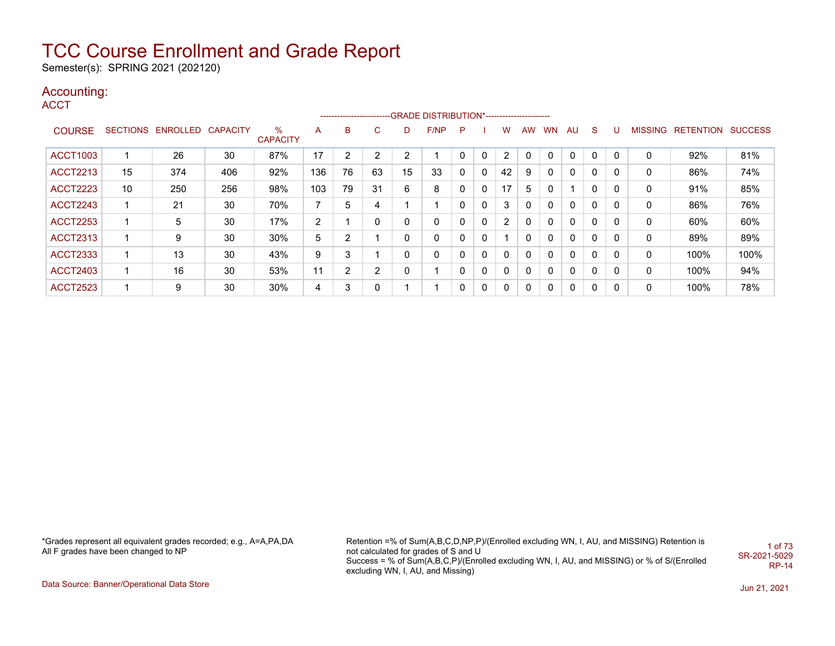Semester(s): SPRING 2021 (202120)

### Accounting:

**ACCT** 

|                 |                 |                   |     |                      |                |                |                |              | ------------------------GRADE DISTRIBUTION*---------------------- |   |   |          |              |           |              |             |   |                |                  |                |
|-----------------|-----------------|-------------------|-----|----------------------|----------------|----------------|----------------|--------------|-------------------------------------------------------------------|---|---|----------|--------------|-----------|--------------|-------------|---|----------------|------------------|----------------|
| <b>COURSE</b>   | <b>SECTIONS</b> | ENROLLED CAPACITY |     | %<br><b>CAPACITY</b> | A              | B              | $\sim$<br>◡    | D            | F/NP                                                              | P |   | w        | <b>AW</b>    | <b>WN</b> | <b>AU</b>    | S.          | U | <b>MISSING</b> | <b>RETENTION</b> | <b>SUCCESS</b> |
| <b>ACCT1003</b> |                 | 26                | 30  | 87%                  | 17             | $\overline{2}$ | $\overline{2}$ | 2            |                                                                   | 0 | 0 | 2        | 0            | 0         | 0            | $\mathbf 0$ | 0 | 0              | 92%              | 81%            |
| <b>ACCT2213</b> | 15              | 374               | 406 | 92%                  | 136            | 76             | 63             | 15           | 33                                                                | 0 | 0 | 42       | 9            | 0         | 0            | 0           | 0 | 0              | 86%              | 74%            |
| <b>ACCT2223</b> | 10              | 250               | 256 | 98%                  | 103            | 79             | 31             | 6            | 8                                                                 |   | 0 | 17       | 5            | 0         |              | $\Omega$    | 0 | 0              | 91%              | 85%            |
| <b>ACCT2243</b> | 1               | 21                | 30  | 70%                  | $\overline{ }$ | 5              | 4              |              | и                                                                 | 0 | 0 | 3        | 0            | 0         | 0            | $\Omega$    | 0 | 0              | 86%              | 76%            |
| <b>ACCT2253</b> | 1               | 5                 | 30  | 17%                  | $\overline{2}$ |                | 0              | 0            | 0                                                                 | 0 | 0 | 2        | 0            | 0         | 0            | $\Omega$    | 0 | 0              | 60%              | 60%            |
| <b>ACCT2313</b> | $\mathbf 1$     | 9                 | 30  | $30\%$               | 5              | 2              |                | 0            | 0                                                                 | 0 | 0 |          | 0            | 0         | 0            | 0           | 0 | 0              | 89%              | 89%            |
| <b>ACCT2333</b> | 1               | 13                | 30  | 43%                  | 9              | 3              |                | $\mathbf{0}$ | 0                                                                 | 0 | 0 | $\Omega$ | 0            | 0         | 0            | $\Omega$    | 0 | 0              | 100%             | 100%           |
| <b>ACCT2403</b> | 1               | 16                | 30  | 53%                  | 11             | 2              | $\overline{2}$ | 0            | 1                                                                 | 0 | 0 | $\Omega$ | 0            | 0         | $\mathbf{0}$ | $\Omega$    | 0 | 0              | 100%             | 94%            |
| <b>ACCT2523</b> |                 | 9                 | 30  | 30%                  | 4              | 3              | 0              |              |                                                                   |   | 0 | $\Omega$ | $\mathbf{0}$ | 0         | 0            | 0           | 0 | 0              | 100%             | 78%            |

\*Grades represent all equivalent grades recorded; e.g., A=A,PA,DA All F grades have been changed to NP

Retention =% of Sum(A,B,C,D,NP,P)/(Enrolled excluding WN, I, AU, and MISSING) Retention is not calculated for grades of S and U Success = % of Sum(A,B,C,P)/(Enrolled excluding WN, I, AU, and MISSING) or % of S/(Enrolled excluding WN, I, AU, and Missing) 1 of 73 SR-2021-5029 RP-14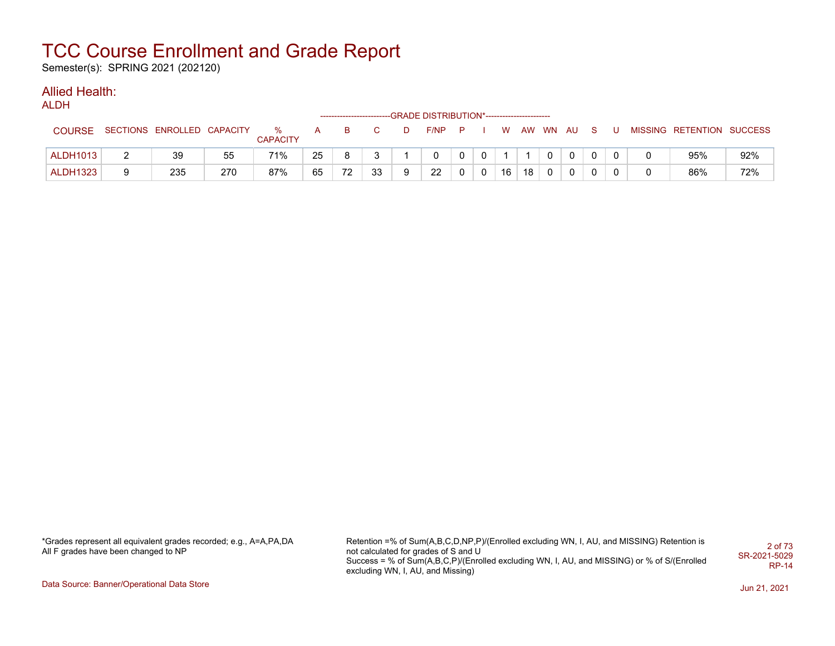Semester(s): SPRING 2021 (202120)

### Allied Health:

ALDH

|                 |                            |     |                      |    |    |    |    | --------------------------GRADE DISTRIBUTION*----------------------- |          |              |          |    |              |              |  |                           |     |
|-----------------|----------------------------|-----|----------------------|----|----|----|----|----------------------------------------------------------------------|----------|--------------|----------|----|--------------|--------------|--|---------------------------|-----|
| <b>COURSE</b>   | SECTIONS ENROLLED CAPACITY |     | %<br><b>CAPACITY</b> | A  | B. |    | D. | F/NP                                                                 | <b>P</b> |              | <b>W</b> |    | AW WN AU     | S.           |  | MISSING RETENTION SUCCESS |     |
| <b>ALDH1013</b> | 39                         | 55  | 71%                  | 25 |    |    |    |                                                                      | $\Omega$ | $\mathbf{0}$ |          |    | $\mathbf 0$  | $\mathbf{0}$ |  | 95%                       | 92% |
| <b>ALDH1323</b> | 235                        | 270 | 87%                  | 65 | 72 | 33 | 9  | 22                                                                   | 0        | $\mathbf{0}$ | 16       | 18 | $\mathbf{0}$ | 0            |  | 86%                       | 72% |

\*Grades represent all equivalent grades recorded; e.g., A=A,PA,DA All F grades have been changed to NP

Retention =% of Sum(A,B,C,D,NP,P)/(Enrolled excluding WN, I, AU, and MISSING) Retention is not calculated for grades of S and U Success = % of Sum(A,B,C,P)/(Enrolled excluding WN, I, AU, and MISSING) or % of S/(Enrolled excluding WN, I, AU, and Missing) 2 of 73 SR-2021-5029 RP-14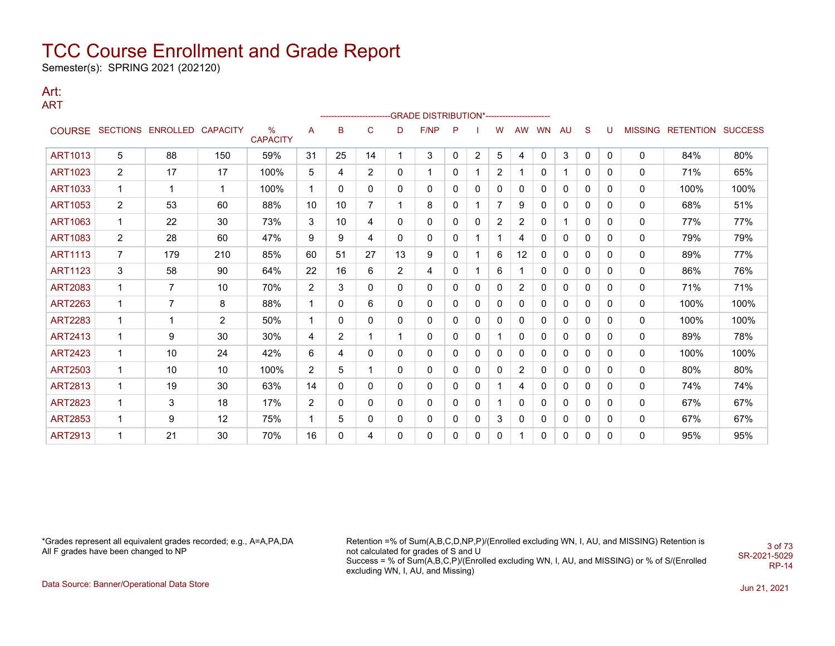Semester(s): SPRING 2021 (202120)

#### Art: ART

|                |                |                          |                 |                         |             |                |              |                | ------------------------GRADE                DISTRIBUTION*---------------------- |              |                |                |              |           |    |              |              |   |                           |      |
|----------------|----------------|--------------------------|-----------------|-------------------------|-------------|----------------|--------------|----------------|----------------------------------------------------------------------------------|--------------|----------------|----------------|--------------|-----------|----|--------------|--------------|---|---------------------------|------|
|                |                | COURSE SECTIONS ENROLLED | <b>CAPACITY</b> | $\%$<br><b>CAPACITY</b> | A           | B              | $\mathsf{C}$ | D              | F/NP                                                                             | P            |                | w              | <b>AW</b>    | <b>WN</b> | AU | <sub>S</sub> | U            |   | MISSING RETENTION SUCCESS |      |
| <b>ART1013</b> | 5              | 88                       | 150             | 59%                     | 31          | 25             | 14           | 1              | 3                                                                                | 0            | $\overline{2}$ | 5              | 4            | 0         | 3  | 0            | 0            | 0 | 84%                       | 80%  |
| ART1023        | $\overline{2}$ | 17                       | 17              | 100%                    | 5           | 4              | 2            | $\mathbf{0}$   |                                                                                  | $\mathbf{0}$ |                | $\overline{2}$ | -1           | 0         |    | 0            | 0            | 0 | 71%                       | 65%  |
| <b>ART1033</b> | 1              | 1                        | $\mathbf{1}$    | 100%                    | 1           | $\Omega$       | 0            | $\mathbf{0}$   | 0                                                                                | 0            | 0              | 0              | 0            | 0         | 0  | 0            | 0            | 0 | 100%                      | 100% |
| <b>ART1053</b> | $\overline{2}$ | 53                       | 60              | 88%                     | 10          | 10             | 7            | 1              | 8                                                                                | 0            |                | 7              | 9            | 0         | 0  | 0            | 0            | 0 | 68%                       | 51%  |
| <b>ART1063</b> | $\mathbf 1$    | 22                       | 30              | 73%                     | 3           | 10             | 4            | 0              | 0                                                                                | 0            | 0              | $\overline{2}$ | 2            | 0         |    | 0            | 0            | 0 | 77%                       | 77%  |
| <b>ART1083</b> | $\overline{2}$ | 28                       | 60              | 47%                     | 9           | 9              | 4            | 0              | 0                                                                                | 0            |                | 1              | 4            | 0         | 0  | 0            | 0            | 0 | 79%                       | 79%  |
| <b>ART1113</b> | $\overline{7}$ | 179                      | 210             | 85%                     | 60          | 51             | 27           | 13             | 9                                                                                | 0            |                | 6              | 12           | 0         | 0  | 0            | 0            | 0 | 89%                       | 77%  |
| <b>ART1123</b> | 3              | 58                       | 90              | 64%                     | 22          | 16             | 6            | $\overline{2}$ | 4                                                                                | 0            |                | 6              |              | 0         | 0  | 0            | $\mathbf{0}$ | 0 | 86%                       | 76%  |
| <b>ART2083</b> | 1              | $\overline{7}$           | 10              | 70%                     | 2           | 3              | 0            | $\mathbf{0}$   | 0                                                                                | 0            | 0              | 0              | 2            | 0         | 0  | 0            | 0            | 0 | 71%                       | 71%  |
| ART2263        | 1              | 7                        | 8               | 88%                     | 1           | 0              | 6            | 0              | 0                                                                                | 0            | 0              | 0              | 0            | 0         | 0  | 0            | $\mathbf{0}$ | 0 | 100%                      | 100% |
| <b>ART2283</b> | $\mathbf{1}$   | 1                        | $\overline{2}$  | 50%                     | 1           | 0              | 0            | 0              | 0                                                                                | 0            | 0              | 0              | $\mathbf{0}$ | 0         | 0  | 0            | $\mathbf{0}$ | 0 | 100%                      | 100% |
| <b>ART2413</b> | 1              | 9                        | 30              | 30%                     | 4           | $\overline{2}$ |              | 1              | 0                                                                                | 0            | 0              |                | 0            | 0         | 0  | 0            | 0            | 0 | 89%                       | 78%  |
| <b>ART2423</b> | 1              | 10                       | 24              | 42%                     | 6           | 4              | 0            | $\mathbf{0}$   | 0                                                                                | 0            | 0              | 0              | 0            | 0         | 0  | 0            | 0            | 0 | 100%                      | 100% |
| ART2503        | 1              | 10                       | 10              | 100%                    | 2           | 5              |              | $\mathbf{0}$   | 0                                                                                | 0            | 0              | 0              | 2            | 0         | 0  | 0            | 0            | 0 | 80%                       | 80%  |
| <b>ART2813</b> | 1              | 19                       | 30              | 63%                     | 14          | $\Omega$       | 0            | $\mathbf{0}$   | 0                                                                                | 0            | 0              |                | 4            | 0         | 0  | 0            | $\mathbf{0}$ | 0 | 74%                       | 74%  |
| <b>ART2823</b> | 1              | 3                        | 18              | 17%                     | 2           | $\mathbf{0}$   | 0            | $\mathbf{0}$   | 0                                                                                | 0            | 0              |                | $\mathbf{0}$ | 0         | 0  | 0            | 0            | 0 | 67%                       | 67%  |
| <b>ART2853</b> | 1              | 9                        | 12              | 75%                     | $\mathbf 1$ | 5              | $\mathbf{0}$ | 0              | 0                                                                                | 0            | 0              | 3              | 0            | 0         | 0  | 0            | 0            | 0 | 67%                       | 67%  |
| <b>ART2913</b> |                | 21                       | 30              | 70%                     | 16          | 0              | 4            | 0              | 0                                                                                | 0            | 0              | 0              |              | 0         | 0  | 0            | 0            | 0 | 95%                       | 95%  |

\*Grades represent all equivalent grades recorded; e.g., A=A,PA,DA All F grades have been changed to NP

Retention =% of Sum(A,B,C,D,NP,P)/(Enrolled excluding WN, I, AU, and MISSING) Retention is not calculated for grades of S and U Success = % of Sum(A,B,C,P)/(Enrolled excluding WN, I, AU, and MISSING) or % of S/(Enrolled excluding WN, I, AU, and Missing) SR-2021-5029

3 of 73

RP-14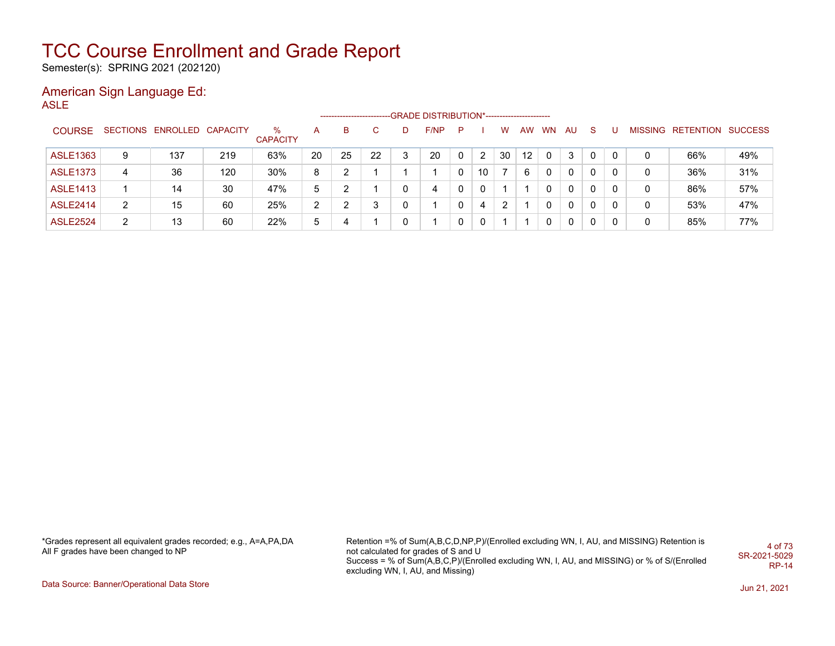Semester(s): SPRING 2021 (202120)

### American Sign Language Ed:

ASLE

|                 |                |                            |     |                      |                | --------------------- |    |   | -GRADE DISTRIBUTION*---------------------- |    |                |    |                   |       |     |              |   |   |                           |     |
|-----------------|----------------|----------------------------|-----|----------------------|----------------|-----------------------|----|---|--------------------------------------------|----|----------------|----|-------------------|-------|-----|--------------|---|---|---------------------------|-----|
| <b>COURSE</b>   |                | SECTIONS ENROLLED CAPACITY |     | %<br><b>CAPACITY</b> | A              | в                     |    |   | F/NP                                       | P. |                | w  |                   | AW WN | -AU | <sub>S</sub> |   |   | MISSING RETENTION SUCCESS |     |
| <b>ASLE1363</b> | 9              | 137                        | 219 | 63%                  | 20             | 25                    | 22 | 3 | 20                                         |    | $\overline{2}$ | 30 | $12 \overline{ }$ |       | 3   | $\Omega$     | 0 | 0 | 66%                       | 49% |
| <b>ASLE1373</b> | 4              | 36                         | 120 | 30%                  | 8              | ົ                     |    |   |                                            |    | 10             |    | 6                 |       |     | 0            | 0 | 0 | 36%                       | 31% |
| <b>ASLE1413</b> |                | 14                         | 30  | 47%                  | 5              | າ                     |    |   | 4                                          |    | $\Omega$       |    |                   |       | 0   | $\Omega$     | 0 | 0 | 86%                       | 57% |
| <b>ASLE2414</b> | $\overline{2}$ | 15                         | 60  | 25%                  | $\overline{2}$ | າ                     | 3  |   |                                            |    | 4              | 2  |                   |       | 0   | $\Omega$     | 0 | 0 | 53%                       | 47% |
| <b>ASLE2524</b> | 2              | 13                         | 60  | 22%                  | 5              | 4                     |    |   |                                            |    | $\Omega$       |    |                   |       | 0   | $\Omega$     |   | 0 | 85%                       | 77% |

\*Grades represent all equivalent grades recorded; e.g., A=A,PA,DA All F grades have been changed to NP

Retention =% of Sum(A,B,C,D,NP,P)/(Enrolled excluding WN, I, AU, and MISSING) Retention is not calculated for grades of S and U Success = % of Sum(A,B,C,P)/(Enrolled excluding WN, I, AU, and MISSING) or % of S/(Enrolled excluding WN, I, AU, and Missing) 4 of 73 SR-2021-5029 RP-14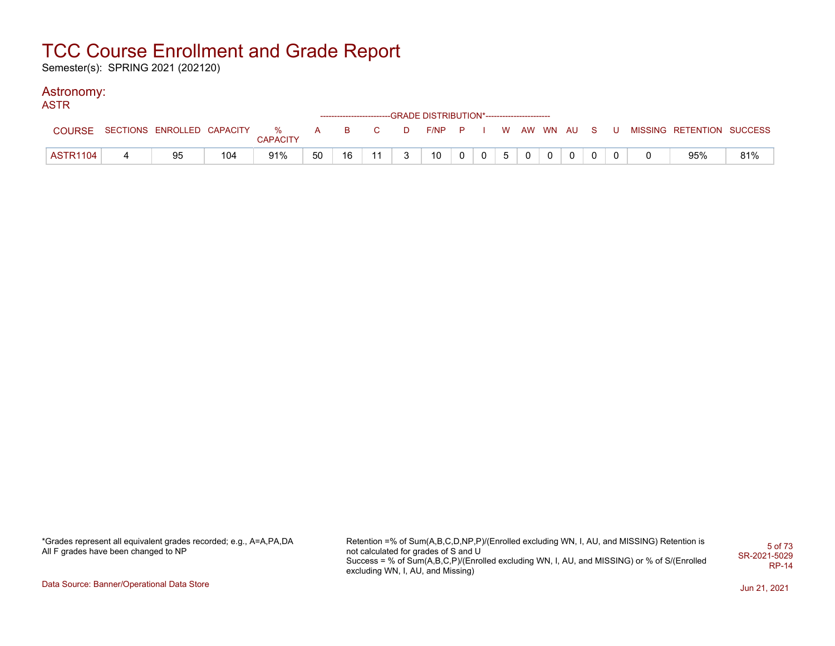Semester(s): SPRING 2021 (202120)

#### Astronomy: **ACTR**

| AJIR            |                              |     |                 |    |       |    |   | ------------------------GRADE DISTRIBUTION*----------------------- |                |  |  |                |  |                                                     |     |
|-----------------|------------------------------|-----|-----------------|----|-------|----|---|--------------------------------------------------------------------|----------------|--|--|----------------|--|-----------------------------------------------------|-----|
| <b>COURSE</b>   | SECTIONS ENROLLED CAPACITY % |     | <b>CAPACITY</b> |    | A B C |    |   |                                                                    |                |  |  |                |  | D F/NP P I W AW WN AU S U MISSING RETENTION SUCCESS |     |
| <b>ASTR1104</b> | 95                           | 104 | 91%             | 50 | 16    | 11 | 3 | 10                                                                 | 0 <sup>1</sup> |  |  | $\overline{0}$ |  | 95%                                                 | 81% |

\*Grades represent all equivalent grades recorded; e.g., A=A,PA,DA All F grades have been changed to NP

Retention =% of Sum(A,B,C,D,NP,P)/(Enrolled excluding WN, I, AU, and MISSING) Retention is not calculated for grades of S and U Success = % of Sum(A,B,C,P)/(Enrolled excluding WN, I, AU, and MISSING) or % of S/(Enrolled excluding WN, I, AU, and Missing) 5 of 73 SR-2021-5029 RP-14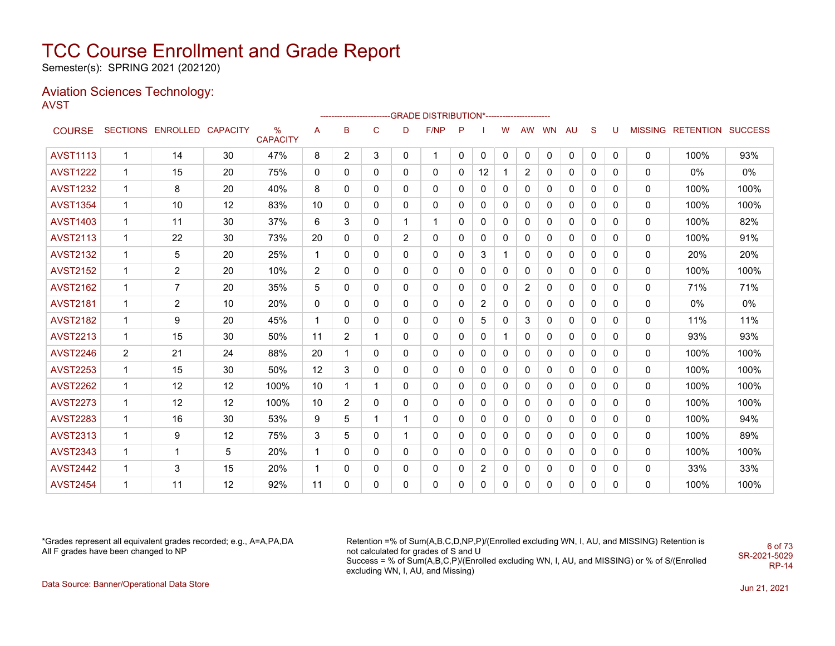Semester(s): SPRING 2021 (202120)

#### Aviation Sciences Technology: AVST

|                 |                |                            |    |                         |                |                |             |   | ------------------------GRADE                DISTRIBUTION*---------------------- |              |                |              |                |           |             |              |   |   |                           |      |
|-----------------|----------------|----------------------------|----|-------------------------|----------------|----------------|-------------|---|----------------------------------------------------------------------------------|--------------|----------------|--------------|----------------|-----------|-------------|--------------|---|---|---------------------------|------|
| <b>COURSE</b>   |                | SECTIONS ENROLLED CAPACITY |    | $\%$<br><b>CAPACITY</b> | A              | B              | C           | D | F/NP                                                                             | P            |                | W            | AW             | <b>WN</b> | AU          | S            | U |   | MISSING RETENTION SUCCESS |      |
| <b>AVST1113</b> | $\mathbf{1}$   | 14                         | 30 | 47%                     | 8              | $\overline{2}$ | 3           | 0 | $\mathbf 1$                                                                      | $\mathbf{0}$ | 0              | $\mathbf 0$  | 0              | $\Omega$  | $\mathbf 0$ | 0            | 0 | 0 | 100%                      | 93%  |
| <b>AVST1222</b> | 1              | 15                         | 20 | 75%                     | 0              | $\mathbf{0}$   | 0           | 0 | 0                                                                                | 0            | 12             | 1            | $\overline{c}$ | 0         | 0           | 0            | 0 | 0 | $0\%$                     | 0%   |
| <b>AVST1232</b> | 1              | 8                          | 20 | 40%                     | 8              | 0              | 0           | 0 | 0                                                                                | 0            | 0              | 0            | 0              | 0         | 0           | 0            | 0 | 0 | 100%                      | 100% |
| <b>AVST1354</b> | $\mathbf 1$    | 10                         | 12 | 83%                     | 10             | 0              | 0           | 0 | 0                                                                                | $\Omega$     | 0              | $\mathbf{0}$ | 0              | 0         | 0           | 0            | 0 | 0 | 100%                      | 100% |
| <b>AVST1403</b> | 1              | 11                         | 30 | 37%                     | 6              | 3              | 0           | 1 | 1                                                                                | 0            | 0              | 0            | $\mathbf{0}$   | 0         | 0           | 0            | 0 | 0 | 100%                      | 82%  |
| <b>AVST2113</b> | $\mathbf 1$    | 22                         | 30 | 73%                     | 20             | 0              | 0           | 2 | 0                                                                                | 0            | 0              | 0            | 0              | 0         | 0           | 0            | 0 | 0 | 100%                      | 91%  |
| <b>AVST2132</b> | $\mathbf{1}$   | 5                          | 20 | 25%                     | $\mathbf{1}$   | 0              | 0           | 0 | 0                                                                                | 0            | 3              | 1            | $\Omega$       | 0         | 0           | $\mathbf{0}$ | 0 | 0 | 20%                       | 20%  |
| <b>AVST2152</b> | 1              | 2                          | 20 | 10%                     | $\overline{2}$ | 0              | 0           | 0 | 0                                                                                | 0            | 0              | 0            | 0              | 0         | 0           | 0            | 0 | 0 | 100%                      | 100% |
| <b>AVST2162</b> | 1              | 7                          | 20 | 35%                     | 5              | 0              | 0           | 0 | 0                                                                                | 0            | 0              | 0            | 2              | 0         | 0           | $\mathbf{0}$ | 0 | 0 | 71%                       | 71%  |
| <b>AVST2181</b> | $\mathbf{1}$   | $\overline{c}$             | 10 | 20%                     | $\mathbf{0}$   | 0              | 0           | 0 | 0                                                                                | 0            | $\overline{2}$ | 0            | 0              | 0         | 0           | 0            | 0 | 0 | $0\%$                     | 0%   |
| <b>AVST2182</b> | 1              | 9                          | 20 | 45%                     | 1              | 0              | 0           | 0 | 0                                                                                | 0            | 5              | 0            | 3              | 0         | 0           | 0            | 0 | 0 | 11%                       | 11%  |
| <b>AVST2213</b> | $\mathbf 1$    | 15                         | 30 | 50%                     | 11             | 2              | 1           | 0 | 0                                                                                | 0            | 0              | 1            | 0              | 0         | 0           | 0            | 0 | 0 | 93%                       | 93%  |
| <b>AVST2246</b> | $\overline{2}$ | 21                         | 24 | 88%                     | 20             |                | 0           | 0 | 0                                                                                | 0            | 0              | 0            | $\mathbf{0}$   | 0         | 0           | 0            | 0 | 0 | 100%                      | 100% |
| <b>AVST2253</b> | $\mathbf{1}$   | 15                         | 30 | 50%                     | 12             | 3              | 0           | 0 | 0                                                                                | 0            | 0              | 0            | 0              | 0         | 0           | 0            | 0 | 0 | 100%                      | 100% |
| <b>AVST2262</b> | $\mathbf{1}$   | 12                         | 12 | 100%                    | 10             |                | $\mathbf 1$ | 0 | 0                                                                                | 0            | 0              | $\mathbf 0$  | $\mathbf{0}$   | 0         | 0           | 0            | 0 | 0 | 100%                      | 100% |
| <b>AVST2273</b> | $\mathbf 1$    | $12 \,$                    | 12 | 100%                    | 10             | 2              | 0           | 0 | 0                                                                                | 0            | 0              | 0            | 0              | 0         | 0           | 0            | 0 | 0 | 100%                      | 100% |
| <b>AVST2283</b> | $\mathbf{1}$   | 16                         | 30 | 53%                     | 9              | 5              | 1           |   | 0                                                                                | $\Omega$     | 0              | $\mathbf{0}$ | $\mathbf{0}$   | 0         | 0           | $\mathbf{0}$ | 0 | 0 | 100%                      | 94%  |
| <b>AVST2313</b> | $\mathbf 1$    | 9                          | 12 | 75%                     | 3              | 5              | 0           | 1 | 0                                                                                | 0            | 0              | 0            | 0              | 0         | 0           | 0            | 0 | 0 | 100%                      | 89%  |
| <b>AVST2343</b> | $\mathbf{1}$   | $\mathbf 1$                | 5  | 20%                     | 1              | 0              | 0           | 0 | 0                                                                                | 0            | 0              | $\mathbf{0}$ | $\mathbf{0}$   | 0         | 0           | 0            | 0 | 0 | 100%                      | 100% |
| <b>AVST2442</b> | $\mathbf{1}$   | 3                          | 15 | 20%                     | 1              | 0              | 0           | 0 | 0                                                                                | 0            | 2              | 0            | 0              | 0         | 0           | 0            | 0 | 0 | 33%                       | 33%  |
| <b>AVST2454</b> | 1              | 11                         | 12 | 92%                     | 11             | $\Omega$       | 0           | 0 | 0                                                                                | $\Omega$     | 0              | 0            | 0              | 0         | 0           | 0            | 0 | 0 | 100%                      | 100% |

\*Grades represent all equivalent grades recorded; e.g., A=A,PA,DA All F grades have been changed to NP

Retention =% of Sum(A,B,C,D,NP,P)/(Enrolled excluding WN, I, AU, and MISSING) Retention is not calculated for grades of S and U Success = % of Sum(A,B,C,P)/(Enrolled excluding WN, I, AU, and MISSING) or % of S/(Enrolled excluding WN, I, AU, and Missing) SR-2021-5029

6 of 73

RP-14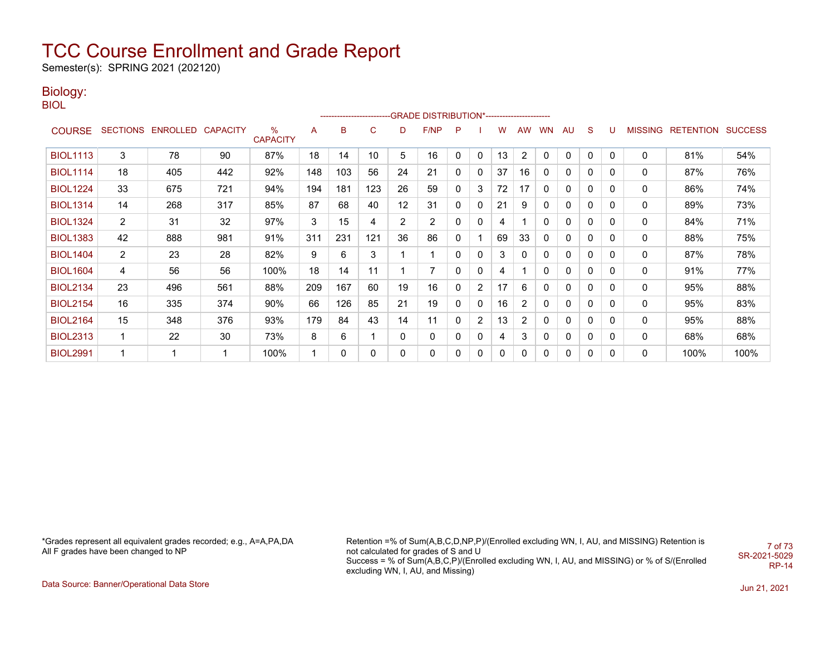Semester(s): SPRING 2021 (202120)

### Biology:

BIOL

|                 |                |                            |     |                         |     |     |     |    | ------------------------GRADE                DISTRIBUTION*---------------------- |             |                |    |                |              |    |              |              |                |                  |                |
|-----------------|----------------|----------------------------|-----|-------------------------|-----|-----|-----|----|----------------------------------------------------------------------------------|-------------|----------------|----|----------------|--------------|----|--------------|--------------|----------------|------------------|----------------|
| <b>COURSE</b>   |                | SECTIONS ENROLLED CAPACITY |     | $\%$<br><b>CAPACITY</b> | A   | в   | C   | D  | F/NP                                                                             | P           |                | w  | <b>AW</b>      | <b>WN</b>    | AU | S            | U            | <b>MISSING</b> | <b>RETENTION</b> | <b>SUCCESS</b> |
| <b>BIOL1113</b> | 3              | 78                         | 90  | 87%                     | 18  | 14  | 10  | 5  | 16                                                                               | 0           | 0              | 13 | 2              | 0            | 0  | 0            | 0            | $\mathbf{0}$   | 81%              | 54%            |
| <b>BIOL1114</b> | 18             | 405                        | 442 | 92%                     | 148 | 103 | 56  | 24 | 21                                                                               | 0           | 0              | 37 | 16             | 0            | 0  | $\Omega$     | 0            | 0              | 87%              | 76%            |
| <b>BIOL1224</b> | 33             | 675                        | 721 | 94%                     | 194 | 181 | 123 | 26 | 59                                                                               | 0           | 3              | 72 | 17             | 0            | 0  | $\Omega$     | 0            | 0              | 86%              | 74%            |
| <b>BIOL1314</b> | 14             | 268                        | 317 | 85%                     | 87  | 68  | 40  | 12 | 31                                                                               | 0           | 0              | 21 | 9              | 0            | 0  | $\Omega$     | $\mathbf{0}$ | 0              | 89%              | 73%            |
| <b>BIOL1324</b> | $\overline{2}$ | 31                         | 32  | 97%                     | 3   | 15  | 4   | 2  | 2                                                                                | 0           | 0              | 4  |                | 0            | 0  | 0            | 0            | 0              | 84%              | 71%            |
| <b>BIOL1383</b> | 42             | 888                        | 981 | 91%                     | 311 | 231 | 121 | 36 | 86                                                                               | 0           |                | 69 | 33             | 0            | 0  | 0            | 0            | 0              | 88%              | 75%            |
| <b>BIOL1404</b> | $\overline{2}$ | 23                         | 28  | 82%                     | 9   | 6   | 3   |    |                                                                                  | $\mathbf 0$ | 0              | 3  | 0              | 0            | 0  | 0            | 0            | 0              | 87%              | 78%            |
| <b>BIOL1604</b> | 4              | 56                         | 56  | 100%                    | 18  | 14  | 11  |    | 7                                                                                | $\mathbf 0$ | 0              | 4  |                | $\mathbf{0}$ | 0  | 0            | 0            | 0              | 91%              | 77%            |
| <b>BIOL2134</b> | 23             | 496                        | 561 | 88%                     | 209 | 167 | 60  | 19 | 16                                                                               | 0           | $\overline{2}$ | 17 | 6              | 0            | 0  | $\mathbf{0}$ | 0            | 0              | 95%              | 88%            |
| <b>BIOL2154</b> | 16             | 335                        | 374 | 90%                     | 66  | 126 | 85  | 21 | 19                                                                               | 0           | 0              | 16 | $\overline{2}$ | 0            | 0  | 0            | 0            | 0              | 95%              | 83%            |
| <b>BIOL2164</b> | 15             | 348                        | 376 | 93%                     | 179 | 84  | 43  | 14 | 11                                                                               | 0           | $\overline{2}$ | 13 | 2              | 0            | 0  | $\mathbf{0}$ | 0            | 0              | 95%              | 88%            |
| <b>BIOL2313</b> | 1              | 22                         | 30  | 73%                     | 8   | 6   |     | 0  | 0                                                                                | 0           | 0              | 4  | 3              | 0            | 0  | 0            | 0            | 0              | 68%              | 68%            |
| <b>BIOL2991</b> |                |                            |     | 100%                    |     |     | 0   | 0  | 0                                                                                | 0           | 0              | 0  | 0              | 0            | 0  | $\Omega$     | $\mathbf{0}$ | 0              | 100%             | 100%           |

\*Grades represent all equivalent grades recorded; e.g., A=A,PA,DA All F grades have been changed to NP

Retention =% of Sum(A,B,C,D,NP,P)/(Enrolled excluding WN, I, AU, and MISSING) Retention is not calculated for grades of S and U Success = % of Sum(A,B,C,P)/(Enrolled excluding WN, I, AU, and MISSING) or % of S/(Enrolled excluding WN, I, AU, and Missing) 7 of 73 SR-2021-5029 RP-14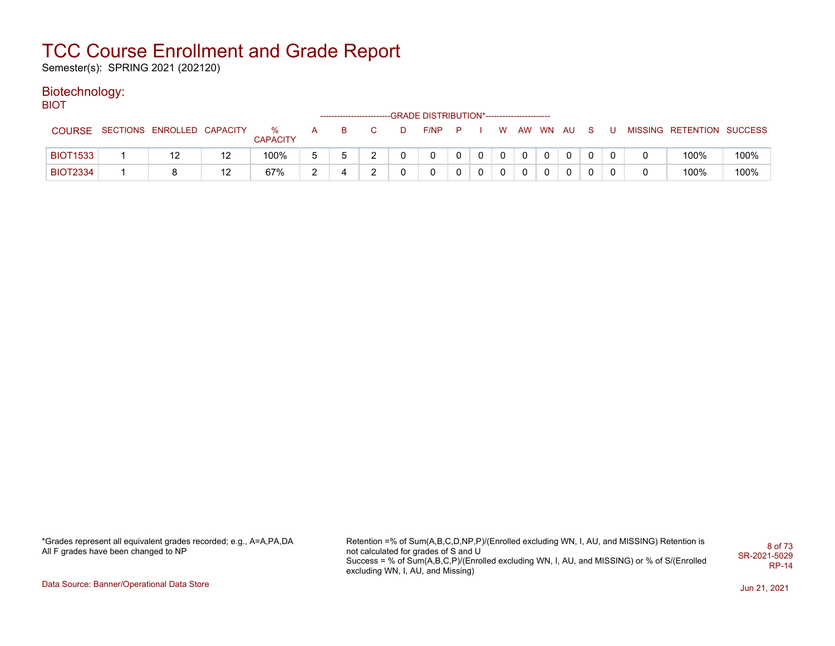Semester(s): SPRING 2021 (202120)

### Biotechnology:

BIOT

|                 |                            |    |                         | --------------------------- |    | --GRADE DISTRIBUTION*----------------------- |  |    |   |          |              |  |                           |      |
|-----------------|----------------------------|----|-------------------------|-----------------------------|----|----------------------------------------------|--|----|---|----------|--------------|--|---------------------------|------|
| <b>COURSE</b>   | SECTIONS ENROLLED CAPACITY |    | $\%$<br><b>CAPACITY</b> |                             | D. | F/NP                                         |  | W. |   | AW WN AU | S.           |  | MISSING RETENTION SUCCESS |      |
| <b>BIOT1533</b> | 12                         | 12 | 100%                    |                             |    |                                              |  | 0  | 0 |          | $\mathbf{0}$ |  | 100%                      | 100% |
| <b>BIOT2334</b> |                            | 12 | 67%                     |                             |    |                                              |  | 0  |   |          | 0            |  | 100%                      | 100% |

\*Grades represent all equivalent grades recorded; e.g., A=A,PA,DA All F grades have been changed to NP

Retention =% of Sum(A,B,C,D,NP,P)/(Enrolled excluding WN, I, AU, and MISSING) Retention is not calculated for grades of S and U Success = % of Sum(A,B,C,P)/(Enrolled excluding WN, I, AU, and MISSING) or % of S/(Enrolled excluding WN, I, AU, and Missing) 8 of 73 SR-2021-5029 RP-14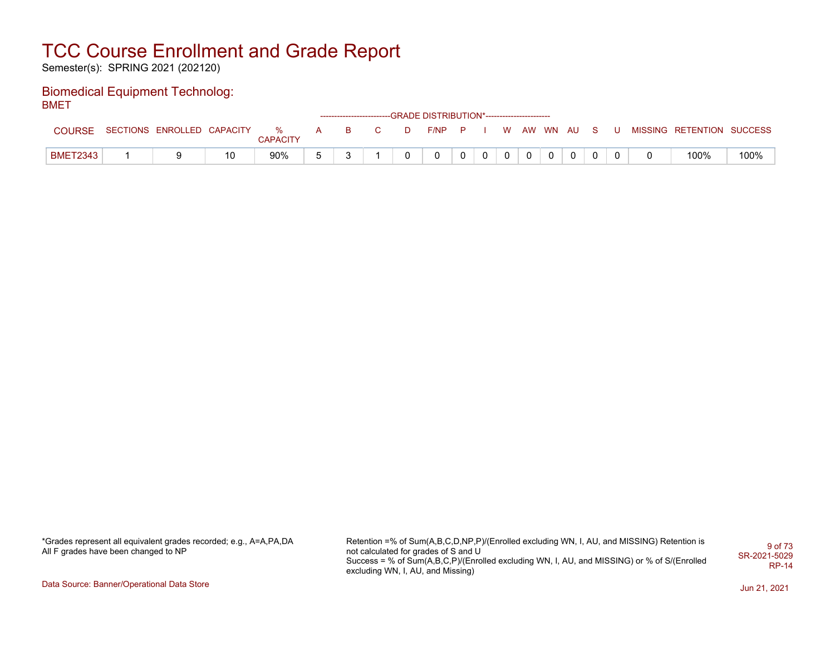Semester(s): SPRING 2021 (202120)

#### Biomedical Equipment Technolog: BMET

|                 |                              |          |                                                                                                                                                                                                                                |          |                |   | ------------------------GRADE DISTRIBUTION*----------------------- |              |             |          |  |              |   |                           |      |
|-----------------|------------------------------|----------|--------------------------------------------------------------------------------------------------------------------------------------------------------------------------------------------------------------------------------|----------|----------------|---|--------------------------------------------------------------------|--------------|-------------|----------|--|--------------|---|---------------------------|------|
| <b>COURSE</b>   | SECTIONS ENROLLED CAPACITY % | CAPACITY | A and a set of the set of the set of the set of the set of the set of the set of the set of the set of the set of the set of the set of the set of the set of the set of the set of the set of the set of the set of the set o | B.       | $\overline{C}$ | D | F/NP P I W AW WN AU S                                              |              |             |          |  |              | U | MISSING RETENTION SUCCESS |      |
| <b>BMET2343</b> |                              | 90%      |                                                                                                                                                                                                                                | <u>_</u> |                | 0 |                                                                    | $\mathbf{0}$ | $\mathbf 0$ | $\Omega$ |  | $\mathbf{0}$ |   | 100%                      | 100% |

\*Grades represent all equivalent grades recorded; e.g., A=A,PA,DA All F grades have been changed to NP

Retention =% of Sum(A,B,C,D,NP,P)/(Enrolled excluding WN, I, AU, and MISSING) Retention is not calculated for grades of S and U Success = % of Sum(A,B,C,P)/(Enrolled excluding WN, I, AU, and MISSING) or % of S/(Enrolled excluding WN, I, AU, and Missing) 9 of 73 SR-2021-5029 RP-14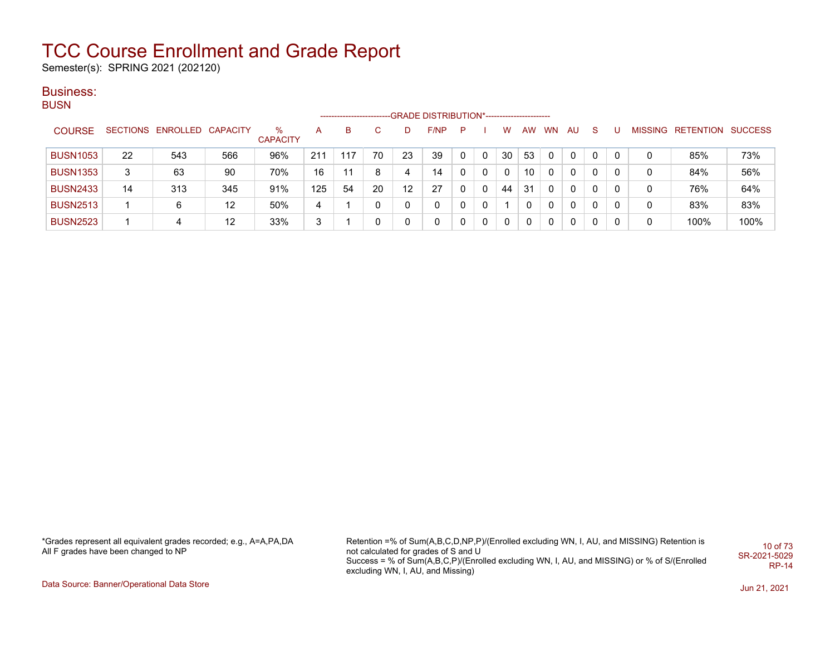Semester(s): SPRING 2021 (202120)

#### Business: **BUSN**

|                 |    |                            |     |                      |     | ------------------------ |    |    | -GRADE DISTRIBUTION*----------------------- |   |   |    |    |           |              |    |   |   |                   |                |
|-----------------|----|----------------------------|-----|----------------------|-----|--------------------------|----|----|---------------------------------------------|---|---|----|----|-----------|--------------|----|---|---|-------------------|----------------|
| <b>COURSE</b>   |    | SECTIONS ENROLLED CAPACITY |     | %<br><b>CAPACITY</b> | А   | B                        | C. | D  | F/NP                                        | P |   | w  | AW | <b>WN</b> | AU           | -S | U |   | MISSING RETENTION | <b>SUCCESS</b> |
| <b>BUSN1053</b> | 22 | 543                        | 566 | 96%                  | 211 | 117                      | 70 | 23 | 39                                          |   | 0 | 30 | 53 | 0         | $\mathbf{0}$ |    | 0 | 0 | 85%               | 73%            |
| <b>BUSN1353</b> | 3  | 63                         | 90  | 70%                  | 16  |                          | 8  | 4  | 14                                          |   | 0 | 0  | 10 |           | $\mathbf{0}$ | 0  | 0 | 0 | 84%               | 56%            |
| <b>BUSN2433</b> | 14 | 313                        | 345 | 91%                  | 125 | 54                       | 20 | 12 | 27                                          |   | 0 | 44 | 31 | 0         | $\mathbf{0}$ | 0  | 0 | 0 | 76%               | 64%            |
| <b>BUSN2513</b> |    | 6                          | 12  | 50%                  | 4   |                          | 0  | 0  | 0                                           |   | 0 |    |    | 0         | $\mathbf{0}$ | 0  | 0 | 0 | 83%               | 83%            |
| <b>BUSN2523</b> |    | 4                          | 12  | 33%                  | 3   |                          | 0  | 0  | $\mathbf{0}$                                |   | 0 | 0  |    | 0         | 0            | 0  | 0 | 0 | 100%              | 100%           |

\*Grades represent all equivalent grades recorded; e.g., A=A,PA,DA All F grades have been changed to NP

Retention =% of Sum(A,B,C,D,NP,P)/(Enrolled excluding WN, I, AU, and MISSING) Retention is not calculated for grades of S and U Success = % of Sum(A,B,C,P)/(Enrolled excluding WN, I, AU, and MISSING) or % of S/(Enrolled excluding WN, I, AU, and Missing) 10 of 73 SR-2021-5029 RP-14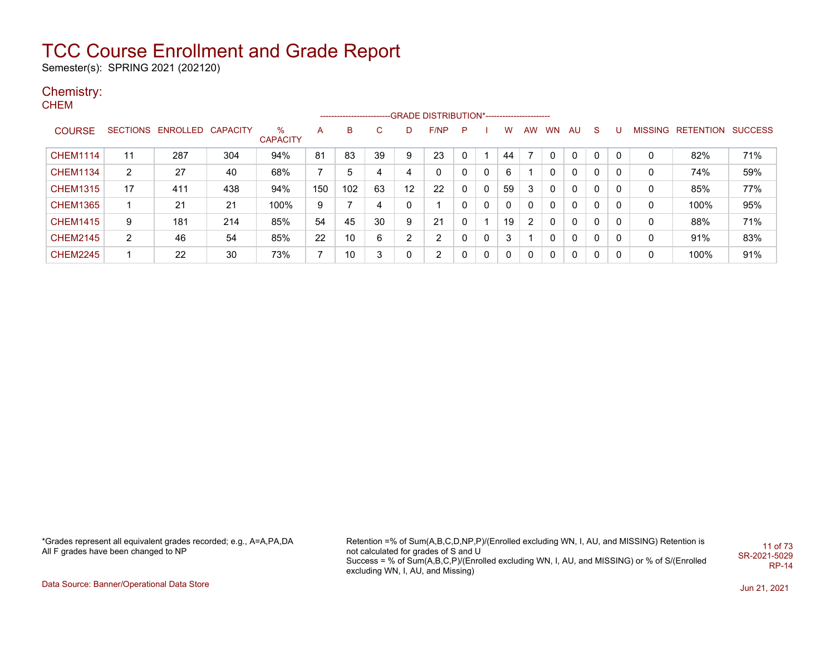Semester(s): SPRING 2021 (202120)

### Chemistry:

CHEM

|                 |                |                            |     |                      |                |     |    |              | -------------------------GRADE DISTRIBUTION*---------------------- |   |   |          |           |          |              |          |              |   |                           |     |
|-----------------|----------------|----------------------------|-----|----------------------|----------------|-----|----|--------------|--------------------------------------------------------------------|---|---|----------|-----------|----------|--------------|----------|--------------|---|---------------------------|-----|
| <b>COURSE</b>   |                | SECTIONS ENROLLED CAPACITY |     | %<br><b>CAPACITY</b> | A              | B   | C. | D            | F/NP                                                               | P |   | w        | <b>AW</b> | WN.      | AU.          | -S       | -0           |   | MISSING RETENTION SUCCESS |     |
| <b>CHEM1114</b> | 11             | 287                        | 304 | 94%                  | 81             | 83  | 39 | 9            | 23                                                                 |   |   | 44       |           |          | $\mathbf{0}$ | $\Omega$ | $\Omega$     | 0 | 82%                       | 71% |
| <b>CHEM1134</b> | $\overline{2}$ | 27                         | 40  | 68%                  | $\overline{7}$ | 5   | 4  | 4            | 0                                                                  |   | 0 | 6        |           |          | 0            | 0        |              | 0 | 74%                       | 59% |
| <b>CHEM1315</b> | 17             | 411                        | 438 | 94%                  | 150            | 102 | 63 | 12           | 22                                                                 |   | 0 | 59       | 3         |          | 0            | 0        | 0            | 0 | 85%                       | 77% |
| <b>CHEM1365</b> |                | 21                         | 21  | 100%                 | 9              |     | 4  | $\mathbf{0}$ |                                                                    |   | 0 | $\Omega$ |           |          | $\Omega$     | $\Omega$ | 0            | 0 | 100%                      | 95% |
| <b>CHEM1415</b> | 9              | 181                        | 214 | 85%                  | 54             | 45  | 30 | 9            | 21                                                                 |   |   | 19       | 2         |          | $\Omega$     | $\Omega$ | $\mathbf{0}$ | 0 | 88%                       | 71% |
| <b>CHEM2145</b> | 2              | 46                         | 54  | 85%                  | 22             | 10  | 6  | 2            | $\overline{2}$                                                     |   | 0 | 3        |           |          | $\Omega$     | $\Omega$ | 0            | 0 | 91%                       | 83% |
| <b>CHEM2245</b> |                | 22                         | 30  | 73%                  | $\overline{7}$ | 10  | 3  | $\mathbf{0}$ | $\overline{2}$                                                     |   | 0 | $\Omega$ |           | $\Omega$ | 0            | $\Omega$ | 0            | 0 | 100%                      | 91% |

\*Grades represent all equivalent grades recorded; e.g., A=A,PA,DA All F grades have been changed to NP

Retention =% of Sum(A,B,C,D,NP,P)/(Enrolled excluding WN, I, AU, and MISSING) Retention is not calculated for grades of S and U Success = % of Sum(A,B,C,P)/(Enrolled excluding WN, I, AU, and MISSING) or % of S/(Enrolled excluding WN, I, AU, and Missing) 11 of 73 SR-2021-5029 RP-14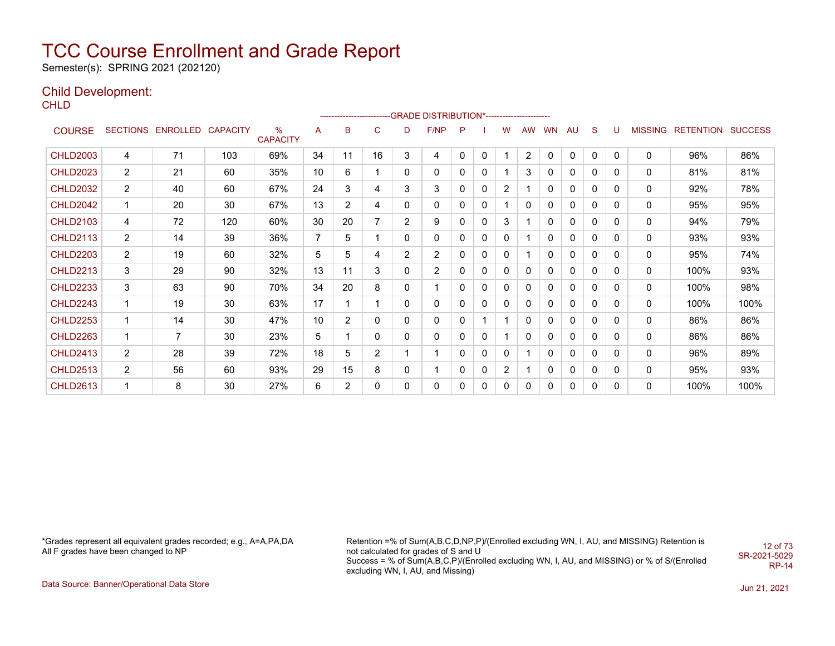Semester(s): SPRING 2021 (202120)

### Child Development:

**CHLD** 

|                 |                |                            |     |                      |                |                |              |                | ------------------------GRADE                DISTRIBUTION*---------------------- |          |              |             |           |              |              |              |              |                |                          |      |
|-----------------|----------------|----------------------------|-----|----------------------|----------------|----------------|--------------|----------------|----------------------------------------------------------------------------------|----------|--------------|-------------|-----------|--------------|--------------|--------------|--------------|----------------|--------------------------|------|
| <b>COURSE</b>   |                | SECTIONS ENROLLED CAPACITY |     | %<br><b>CAPACITY</b> | A              | B              | C            | D              | F/NP                                                                             | P        |              | w           | <b>AW</b> | <b>WN</b>    | AU           | S            | U            | <b>MISSING</b> | <b>RETENTION SUCCESS</b> |      |
| <b>CHLD2003</b> | 4              | 71                         | 103 | 69%                  | 34             | 11             | 16           | 3              | 4                                                                                | 0        | $\mathbf{0}$ |             | 2         | $\mathbf{0}$ | $\mathbf{0}$ | $\mathbf{0}$ | $\mathbf{0}$ | 0              | 96%                      | 86%  |
| <b>CHLD2023</b> | 2              | 21                         | 60  | 35%                  | 10             | 6              | $\mathbf{1}$ | 0              | 0                                                                                | 0        | $\mathbf{0}$ |             | 3         | 0            | 0            | 0            | 0            | 0              | 81%                      | 81%  |
| <b>CHLD2032</b> | $\overline{2}$ | 40                         | 60  | 67%                  | 24             | 3              | 4            | 3              | 3                                                                                | $\Omega$ | 0            | 2           |           | 0            | 0            | 0            | $\Omega$     | 0              | 92%                      | 78%  |
| <b>CHLD2042</b> | 1              | 20                         | 30  | 67%                  | 13             | $\overline{2}$ | 4            | 0              | 0                                                                                | 0        | 0            |             | $\Omega$  | $\Omega$     | 0            | $\mathbf{0}$ | 0            | 0              | 95%                      | 95%  |
| <b>CHLD2103</b> | 4              | 72                         | 120 | 60%                  | 30             | 20             | 7            | $\overline{2}$ | 9                                                                                | 0        | 0            | 3           |           | 0            | 0            | 0            | 0            | 0              | 94%                      | 79%  |
| <b>CHLD2113</b> | $\overline{2}$ | 14                         | 39  | 36%                  | $\overline{7}$ | 5              | 1            | 0              | 0                                                                                | 0        | 0            | 0           |           | 0            | 0            | 0            | $\Omega$     | 0              | 93%                      | 93%  |
| <b>CHLD2203</b> | $\overline{2}$ | 19                         | 60  | 32%                  | 5              | 5              | 4            | $\overline{2}$ | $\overline{2}$                                                                   | 0        | 0            | 0           |           | $\Omega$     | 0            | $\mathbf{0}$ | 0            | 0              | 95%                      | 74%  |
| <b>CHLD2213</b> | 3              | 29                         | 90  | 32%                  | 13             | 11             | 3            | 0              | $\overline{2}$                                                                   | $\Omega$ | 0            | 0           | 0         | $\Omega$     | 0            | 0            | 0            | 0              | 100%                     | 93%  |
| <b>CHLD2233</b> | 3              | 63                         | 90  | 70%                  | 34             | 20             | 8            | 0              | 1                                                                                | 0        | $\mathbf{0}$ | 0           | 0         | 0            | 0            | $\mathbf{0}$ | $\mathbf{0}$ | 0              | 100%                     | 98%  |
| <b>CHLD2243</b> | 1              | 19                         | 30  | 63%                  | 17             |                | 1            | 0              | 0                                                                                | 0        | 0            | $\mathbf 0$ | 0         | 0            | 0            | $\mathbf{0}$ | 0            | 0              | 100%                     | 100% |
| <b>CHLD2253</b> | 1              | 14                         | 30  | 47%                  | 10             | $\overline{2}$ | 0            | 0              | 0                                                                                | 0        |              |             | $\Omega$  | <sup>0</sup> | 0            | $\Omega$     | 0            | 0              | 86%                      | 86%  |
| <b>CHLD2263</b> | 1              | 7                          | 30  | 23%                  | 5              |                | $\mathbf{0}$ | 0              | 0                                                                                | 0        | 0            |             | $\Omega$  | 0            | 0            | 0            | $\Omega$     | 0              | 86%                      | 86%  |
| <b>CHLD2413</b> | $\overline{2}$ | 28                         | 39  | 72%                  | 18             | 5              | 2            |                |                                                                                  | 0        | 0            | 0           |           | 0            | 0            | 0            | 0            | 0              | 96%                      | 89%  |
| <b>CHLD2513</b> | $\overline{2}$ | 56                         | 60  | 93%                  | 29             | 15             | 8            | 0              |                                                                                  | 0        | 0            | 2           |           | 0            | 0            | 0            | 0            | 0              | 95%                      | 93%  |
| <b>CHLD2613</b> | 1              | 8                          | 30  | 27%                  | 6              | $\overline{2}$ | $\mathbf{0}$ | 0              | $\mathbf{0}$                                                                     | $\Omega$ | $\mathbf{0}$ | $\mathbf 0$ | 0         | $\Omega$     | 0            | $\mathbf{0}$ | 0            | 0              | 100%                     | 100% |

\*Grades represent all equivalent grades recorded; e.g., A=A,PA,DA All F grades have been changed to NP

Retention =% of Sum(A,B,C,D,NP,P)/(Enrolled excluding WN, I, AU, and MISSING) Retention is not calculated for grades of S and U Success = % of Sum(A,B,C,P)/(Enrolled excluding WN, I, AU, and MISSING) or % of S/(Enrolled excluding WN, I, AU, and Missing) 12 of 73 SR-2021-5029 RP-14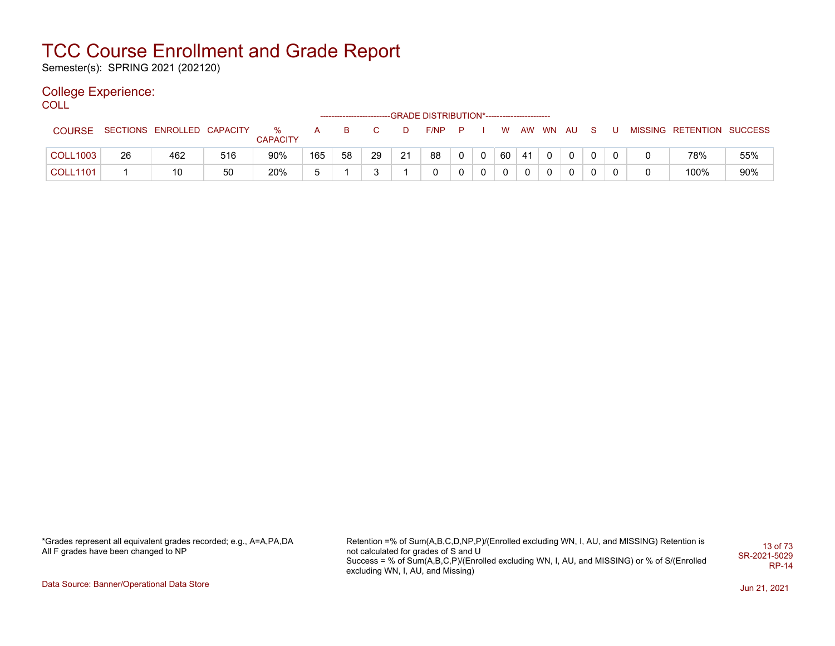Semester(s): SPRING 2021 (202120)

### College Experience:

COLL

|                 |    |                            |     |                      |     |    |    |    | -----------------------GRADE DISTRIBUTION*----------------------- |          |              |          |    |          |              |          |  |                           |     |
|-----------------|----|----------------------------|-----|----------------------|-----|----|----|----|-------------------------------------------------------------------|----------|--------------|----------|----|----------|--------------|----------|--|---------------------------|-----|
| <b>COURSE</b>   |    | SECTIONS ENROLLED CAPACITY |     | %<br><b>CAPACITY</b> | A   | B. |    |    | F/NP                                                              | <b>P</b> |              | W.       |    | AW WN AU |              | <b>S</b> |  | MISSING RETENTION SUCCESS |     |
| <b>COLL1003</b> | 26 | 462                        | 516 | 90%                  | 165 | 58 | 29 | 21 | 88                                                                | 0        | $\mathbf{0}$ | 60       | 41 |          | $\mathbf 0$  | $\Omega$ |  | 78%                       | 55% |
| <b>COLL1101</b> |    | 10                         | 50  | 20%                  | ᄃ   |    |    |    |                                                                   |          | 0            | $\Omega$ |    |          | $\mathbf{0}$ | $\Omega$ |  | 100%                      | 90% |

\*Grades represent all equivalent grades recorded; e.g., A=A,PA,DA All F grades have been changed to NP

Retention =% of Sum(A,B,C,D,NP,P)/(Enrolled excluding WN, I, AU, and MISSING) Retention is not calculated for grades of S and U Success = % of Sum(A,B,C,P)/(Enrolled excluding WN, I, AU, and MISSING) or % of S/(Enrolled excluding WN, I, AU, and Missing) 13 of 73 SR-2021-5029 RP-14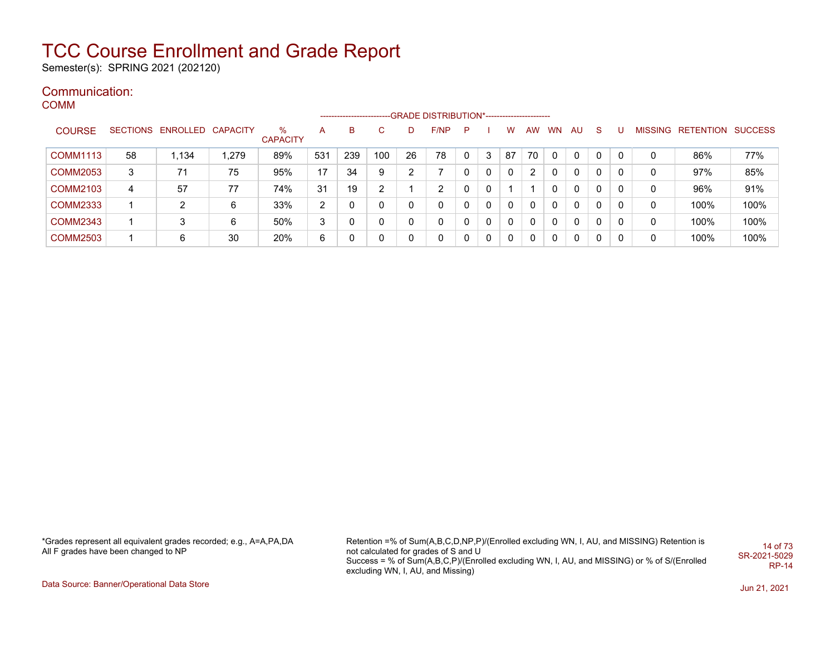Semester(s): SPRING 2021 (202120)

#### Communication: COMM

|                 |    |                            |      |                         |     |     |     |    | -----------------------GRADE DISTRIBUTION*----------------------- |              |   |              |                      |           |          |              |          |                |                  |                |
|-----------------|----|----------------------------|------|-------------------------|-----|-----|-----|----|-------------------------------------------------------------------|--------------|---|--------------|----------------------|-----------|----------|--------------|----------|----------------|------------------|----------------|
| <b>COURSE</b>   |    | SECTIONS ENROLLED CAPACITY |      | $\%$<br><b>CAPACITY</b> | A   | B   | C.  | D  | F/NP                                                              | P            |   | W            | <b>AW</b>            | <b>WN</b> | AU.      | <sub>S</sub> |          | <b>MISSING</b> | <b>RETENTION</b> | <b>SUCCESS</b> |
| <b>COMM1113</b> | 58 | 1.134                      | ,279 | 89%                     | 531 | 239 | 100 | 26 | 78                                                                | $\mathbf{0}$ | 3 | 87           | 70                   | 0         | 0        |              | $\Omega$ | 0              | 86%              | 77%            |
| <b>COMM2053</b> | 3  | 71                         | 75   | 95%                     | 17  | 34  | 9   | ົ  |                                                                   | 0            | 0 | $\mathbf{0}$ | $\mathbf{2}^{\circ}$ | $\Omega$  | $\Omega$ | 0            | $\Omega$ | 0              | 97%              | 85%            |
| <b>COMM2103</b> | 4  | 57                         | 77   | 74%                     | 31  | 19  | 2   |    | 2                                                                 | $\mathbf{0}$ | 0 |              |                      | 0         | 0        | 0            | $\Omega$ | 0              | 96%              | 91%            |
| <b>COMM2333</b> |    | 2                          | 6    | 33%                     | 2   |     | 0   |    | 0                                                                 | 0            | 0 | $\mathbf{0}$ | $\Omega$             | $\Omega$  | 0        |              | $\Omega$ | 0              | 100%             | 100%           |
| <b>COMM2343</b> |    | 3                          | 6    | 50%                     | 3   |     | 0   | 0  |                                                                   | 0            | 0 | $\mathbf{0}$ | $\mathbf{0}$         | 0         | 0        | 0            | $\Omega$ | 0              | 100%             | 100%           |
| <b>COMM2503</b> |    | 6                          | 30   | 20%                     | 6   |     | 0   |    |                                                                   | 0            | 0 | 0            | 0                    | $\Omega$  | 0        | 0            | $\Omega$ | 0              | 100%             | 100%           |

\*Grades represent all equivalent grades recorded; e.g., A=A,PA,DA All F grades have been changed to NP

Retention =% of Sum(A,B,C,D,NP,P)/(Enrolled excluding WN, I, AU, and MISSING) Retention is not calculated for grades of S and U Success = % of Sum(A,B,C,P)/(Enrolled excluding WN, I, AU, and MISSING) or % of S/(Enrolled excluding WN, I, AU, and Missing) 14 of 73 SR-2021-5029 RP-14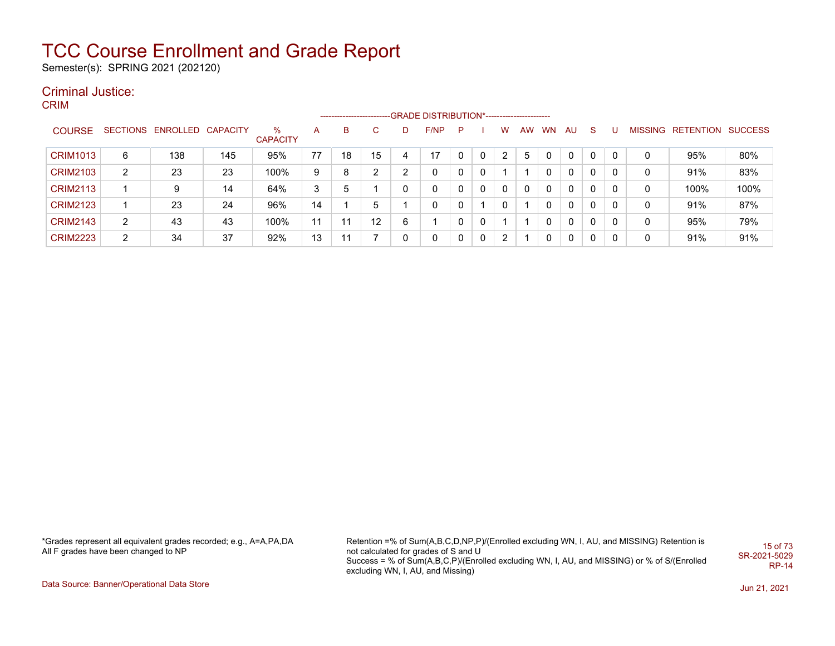Semester(s): SPRING 2021 (202120)

### Criminal Justice:

CRIM

|                 |                       |                            |     |                      |    | ------------------------- |    |   | -GRADE DISTRIBUTION*----------------------- |   |              |   |    |              |    |              |   |   |                           |      |
|-----------------|-----------------------|----------------------------|-----|----------------------|----|---------------------------|----|---|---------------------------------------------|---|--------------|---|----|--------------|----|--------------|---|---|---------------------------|------|
| <b>COURSE</b>   |                       | SECTIONS ENROLLED CAPACITY |     | %<br><b>CAPACITY</b> | A  | В                         | C  |   | F/NP                                        | P |              | W | AW | <b>WN</b>    | AU | <sub>S</sub> |   |   | MISSING RETENTION SUCCESS |      |
| <b>CRIM1013</b> | 6                     | 138                        | 145 | 95%                  | 77 | 18                        | 15 |   | 17                                          |   | $\Omega$     | 2 | 5  | 0            | 0  | 0            | 0 | 0 | 95%                       | 80%  |
| <b>CRIM2103</b> | $\mathbf{2}^{\prime}$ | 23                         | 23  | 100%                 | 9  | 8                         | າ  | ົ |                                             | 0 | 0            |   |    |              | 0  | 0            | 0 | 0 | 91%                       | 83%  |
| <b>CRIM2113</b> |                       | 9                          | 14  | 64%                  | 3  | 5                         |    |   | $\mathbf{0}$                                | 0 | $\Omega$     | 0 | 0  | 0            | 0  | 0            | 0 | 0 | 100%                      | 100% |
| <b>CRIM2123</b> |                       | 23                         | 24  | 96%                  | 14 |                           | 5  |   |                                             | 0 |              | 0 |    | 0            | 0  | 0            | 0 | 0 | 91%                       | 87%  |
| <b>CRIM2143</b> | $\overline{2}$        | 43                         | 43  | 100%                 | 11 | 11                        | 12 | 6 |                                             | 0 | $\Omega$     |   |    | <sup>0</sup> | 0  | 0            | 0 | 0 | 95%                       | 79%  |
| <b>CRIM2223</b> | 2                     | 34                         | 37  | 92%                  | 13 | 11                        |    |   | 0                                           | 0 | $\mathbf{0}$ | 2 |    | 0            | 0  | 0            | 0 | 0 | 91%                       | 91%  |

\*Grades represent all equivalent grades recorded; e.g., A=A,PA,DA All F grades have been changed to NP

Retention =% of Sum(A,B,C,D,NP,P)/(Enrolled excluding WN, I, AU, and MISSING) Retention is not calculated for grades of S and U Success = % of Sum(A,B,C,P)/(Enrolled excluding WN, I, AU, and MISSING) or % of S/(Enrolled excluding WN, I, AU, and Missing) 15 of 73 SR-2021-5029 RP-14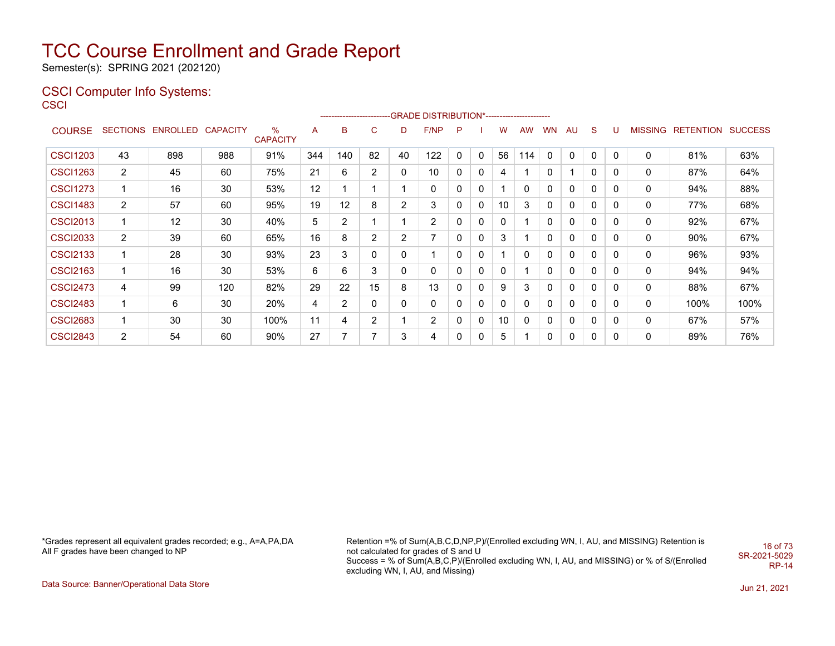Semester(s): SPRING 2021 (202120)

### CSCI Computer Info Systems:

| ۰.<br>. . | ۰.<br>× | ۰. |  |
|-----------|---------|----|--|

|                 |                |                            |     |                         |     |                |                |                | ------------------------GRADE                DISTRIBUTION*---------------------- |              |                |              |           |              |    |              |             |   |                   |                |
|-----------------|----------------|----------------------------|-----|-------------------------|-----|----------------|----------------|----------------|----------------------------------------------------------------------------------|--------------|----------------|--------------|-----------|--------------|----|--------------|-------------|---|-------------------|----------------|
| <b>COURSE</b>   |                | SECTIONS ENROLLED CAPACITY |     | $\%$<br><b>CAPACITY</b> | A   | в              | C              | D              | F/NP                                                                             | P            |                | w            | <b>AW</b> | <b>WN</b>    | AU | S            | U           |   | MISSING RETENTION | <b>SUCCESS</b> |
| <b>CSCI1203</b> | 43             | 898                        | 988 | 91%                     | 344 | 140            | 82             | 40             | 122                                                                              | $\mathbf{0}$ | $\overline{0}$ | 56           | 114       | 0            | 0  | $\mathbf{0}$ | 0           | 0 | 81%               | 63%            |
| <b>CSCI1263</b> | $\overline{2}$ | 45                         | 60  | 75%                     | 21  | 6              | $\overline{2}$ | 0              | 10                                                                               | 0            | 0              | 4            |           | 0            |    | 0            | 0           | 0 | 87%               | 64%            |
| <b>CSCI1273</b> |                | 16                         | 30  | 53%                     | 12  |                |                |                | 0                                                                                | 0            | $\mathbf{0}$   |              | 0         | 0            | 0  | 0            | $\mathbf 0$ | 0 | 94%               | 88%            |
| <b>CSCI1483</b> | $\overline{2}$ | 57                         | 60  | 95%                     | 19  | 12             | 8              | 2              | 3                                                                                | 0            | $\mathbf{0}$   | 10           | 3         | 0            | 0  | 0            | 0           | 0 | 77%               | 68%            |
| <b>CSCI2013</b> |                | 12                         | 30  | 40%                     | 5   | $\overline{2}$ |                |                | 2                                                                                | $\mathbf{0}$ | 0              | $\mathbf{0}$ |           | 0            | 0  | 0            | 0           | 0 | 92%               | 67%            |
| <b>CSCI2033</b> | $\overline{2}$ | 39                         | 60  | 65%                     | 16  | 8              | $\overline{2}$ | $\overline{2}$ | 7                                                                                | $\mathbf{0}$ | $\Omega$       | 3            |           | $\mathbf{0}$ | 0  | 0            | $\mathbf 0$ | 0 | 90%               | 67%            |
| <b>CSCI2133</b> |                | 28                         | 30  | 93%                     | 23  | 3              |                | 0              |                                                                                  | 0            | 0              |              | 0         | 0            | 0  | 0            | 0           | 0 | 96%               | 93%            |
| <b>CSCI2163</b> |                | 16                         | 30  | 53%                     | 6   | 6              | 3              | 0              | 0                                                                                | $\mathbf{0}$ | $\Omega$       | $\mathbf{0}$ |           | 0            | 0  | $\mathbf{0}$ | 0           | 0 | 94%               | 94%            |
| <b>CSCI2473</b> | 4              | 99                         | 120 | 82%                     | 29  | 22             | 15             | 8              | 13                                                                               | $\mathbf{0}$ | $\mathbf{0}$   | 9            | 3         | 0            | 0  | 0            | 0           | 0 | 88%               | 67%            |
| <b>CSCI2483</b> |                | 6                          | 30  | 20%                     | 4   | $\overline{2}$ |                | 0              | 0                                                                                | 0            | 0              | $\mathbf{0}$ | 0         | 0            | 0  | 0            | 0           | 0 | 100%              | 100%           |
| <b>CSCI2683</b> |                | 30                         | 30  | 100%                    | 11  | 4              | $\overline{2}$ |                | 2                                                                                | $\mathbf 0$  | $\Omega$       | 10           | $\Omega$  | 0            | 0  | 0            | 0           | 0 | 67%               | 57%            |
| <b>CSCI2843</b> | $\overline{2}$ | 54                         | 60  | 90%                     | 27  |                |                | 3              | 4                                                                                | $\mathbf{0}$ |                | 5            |           | 0            | 0  | 0            | 0           | 0 | 89%               | 76%            |

\*Grades represent all equivalent grades recorded; e.g., A=A,PA,DA All F grades have been changed to NP

Retention =% of Sum(A,B,C,D,NP,P)/(Enrolled excluding WN, I, AU, and MISSING) Retention is not calculated for grades of S and U Success = % of Sum(A,B,C,P)/(Enrolled excluding WN, I, AU, and MISSING) or % of S/(Enrolled excluding WN, I, AU, and Missing) 16 of 73 SR-2021-5029 RP-14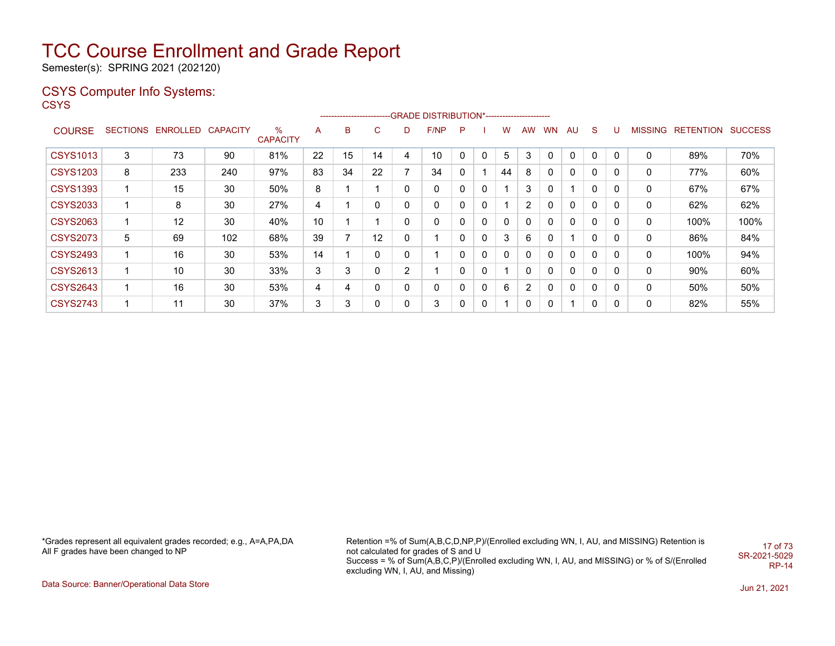Semester(s): SPRING 2021 (202120)

### CSYS Computer Info Systems:

**CSYS** 

|                 |                 |                   |     |                      |    |    |    |              | -------------------------GRADE DISTRIBUTION*----------------------- |   |   |              |              |           |              |              |              |                |                  |                |
|-----------------|-----------------|-------------------|-----|----------------------|----|----|----|--------------|---------------------------------------------------------------------|---|---|--------------|--------------|-----------|--------------|--------------|--------------|----------------|------------------|----------------|
| <b>COURSE</b>   | <b>SECTIONS</b> | ENROLLED CAPACITY |     | ℅<br><b>CAPACITY</b> | A  | в  | C  | D            | F/NP                                                                | P |   | w            | <b>AW</b>    | <b>WN</b> | AU           | <sub>S</sub> |              | <b>MISSING</b> | <b>RETENTION</b> | <b>SUCCESS</b> |
| <b>CSYS1013</b> | 3               | 73                | 90  | 81%                  | 22 | 15 | 14 | 4            | 10                                                                  | 0 | 0 | 5            | 3            | 0         | $\mathbf{0}$ | $\Omega$     | 0            | 0              | 89%              | 70%            |
| <b>CSYS1203</b> | 8               | 233               | 240 | 97%                  | 83 | 34 | 22 | 7            | 34                                                                  | 0 |   | 44           | 8            | 0         | $\mathbf{0}$ | $\Omega$     | 0            | 0              | 77%              | 60%            |
| <b>CSYS1393</b> |                 | 15                | 30  | 50%                  | 8  |    |    | 0            | 0                                                                   | 0 | 0 |              | 3            | 0         |              | $\mathbf{0}$ | $\mathbf{0}$ | 0              | 67%              | 67%            |
| <b>CSYS2033</b> |                 | 8                 | 30  | 27%                  | 4  |    | 0  | 0            | 0                                                                   | 0 | 0 |              | 2            | 0         | $\mathbf{0}$ | $\mathbf{0}$ | $\Omega$     | 0              | 62%              | 62%            |
| <b>CSYS2063</b> |                 | 12                | 30  | 40%                  | 10 |    |    | 0            | 0                                                                   | 0 | 0 | 0            | 0            | 0         | $\mathbf{0}$ | $\mathbf{0}$ | $\Omega$     | 0              | 100%             | 100%           |
| <b>CSYS2073</b> | 5               | 69                | 102 | 68%                  | 39 |    | 12 | $\mathbf{0}$ |                                                                     | 0 | 0 | 3            | 6            | 0         |              | $\mathbf{0}$ | 0            | 0              | 86%              | 84%            |
| <b>CSYS2493</b> |                 | 16                | 30  | 53%                  | 14 |    | 0  | 0            |                                                                     | 0 | 0 | $\mathbf{0}$ | $\mathbf{0}$ | 0         | $\mathbf{0}$ | $\Omega$     | 0            | 0              | 100%             | 94%            |
| <b>CSYS2613</b> | 1               | 10                | 30  | 33%                  | 3  | 3  | 0  | 2            |                                                                     | 0 | 0 |              | 0            | 0         | 0            | 0            | 0            | 0              | 90%              | 60%            |
| <b>CSYS2643</b> | -1              | 16                | 30  | 53%                  | 4  | 4  | 0  | 0            | 0                                                                   | 0 | 0 | 6            | 2            | 0         | 0            | 0            | 0            | 0              | 50%              | 50%            |
| <b>CSYS2743</b> |                 | 11                | 30  | 37%                  | 3  | 3  | 0  | 0            | 3                                                                   | 0 | 0 |              | 0            | 0         |              | $\Omega$     | 0            | 0              | 82%              | 55%            |

\*Grades represent all equivalent grades recorded; e.g., A=A,PA,DA All F grades have been changed to NP

Retention =% of Sum(A,B,C,D,NP,P)/(Enrolled excluding WN, I, AU, and MISSING) Retention is not calculated for grades of S and U Success = % of Sum(A,B,C,P)/(Enrolled excluding WN, I, AU, and MISSING) or % of S/(Enrolled excluding WN, I, AU, and Missing) 17 of 73 SR-2021-5029 RP-14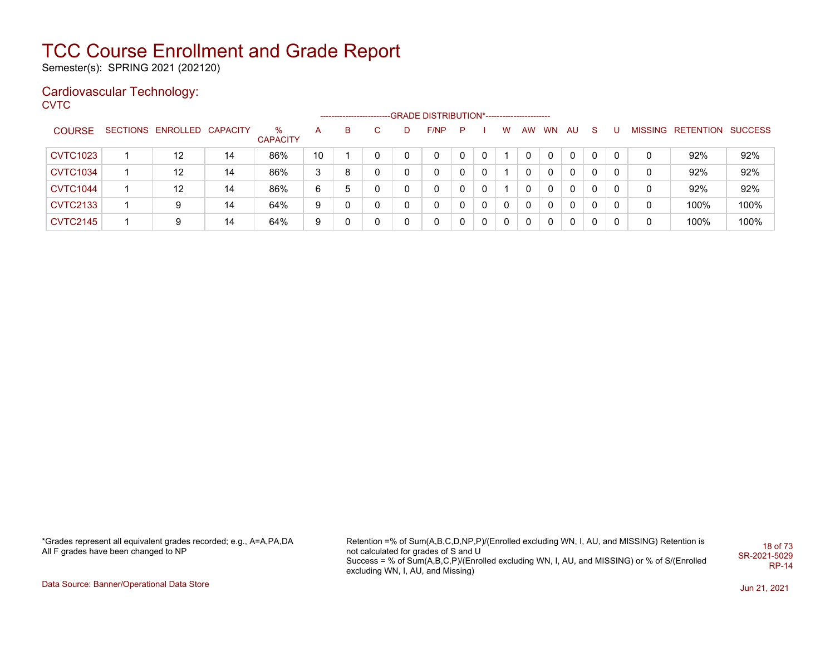Semester(s): SPRING 2021 (202120)

### Cardiovascular Technology:

**CVTC** 

| <b>COURSE</b>   | SECTIONS ENROLLED CAPACITY |    | %<br><b>CAPACITY</b> | А  | в | D. | F/NP | $\mathsf{P}$ |              | W        | AW | <b>WN</b> | AU.          | S.       |   |   | MISSING RETENTION SUCCESS |      |
|-----------------|----------------------------|----|----------------------|----|---|----|------|--------------|--------------|----------|----|-----------|--------------|----------|---|---|---------------------------|------|
| <b>CVTC1023</b> | 12                         | 14 | 86%                  | 10 |   |    | 0    |              |              |          |    |           | $\Omega$     | 0        | 0 | 0 | 92%                       | 92%  |
| <b>CVTC1034</b> | 12                         | 14 | 86%                  | 3  | 8 |    | 0    |              | 0            |          |    | $\Omega$  | $\Omega$     | $\Omega$ |   | 0 | 92%                       | 92%  |
| <b>CVTC1044</b> | 12                         | 14 | 86%                  | 6  | 5 |    | 0    |              |              |          |    | $\Omega$  | $\mathbf{0}$ | 0        |   | 0 | 92%                       | 92%  |
| <b>CVTC2133</b> | 9                          | 14 | 64%                  | 9  |   |    | 0    |              | $\mathbf{0}$ | $\Omega$ |    | $\Omega$  | $\mathbf{0}$ | 0        | 0 | 0 | 100%                      | 100% |
| <b>CVTC2145</b> | 9                          | 14 | 64%                  | 9  |   |    | 0    |              | $\mathbf{0}$ | $\Omega$ |    | 0         | $\Omega$     | 0        |   | 0 | 100%                      | 100% |

\*Grades represent all equivalent grades recorded; e.g., A=A,PA,DA All F grades have been changed to NP

Retention =% of Sum(A,B,C,D,NP,P)/(Enrolled excluding WN, I, AU, and MISSING) Retention is not calculated for grades of S and U Success = % of Sum(A,B,C,P)/(Enrolled excluding WN, I, AU, and MISSING) or % of S/(Enrolled excluding WN, I, AU, and Missing) 18 of 73 SR-2021-5029 RP-14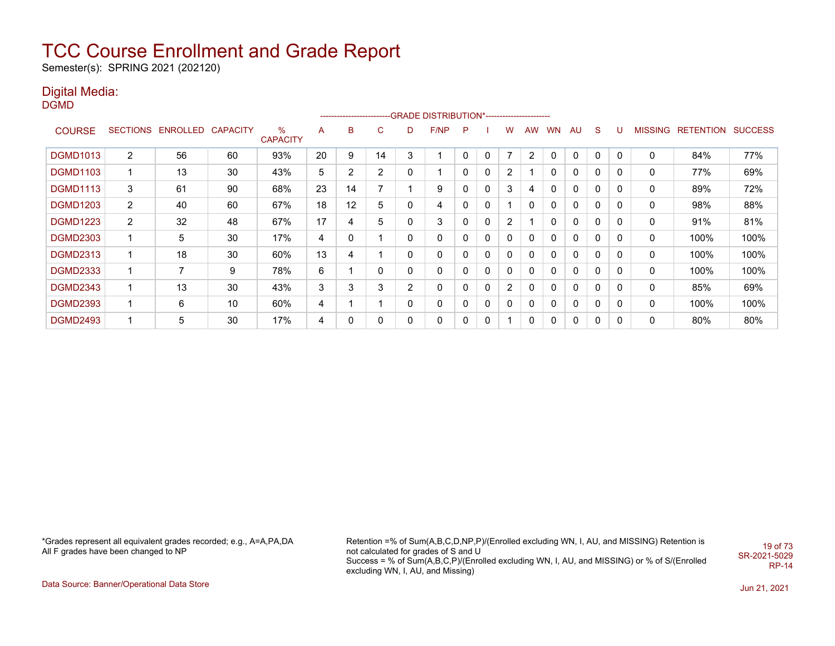Semester(s): SPRING 2021 (202120)

### Digital Media:

DGMD

|                 |                 |                   |    |                         |    |                |    |              | -------------------------GRADE DISTRIBUTION*---------------------- |   |              |   |                |    |              |              |             |                |           |                |
|-----------------|-----------------|-------------------|----|-------------------------|----|----------------|----|--------------|--------------------------------------------------------------------|---|--------------|---|----------------|----|--------------|--------------|-------------|----------------|-----------|----------------|
| <b>COURSE</b>   | <b>SECTIONS</b> | ENROLLED CAPACITY |    | $\%$<br><b>CAPACITY</b> | A  | в              | C  | D            | F/NP                                                               | P |              | w | <b>AW</b>      | WN | AU           | <sub>S</sub> | υ           | <b>MISSING</b> | RETENTION | <b>SUCCESS</b> |
| <b>DGMD1013</b> | 2               | 56                | 60 | 93%                     | 20 | 9              | 14 | 3            |                                                                    | 0 | 0            |   | $\overline{2}$ | 0  | $\mathbf{0}$ |              | 0           | 0              | 84%       | 77%            |
| <b>DGMD1103</b> | 1               | 13                | 30 | 43%                     | 5  | $\overline{2}$ | 2  | 0            |                                                                    | 0 | 0            | 2 |                | 0  | 0            | 0            | 0           | 0              | 77%       | 69%            |
| <b>DGMD1113</b> | 3               | 61                | 90 | 68%                     | 23 | 14             | 7  |              | 9                                                                  | 0 | $\mathbf{0}$ | 3 | 4              | 0  | $\mathbf{0}$ | $\mathbf{0}$ | $\mathbf 0$ | 0              | 89%       | 72%            |
| <b>DGMD1203</b> | $\overline{2}$  | 40                | 60 | 67%                     | 18 | 12             | 5  | 0            | 4                                                                  | 0 | 0            |   | 0              | 0  | 0            | 0            | 0           | 0              | 98%       | 88%            |
| <b>DGMD1223</b> | $\overline{2}$  | 32                | 48 | 67%                     | 17 | 4              | 5  | 0            | 3                                                                  | 0 | 0            | 2 |                | 0  | 0            | 0            | 0           | 0              | 91%       | 81%            |
| <b>DGMD2303</b> | 1               | 5                 | 30 | 17%                     | 4  | 0              |    | 0            | 0                                                                  | 0 | 0            | 0 | 0              | 0  | 0            | 0            | 0           | 0              | 100%      | 100%           |
| <b>DGMD2313</b> |                 | 18                | 30 | 60%                     | 13 | 4              |    | 0            | 0                                                                  | 0 | 0            | 0 | 0              | 0  | 0            | 0            | 0           | 0              | 100%      | 100%           |
| <b>DGMD2333</b> | 1               | 7                 | 9  | 78%                     | 6  |                | 0  | $\mathbf{0}$ | 0                                                                  | 0 | 0            | 0 | 0              | 0  | $\mathbf{0}$ | 0            | 0           | 0              | 100%      | 100%           |
| <b>DGMD2343</b> | 1               | 13                | 30 | 43%                     | 3  | 3              | 3  | 2            | $\Omega$                                                           | 0 | $\mathbf{0}$ | 2 | 0              | 0  | $\mathbf{0}$ | 0            | 0           | 0              | 85%       | 69%            |
| <b>DGMD2393</b> | 1               | 6                 | 10 | 60%                     | 4  |                |    | 0            | 0                                                                  | 0 | 0            | 0 | 0              | 0  | 0            | 0            | 0           | 0              | 100%      | 100%           |
| <b>DGMD2493</b> | 1               | 5                 | 30 | 17%                     | 4  | 0              | 0  | 0            | 0                                                                  | 0 | 0            |   | 0              | 0  | 0            | 0            | 0           | 0              | 80%       | 80%            |

\*Grades represent all equivalent grades recorded; e.g., A=A,PA,DA All F grades have been changed to NP

Retention =% of Sum(A,B,C,D,NP,P)/(Enrolled excluding WN, I, AU, and MISSING) Retention is not calculated for grades of S and U Success = % of Sum(A,B,C,P)/(Enrolled excluding WN, I, AU, and MISSING) or % of S/(Enrolled excluding WN, I, AU, and Missing) 19 of 73 SR-2021-5029 RP-14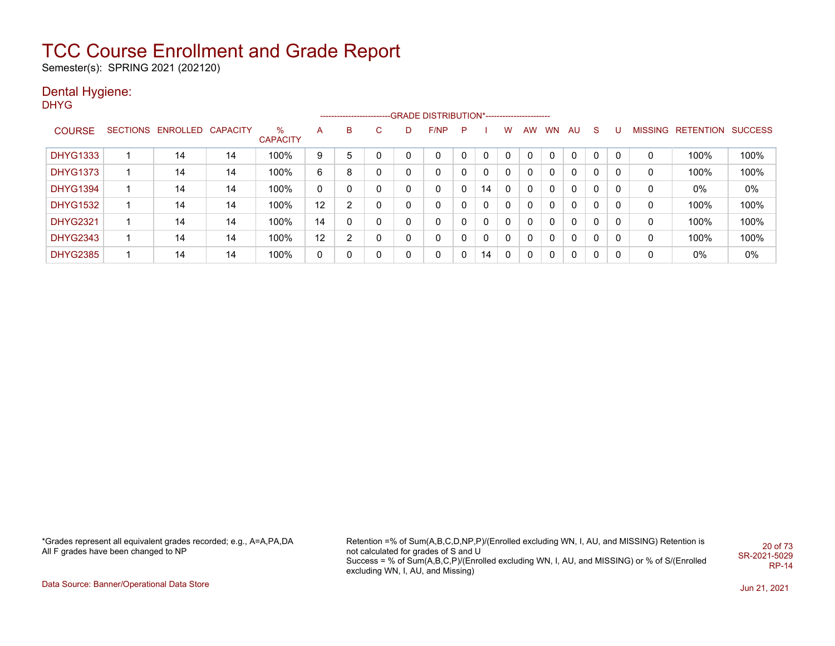Semester(s): SPRING 2021 (202120)

### Dental Hygiene:

DHYG

|                 |                            |    |                      |    |   |              |   | ------------------------GRADE DISTRIBUTION*----------------------- |   |    |             |           |           |              |              |   |   |                   |                |
|-----------------|----------------------------|----|----------------------|----|---|--------------|---|--------------------------------------------------------------------|---|----|-------------|-----------|-----------|--------------|--------------|---|---|-------------------|----------------|
| <b>COURSE</b>   | SECTIONS ENROLLED CAPACITY |    | ℅<br><b>CAPACITY</b> | A  | B | $\mathsf{C}$ | D | F/NP                                                               | P |    | w           | <b>AW</b> | <b>WN</b> | AU           | <sub>S</sub> |   |   | MISSING RETENTION | <b>SUCCESS</b> |
| <b>DHYG1333</b> | 14                         | 14 | 100%                 | 9  | 5 | 0            |   | 0                                                                  |   | 0  |             |           |           | $\mathbf{0}$ | 0            | 0 | 0 | 100%              | 100%           |
| <b>DHYG1373</b> | 14                         | 14 | 100%                 | 6  | 8 | 0            | 0 | 0                                                                  | 0 | 0  | 0           | 0         | 0         | 0            | 0            | 0 | 0 | 100%              | 100%           |
| <b>DHYG1394</b> | 14                         | 14 | 100%                 | 0  | 0 | 0            |   | 0                                                                  |   | 14 | $\mathbf 0$ | 0         | 0         | 0            | 0            | 0 | 0 | 0%                | $0\%$          |
| <b>DHYG1532</b> | 14                         | 14 | 100%                 | 12 | 2 | 0            |   | 0                                                                  |   | 0  | 0           | 0         | 0         | 0            | 0            | 0 | 0 | 100%              | 100%           |
| <b>DHYG2321</b> | 14                         | 14 | 100%                 | 14 | 0 | 0            |   | 0                                                                  |   | 0  | 0           | 0         | 0         | 0            | 0            | 0 | 0 | 100%              | 100%           |
| <b>DHYG2343</b> | 14                         | 14 | 100%                 | 12 | 2 | 0            | 0 | 0                                                                  |   | 0  | 0           | 0         | 0         | 0            | 0            | 0 | 0 | 100%              | 100%           |
| <b>DHYG2385</b> | 14                         | 14 | 100%                 | 0  | 0 | 0            | 0 | 0                                                                  | 0 | 14 | 0           | 0         |           | 0            | 0            | 0 | 0 | 0%                | $0\%$          |

\*Grades represent all equivalent grades recorded; e.g., A=A,PA,DA All F grades have been changed to NP

Retention =% of Sum(A,B,C,D,NP,P)/(Enrolled excluding WN, I, AU, and MISSING) Retention is not calculated for grades of S and U Success = % of Sum(A,B,C,P)/(Enrolled excluding WN, I, AU, and MISSING) or % of S/(Enrolled excluding WN, I, AU, and Missing) 20 of 73 SR-2021-5029 RP-14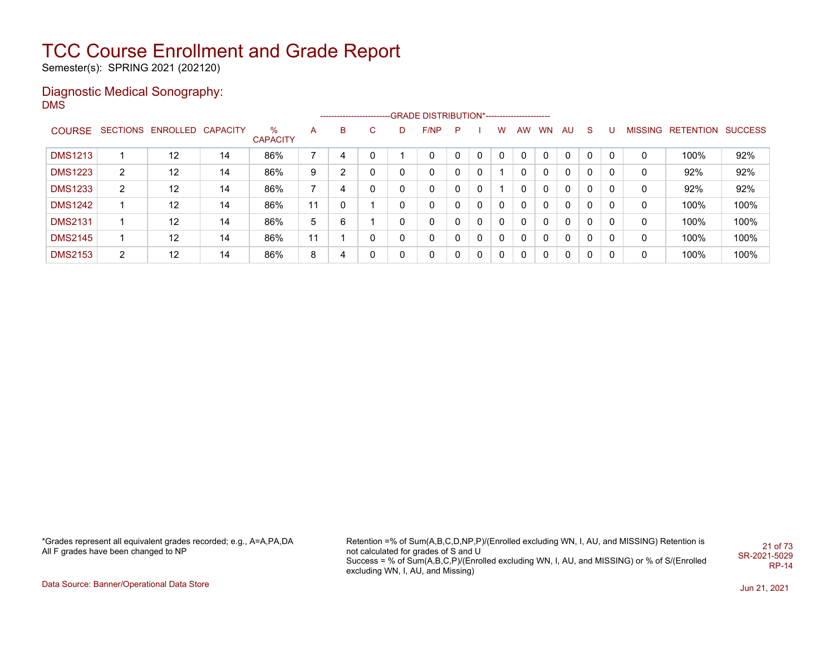Semester(s): SPRING 2021 (202120)

### Diagnostic Medical Sonography: DMS

|                |                |                            |    |                         |    |                |    |   | -------------------------GRADE DISTRIBUTION*---------------------- |          |          |              |              |           |          |              |   |                |                          |      |
|----------------|----------------|----------------------------|----|-------------------------|----|----------------|----|---|--------------------------------------------------------------------|----------|----------|--------------|--------------|-----------|----------|--------------|---|----------------|--------------------------|------|
| <b>COURSE</b>  |                | SECTIONS ENROLLED CAPACITY |    | $\%$<br><b>CAPACITY</b> | A  | B              | C. | D | F/NP                                                               | P        |          | w            | <b>AW</b>    | <b>WN</b> | AU       | S.           | U | <b>MISSING</b> | <b>RETENTION SUCCESS</b> |      |
| <b>DMS1213</b> |                | 12                         | 14 | 86%                     |    | 4              |    |   |                                                                    |          |          | 0            | $\mathbf{0}$ |           | 0        | $\mathbf{0}$ | 0 | 0              | 100%                     | 92%  |
| <b>DMS1223</b> | $\overline{2}$ | 12                         | 14 | 86%                     | 9  | $\overline{2}$ |    |   | 0                                                                  | $\Omega$ | $\Omega$ |              | $\mathbf{0}$ | 0         | 0        | 0            | 0 | 0              | 92%                      | 92%  |
| <b>DMS1233</b> | 2              | 12                         | 14 | 86%                     |    | 4              |    |   |                                                                    |          | $\Omega$ |              | $\mathbf{0}$ | 0         | 0        | 0            | 0 | 0              | 92%                      | 92%  |
| <b>DMS1242</b> |                | 12                         | 14 | 86%                     | 11 | 0              |    |   | 0                                                                  | $\Omega$ | $\Omega$ | $\mathbf{0}$ | $\mathbf{0}$ | 0         | 0        | 0            | 0 | 0              | 100%                     | 100% |
| <b>DMS2131</b> |                | 12                         | 14 | 86%                     | 5  | 6              |    |   | 0                                                                  |          | $\Omega$ | $\mathbf{0}$ | $\mathbf{0}$ | 0         | $\Omega$ | 0            | 0 | 0              | 100%                     | 100% |
| <b>DMS2145</b> |                | 12                         | 14 | 86%                     | 11 |                |    |   |                                                                    | $\Omega$ | $\Omega$ | $\mathbf{0}$ | $\mathbf{0}$ | 0         | $\Omega$ | 0            | 0 | 0              | 100%                     | 100% |
| <b>DMS2153</b> | 2              | 12                         | 14 | 86%                     | 8  | 4              |    |   | 0                                                                  | $\Omega$ | $\Omega$ | 0            | $\mathbf{0}$ | 0         | 0        | $\Omega$     | 0 | 0              | 100%                     | 100% |

\*Grades represent all equivalent grades recorded; e.g., A=A,PA,DA All F grades have been changed to NP

Retention =% of Sum(A,B,C,D,NP,P)/(Enrolled excluding WN, I, AU, and MISSING) Retention is not calculated for grades of S and U Success = % of Sum(A,B,C,P)/(Enrolled excluding WN, I, AU, and MISSING) or % of S/(Enrolled excluding WN, I, AU, and Missing) 21 of 73 SR-2021-5029 RP-14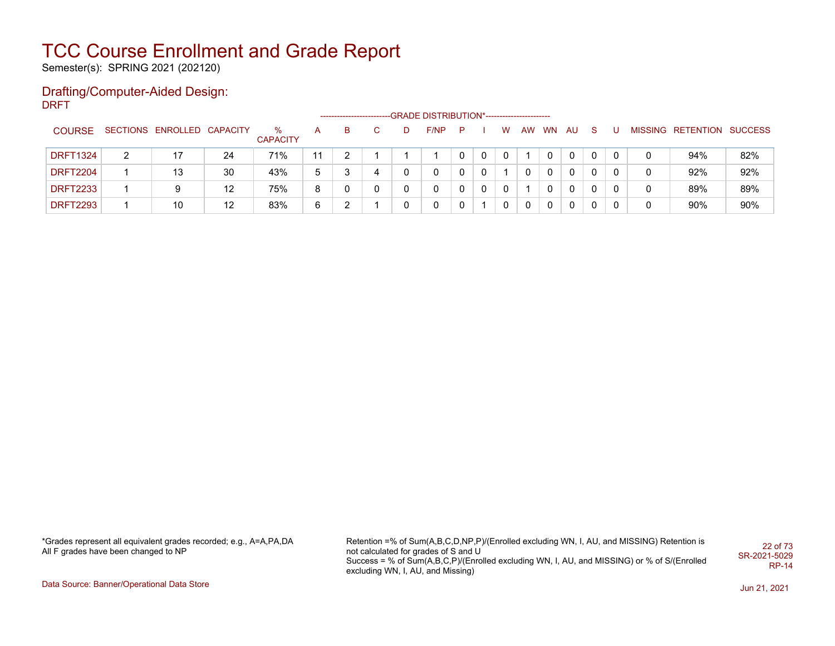Semester(s): SPRING 2021 (202120)

#### Drafting/Computer-Aided Design: DRFT

|                 |   |                            |    |                      |    | ------------------------ |   |   | -GRADE DISTRIBUTION*----------------------- |    |              |          |             |           |    |    |  |                           |     |
|-----------------|---|----------------------------|----|----------------------|----|--------------------------|---|---|---------------------------------------------|----|--------------|----------|-------------|-----------|----|----|--|---------------------------|-----|
| <b>COURSE</b>   |   | SECTIONS ENROLLED CAPACITY |    | %<br><b>CAPACITY</b> | А  | B                        |   | D | F/NP                                        | P. |              | W        | AW          | <b>WN</b> | AU | -S |  | MISSING RETENTION SUCCESS |     |
| <b>DRFT1324</b> | 2 | 17                         | 24 | 71%                  | 11 |                          |   |   |                                             |    |              |          |             |           |    |    |  | 94%                       | 82% |
| <b>DRFT2204</b> |   | 13                         | 30 | 43%                  | 5  |                          | 4 |   | 0                                           |    | $\mathbf{0}$ |          |             |           |    | 0  |  | 92%                       | 92% |
| <b>DRFT2233</b> |   | 9                          | 12 | 75%                  | 8  |                          |   |   | 0                                           |    | $\mathbf{0}$ | $\Omega$ |             |           |    | 0  |  | 89%                       | 89% |
| <b>DRFT2293</b> |   | 10                         | 12 | 83%                  | 6  |                          |   |   | 0                                           |    |              | 0        | $\mathbf 0$ |           |    | 0  |  | 90%                       | 90% |

\*Grades represent all equivalent grades recorded; e.g., A=A,PA,DA All F grades have been changed to NP

Retention =% of Sum(A,B,C,D,NP,P)/(Enrolled excluding WN, I, AU, and MISSING) Retention is not calculated for grades of S and U Success = % of Sum(A,B,C,P)/(Enrolled excluding WN, I, AU, and MISSING) or % of S/(Enrolled excluding WN, I, AU, and Missing) 22 of 73 SR-2021-5029 RP-14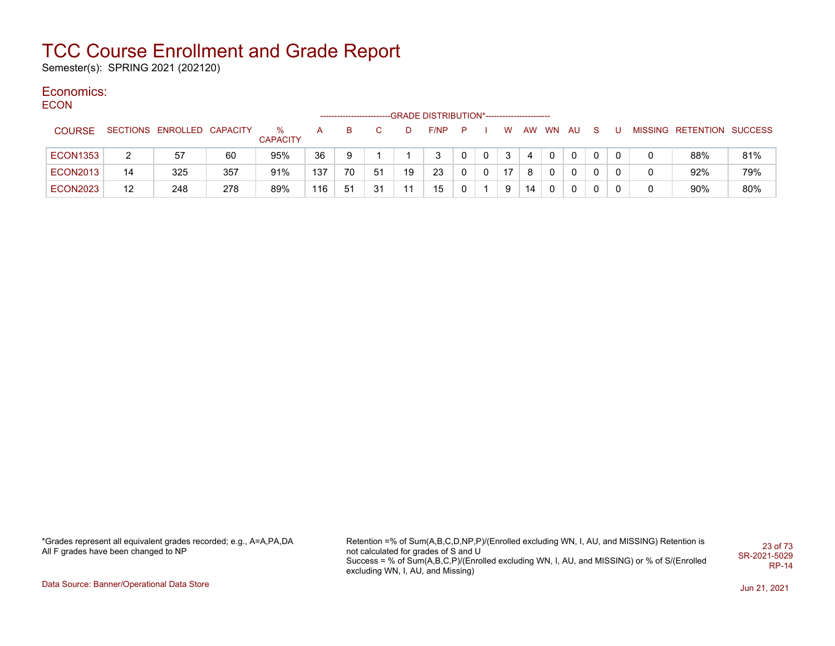Semester(s): SPRING 2021 (202120)

#### Economics: **ECON**

| ----            |    |                            |     |                      |     | -------------------- |    |    | -GRADE DISTRIBUTION*---------------------- |   |   |    |    |              |              |          |  |                           |     |
|-----------------|----|----------------------------|-----|----------------------|-----|----------------------|----|----|--------------------------------------------|---|---|----|----|--------------|--------------|----------|--|---------------------------|-----|
| <b>COURSE</b>   |    | SECTIONS ENROLLED CAPACITY |     | %<br><b>CAPACITY</b> | A   | в                    |    | D  | F/NP                                       | P |   | W  | AW | <b>WN</b>    | AU           | s        |  | MISSING RETENTION SUCCESS |     |
| <b>ECON1353</b> | 2  | 57                         | 60  | 95%                  | 36  | 9                    |    |    | 3                                          | 0 | 0 | 3  |    | $\mathbf{0}$ | $\Omega$     | $\Omega$ |  | 88%                       | 81% |
| <b>ECON2013</b> | 14 | 325                        | 357 | 91%                  | 137 | 70                   | 51 | 19 | 23                                         | 0 | 0 | 17 | 8  | $\Omega$     | $\mathbf{0}$ | 0        |  | 92%                       | 79% |
| <b>ECON2023</b> | 12 | 248                        | 278 | 89%                  | 116 | 51                   | 31 | 11 | 15                                         | 0 |   | 9  | 14 | $\Omega$     | $\mathbf{0}$ | 0        |  | 90%                       | 80% |

\*Grades represent all equivalent grades recorded; e.g., A=A,PA,DA All F grades have been changed to NP

Retention =% of Sum(A,B,C,D,NP,P)/(Enrolled excluding WN, I, AU, and MISSING) Retention is not calculated for grades of S and U Success = % of Sum(A,B,C,P)/(Enrolled excluding WN, I, AU, and MISSING) or % of S/(Enrolled excluding WN, I, AU, and Missing) 23 of 73 SR-2021-5029 RP-14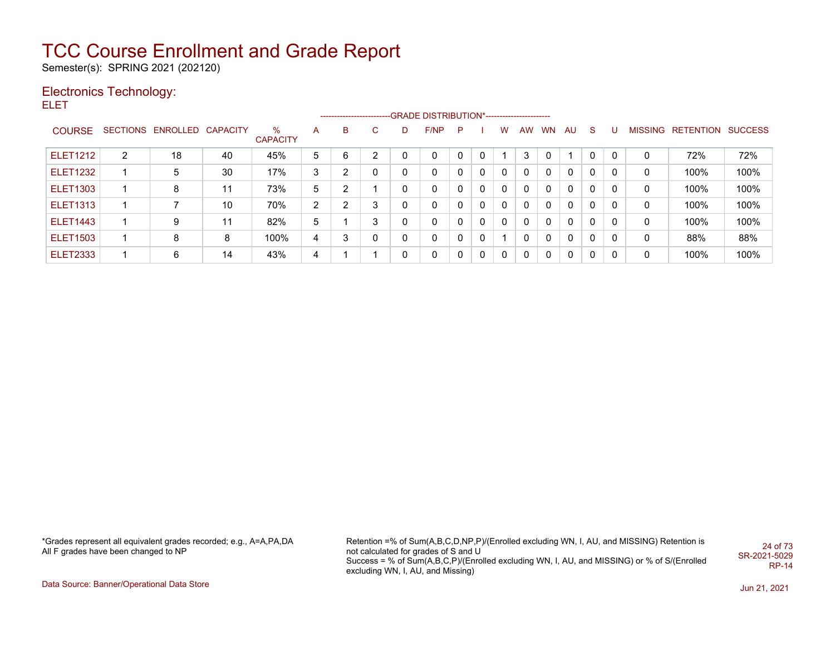Semester(s): SPRING 2021 (202120)

### Electronics Technology:

ELET

|                 |                |                            |    |                      |                |   |              |              | ------------------------GRADE DISTRIBUTION*----------------------- |          |              |          |              |           |              |              |          |   |                                  |      |
|-----------------|----------------|----------------------------|----|----------------------|----------------|---|--------------|--------------|--------------------------------------------------------------------|----------|--------------|----------|--------------|-----------|--------------|--------------|----------|---|----------------------------------|------|
| <b>COURSE</b>   |                | SECTIONS ENROLLED CAPACITY |    | %<br><b>CAPACITY</b> | A              | B | C.           | D            | F/NP                                                               | P.       |              | W        | AW           | <b>WN</b> | AU           | S.           | -U       |   | <b>MISSING RETENTION SUCCESS</b> |      |
| <b>ELET1212</b> | $\overline{2}$ | 18                         | 40 | 45%                  | 5              | 6 | っ            | 0            | 0                                                                  |          | $\Omega$     |          | 3            |           | -1           | $\mathbf{0}$ | $\Omega$ | 0 | 72%                              | 72%  |
| <b>ELET1232</b> |                | 5                          | 30 | 17%                  | 3              | າ | $\mathbf{0}$ | $\mathbf{0}$ | 0                                                                  | $\Omega$ | $\mathbf{0}$ | $\Omega$ | $\mathbf{0}$ | $\Omega$  | 0            | $\mathbf{0}$ |          | 0 | 100%                             | 100% |
| <b>ELET1303</b> |                | 8                          | 11 | 73%                  | 5              | າ |              | 0            | 0                                                                  |          | $\Omega$     | 0        | $\mathbf{0}$ | $\Omega$  | $\mathbf{0}$ | $\mathbf{0}$ |          | 0 | 100%                             | 100% |
| <b>ELET1313</b> |                |                            | 10 | 70%                  | $\overline{2}$ | ົ | 3            |              | 0                                                                  |          | $\Omega$     | $\Omega$ | $\mathbf{0}$ | $\Omega$  | $\mathbf{0}$ | $\mathbf{0}$ | 0        | 0 | 100%                             | 100% |
| <b>ELET1443</b> |                | 9                          | 11 | 82%                  | 5              |   | 3            | 0            | 0                                                                  |          | $\mathbf{0}$ | $\Omega$ | $\Omega$     | $\Omega$  | $\mathbf{0}$ | $\mathbf{0}$ | 0        | 0 | 100%                             | 100% |
| <b>ELET1503</b> |                | 8                          | 8  | 100%                 | 4              | 3 | $\mathbf{0}$ | 0            | 0                                                                  |          | $\Omega$     |          | $\mathbf{0}$ | $\Omega$  | $\mathbf{0}$ | $\Omega$     | 0        | 0 | 88%                              | 88%  |
| <b>ELET2333</b> |                | 6                          | 14 | 43%                  | 4              |   |              | 0            | 0                                                                  | $\Omega$ | $\mathbf{0}$ | $\Omega$ | $\Omega$     | $\Omega$  | $\Omega$     | $\mathbf{0}$ | 0        | 0 | 100%                             | 100% |

\*Grades represent all equivalent grades recorded; e.g., A=A,PA,DA All F grades have been changed to NP

Retention =% of Sum(A,B,C,D,NP,P)/(Enrolled excluding WN, I, AU, and MISSING) Retention is not calculated for grades of S and U Success = % of Sum(A,B,C,P)/(Enrolled excluding WN, I, AU, and MISSING) or % of S/(Enrolled excluding WN, I, AU, and Missing) 24 of 73 SR-2021-5029 RP-14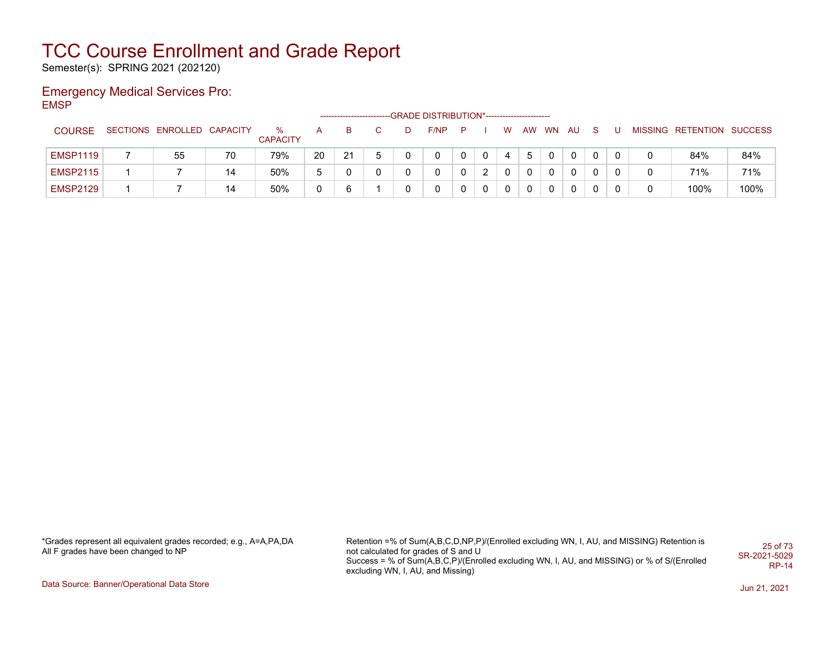Semester(s): SPRING 2021 (202120)

### Emergency Medical Services Pro: EMSP

|                 |                            |    |                      |    |    |    |   | -GRADE DISTRIBUTION*----------------------- |     |              |          |    |           |     |    |  |                           |      |
|-----------------|----------------------------|----|----------------------|----|----|----|---|---------------------------------------------|-----|--------------|----------|----|-----------|-----|----|--|---------------------------|------|
| <b>COURSE</b>   | SECTIONS ENROLLED CAPACITY |    | %<br><b>CAPACITY</b> |    | B  |    | D | F/NP                                        | — P |              | W        | AW | <b>WN</b> | AU. | -S |  | MISSING RETENTION SUCCESS |      |
| <b>EMSP1119</b> | 55                         | 70 | 79%                  | 20 | 21 | b. |   | $\Omega$                                    |     | $\mathbf{0}$ | 4        | 5  |           |     | 0  |  | 84%                       | 84%  |
| <b>EMSP2115</b> |                            | 14 | 50%                  | 5  |    | 0  |   | $\Omega$                                    |     | 2            | 0        |    |           |     |    |  | 71%                       | 71%  |
| <b>EMSP2129</b> |                            | 14 | 50%                  |    | 6  |    |   | $\Omega$                                    |     | $\Omega$     | $\Omega$ |    |           |     |    |  | 100%                      | 100% |

\*Grades represent all equivalent grades recorded; e.g., A=A,PA,DA All F grades have been changed to NP

Retention =% of Sum(A,B,C,D,NP,P)/(Enrolled excluding WN, I, AU, and MISSING) Retention is not calculated for grades of S and U Success = % of Sum(A,B,C,P)/(Enrolled excluding WN, I, AU, and MISSING) or % of S/(Enrolled excluding WN, I, AU, and Missing) 25 of 73 SR-2021-5029 RP-14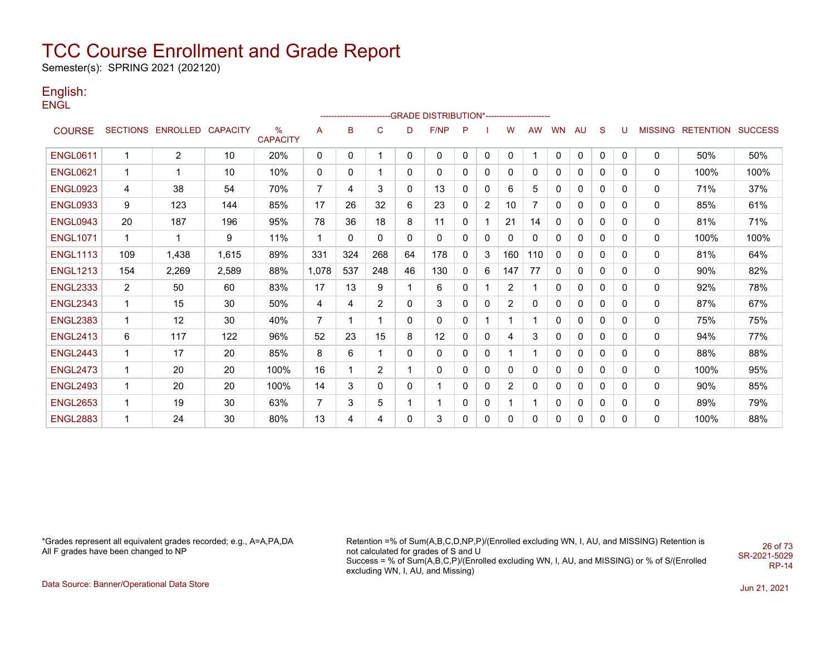Semester(s): SPRING 2021 (202120)

#### English: ENGL

|                 |                |                            |       |                      |                |          |                |          | ------------------------GRADE                DISTRIBUTION*---------------------- |          |                |                |           |              |              |              |              |                |                  |                |
|-----------------|----------------|----------------------------|-------|----------------------|----------------|----------|----------------|----------|----------------------------------------------------------------------------------|----------|----------------|----------------|-----------|--------------|--------------|--------------|--------------|----------------|------------------|----------------|
| <b>COURSE</b>   |                | SECTIONS ENROLLED CAPACITY |       | %<br><b>CAPACITY</b> | A              | в        | C              | D        | F/NP                                                                             | P        |                | W              | <b>AW</b> | WN           | AU           | S            | U            | <b>MISSING</b> | <b>RETENTION</b> | <b>SUCCESS</b> |
| <b>ENGL0611</b> | 1              | $\overline{2}$             | 10    | 20%                  | 0              | 0        | 1              | 0        | $\mathbf 0$                                                                      | 0        | 0              | $\mathbf{0}$   |           | 0            | $\mathbf{0}$ | $\mathbf{0}$ | $\mathbf{0}$ | $\mathbf 0$    | 50%              | 50%            |
| <b>ENGL0621</b> | $\mathbf 1$    | $\mathbf 1$                | 10    | 10%                  | 0              | 0        | 1              | 0        | 0                                                                                | 0        | $\mathbf{0}$   | $\Omega$       | 0         | 0            | 0            | 0            | 0            | 0              | 100%             | 100%           |
| <b>ENGL0923</b> | 4              | 38                         | 54    | 70%                  | $\overline{7}$ | 4        | 3              | 0        | 13                                                                               | $\Omega$ | 0              | 6              | 5         | 0            | $\mathbf{0}$ | 0            | 0            | 0              | 71%              | 37%            |
| <b>ENGL0933</b> | 9              | 123                        | 144   | 85%                  | 17             | 26       | 32             | 6        | 23                                                                               | $\Omega$ | $\overline{2}$ | 10             | 7         | 0            | 0            | 0            | 0            | 0              | 85%              | 61%            |
| <b>ENGL0943</b> | 20             | 187                        | 196   | 95%                  | 78             | 36       | 18             | 8        | 11                                                                               | $\Omega$ |                | 21             | 14        | $\mathbf{0}$ | 0            | 0            | 0            | 0              | 81%              | 71%            |
| <b>ENGL1071</b> | $\mathbf{1}$   | $\blacktriangleleft$       | 9     | 11%                  | $\mathbf{1}$   | $\Omega$ | $\mathbf{0}$   | $\Omega$ | $\mathbf{0}$                                                                     | $\Omega$ | 0              | $\Omega$       | 0         | 0            | 0            | 0            | 0            | 0              | 100%             | 100%           |
| <b>ENGL1113</b> | 109            | 1,438                      | 1,615 | 89%                  | 331            | 324      | 268            | 64       | 178                                                                              | 0        | 3              | 160            | 110       | $\mathbf{0}$ | 0            | 0            | 0            | 0              | 81%              | 64%            |
| <b>ENGL1213</b> | 154            | 2,269                      | 2,589 | 88%                  | 1,078          | 537      | 248            | 46       | 130                                                                              | 0        | 6              | 147            | 77        | $\mathbf{0}$ | 0            | 0            | 0            | 0              | 90%              | 82%            |
| <b>ENGL2333</b> | $\overline{2}$ | 50                         | 60    | 83%                  | 17             | 13       | 9              |          | 6                                                                                | 0        |                | $\overline{2}$ |           | 0            | 0            | 0            | 0            | 0              | 92%              | 78%            |
| <b>ENGL2343</b> | $\mathbf{1}$   | 15                         | 30    | 50%                  | 4              | 4        | $\overline{2}$ | 0        | 3                                                                                | 0        | 0              | $\overline{2}$ | 0         | 0            | 0            | 0            | 0            | 0              | 87%              | 67%            |
| <b>ENGL2383</b> | $\mathbf{1}$   | 12                         | 30    | 40%                  | 7              | 1        | $\mathbf{1}$   | 0        | 0                                                                                | 0        |                |                |           | 0            | $\mathbf{0}$ | 0            | 0            | 0              | 75%              | 75%            |
| <b>ENGL2413</b> | 6              | 117                        | 122   | 96%                  | 52             | 23       | 15             | 8        | 12                                                                               | 0        | 0              | 4              | 3         | $\mathbf{0}$ | $\mathbf{0}$ | 0            | 0            | 0              | 94%              | 77%            |
| <b>ENGL2443</b> | $\mathbf{1}$   | 17                         | 20    | 85%                  | 8              | 6        | 1              | 0        | 0                                                                                | 0        | 0              |                |           | 0            | 0            | 0            | 0            | 0              | 88%              | 88%            |
| <b>ENGL2473</b> | $\mathbf 1$    | 20                         | 20    | 100%                 | 16             |          | $\overline{2}$ |          | 0                                                                                | 0        | 0              | 0              | 0         | 0            | 0            | 0            | 0            | 0              | 100%             | 95%            |
| <b>ENGL2493</b> | $\mathbf 1$    | 20                         | 20    | 100%                 | 14             | 3        | 0              | 0        | 1                                                                                | 0        | 0              | 2              | 0         | 0            | 0            | 0            | 0            | 0              | 90%              | 85%            |
| <b>ENGL2653</b> | $\mathbf 1$    | 19                         | 30    | 63%                  | 7              | 3        | 5              |          | 1                                                                                | 0        | 0              |                |           | 0            | 0            | 0            | 0            | 0              | 89%              | 79%            |
| <b>ENGL2883</b> | 1              | 24                         | 30    | 80%                  | 13             | 4        | 4              | 0        | 3                                                                                | 0        | 0              | 0              | 0         | $\mathbf{0}$ | 0            | 0            | 0            | $\Omega$       | 100%             | 88%            |

\*Grades represent all equivalent grades recorded; e.g., A=A,PA,DA All F grades have been changed to NP

Retention =% of Sum(A,B,C,D,NP,P)/(Enrolled excluding WN, I, AU, and MISSING) Retention is not calculated for grades of S and U Success = % of Sum(A,B,C,P)/(Enrolled excluding WN, I, AU, and MISSING) or % of S/(Enrolled excluding WN, I, AU, and Missing) 26 of 73 SR-2021-5029

RP-14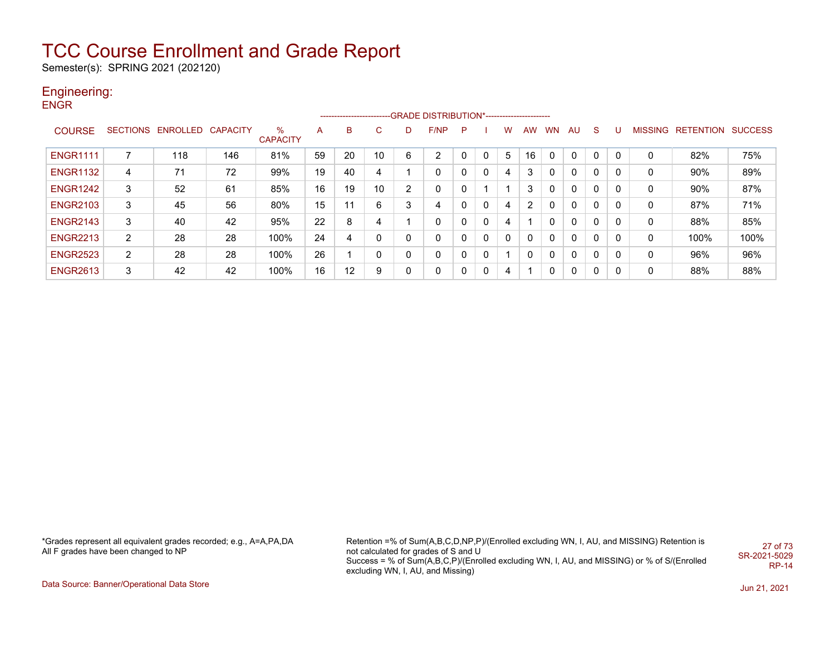Semester(s): SPRING 2021 (202120)

### Engineering:

**ENGR** 

|                 |                |                            |     |                         |    |    |    |   | ------------------------GRADE                DISTRIBUTION*---------------------- |   |   |   |              |           |              |              |          |   |                   |                |
|-----------------|----------------|----------------------------|-----|-------------------------|----|----|----|---|----------------------------------------------------------------------------------|---|---|---|--------------|-----------|--------------|--------------|----------|---|-------------------|----------------|
| <b>COURSE</b>   |                | SECTIONS ENROLLED CAPACITY |     | $\%$<br><b>CAPACITY</b> | A  | B  | C  |   | F/NP                                                                             | P |   | w | <b>AW</b>    | <b>WN</b> | AU           | S.           | U        |   | MISSING RETENTION | <b>SUCCESS</b> |
| <b>ENGR1111</b> |                | 118                        | 146 | 81%                     | 59 | 20 | 10 | 6 | $\overline{2}$                                                                   |   | 0 | 5 | 16           |           | $\mathbf{0}$ |              | $\Omega$ | 0 | 82%               | 75%            |
| <b>ENGR1132</b> | 4              | 71                         | 72  | 99%                     | 19 | 40 | 4  |   | 0                                                                                |   | 0 | 4 | 3            | 0         | 0            | 0            | 0        | 0 | 90%               | 89%            |
| <b>ENGR1242</b> | 3              | 52                         | 61  | 85%                     | 16 | 19 | 10 | 2 | 0                                                                                |   |   |   | 3            |           | 0            | 0            | 0        | 0 | 90%               | 87%            |
| <b>ENGR2103</b> | 3              | 45                         | 56  | 80%                     | 15 | 11 | 6  | 3 | 4                                                                                |   | 0 | 4 | 2            |           | 0            | 0            | 0        | 0 | 87%               | 71%            |
| <b>ENGR2143</b> | 3              | 40                         | 42  | 95%                     | 22 | 8  | 4  |   | 0                                                                                |   | 0 | 4 |              |           | 0            | 0            | 0        | 0 | 88%               | 85%            |
| <b>ENGR2213</b> | $\overline{2}$ | 28                         | 28  | 100%                    | 24 | 4  | 0  | 0 | 0                                                                                |   | 0 | 0 | 0            |           | 0            | 0            | 0        | 0 | 100%              | 100%           |
| <b>ENGR2523</b> | $\overline{2}$ | 28                         | 28  | 100%                    | 26 |    | 0  | 0 | 0                                                                                |   | 0 |   | $\mathbf{0}$ | 0         | 0            | 0            | 0        | 0 | 96%               | 96%            |
| <b>ENGR2613</b> | 3              | 42                         | 42  | 100%                    | 16 | 12 | 9  | 0 | 0                                                                                |   | 0 | 4 |              |           | 0            | $\mathbf{0}$ | 0        | 0 | 88%               | 88%            |

\*Grades represent all equivalent grades recorded; e.g., A=A,PA,DA All F grades have been changed to NP

Retention =% of Sum(A,B,C,D,NP,P)/(Enrolled excluding WN, I, AU, and MISSING) Retention is not calculated for grades of S and U Success = % of Sum(A,B,C,P)/(Enrolled excluding WN, I, AU, and MISSING) or % of S/(Enrolled excluding WN, I, AU, and Missing) 27 of 73 SR-2021-5029 RP-14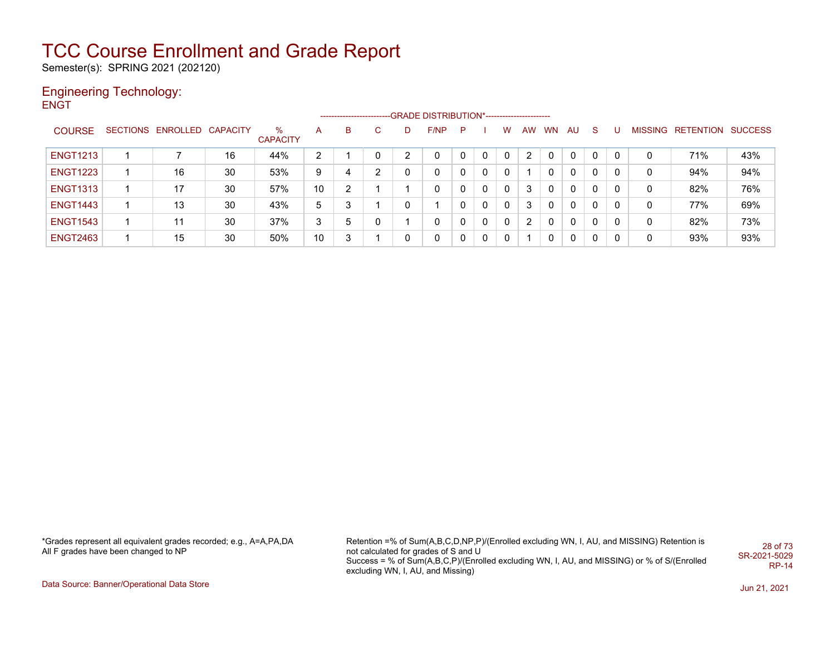Semester(s): SPRING 2021 (202120)

#### Engineering Technology: **ENGT**

|                 |                            |    |                      |    | ------------------------ |          |   | --GRADE DISTRIBUTION*------------------------ |          |              |              |                |              |              |          |          |                |           |                |
|-----------------|----------------------------|----|----------------------|----|--------------------------|----------|---|-----------------------------------------------|----------|--------------|--------------|----------------|--------------|--------------|----------|----------|----------------|-----------|----------------|
| <b>COURSE</b>   | SECTIONS ENROLLED CAPACITY |    | %<br><b>CAPACITY</b> | A  | B                        | C.       |   | F/NP                                          | P        |              | w            | <b>AW</b>      | <b>WN</b>    | AU           | -S       |          | <b>MISSING</b> | RETENTION | <b>SUCCESS</b> |
| <b>ENGT1213</b> |                            | 16 | 44%                  | 2  |                          | $\Omega$ |   |                                               | $\Omega$ | $\Omega$     | $\Omega$     |                |              | $\mathbf{0}$ | $\Omega$ | $\Omega$ | 0              | 71%       | 43%            |
| <b>ENGT1223</b> | 16                         | 30 | 53%                  | 9  | 4                        | 2        | 0 | 0                                             | $\Omega$ | $\Omega$     | $\mathbf{0}$ |                | 0            | $\mathbf{0}$ | 0        |          | 0              | 94%       | 94%            |
| <b>ENGT1313</b> | 17                         | 30 | 57%                  | 10 | 2                        |          |   | 0                                             | $\Omega$ | $\Omega$     | $\mathbf{0}$ | 3              | $\mathbf{0}$ | $\mathbf{0}$ | 0        | 0        | 0              | 82%       | 76%            |
| <b>ENGT1443</b> | 13                         | 30 | 43%                  | 5  | 3                        |          | 0 |                                               | $\Omega$ | $\Omega$     | $\Omega$     | 3              | $\mathbf{0}$ | $\mathbf{0}$ | 0        | 0        | 0              | 77%       | 69%            |
| <b>ENGT1543</b> | 11                         | 30 | 37%                  | 3  | 5                        | 0        |   | 0                                             | $\Omega$ | $\mathbf{0}$ | $\Omega$     | $\overline{2}$ | $\mathbf{0}$ | $\mathbf{0}$ | 0        | 0        | 0              | 82%       | 73%            |
| <b>ENGT2463</b> | 15                         | 30 | 50%                  | 10 | 3                        |          |   | 0                                             | $\Omega$ | $\mathbf{0}$ | $\Omega$     |                | 0            | $\mathbf{0}$ | 0        | 0        | 0              | 93%       | 93%            |

\*Grades represent all equivalent grades recorded; e.g., A=A,PA,DA All F grades have been changed to NP

Retention =% of Sum(A,B,C,D,NP,P)/(Enrolled excluding WN, I, AU, and MISSING) Retention is not calculated for grades of S and U Success = % of Sum(A,B,C,P)/(Enrolled excluding WN, I, AU, and MISSING) or % of S/(Enrolled excluding WN, I, AU, and Missing) 28 of 73 SR-2021-5029 RP-14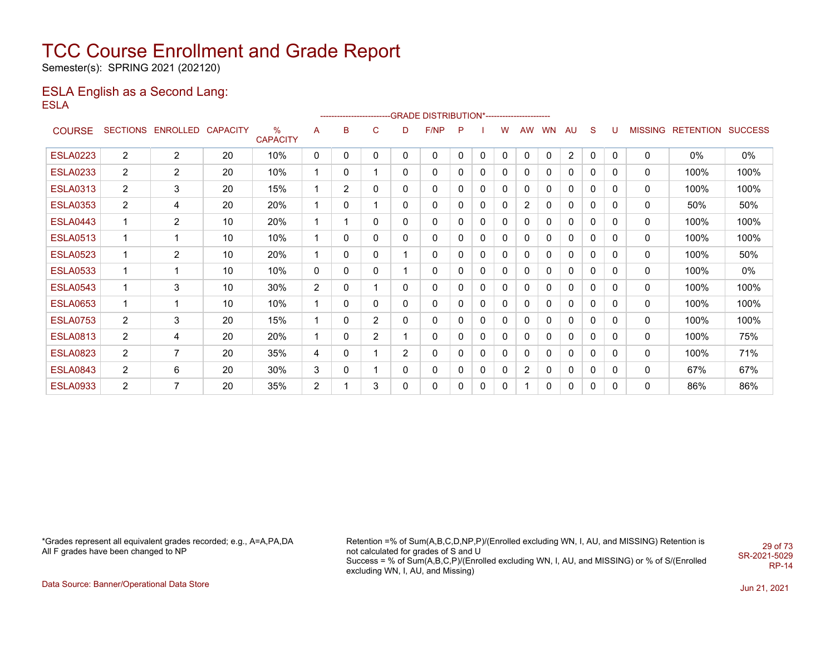Semester(s): SPRING 2021 (202120)

### ESLA English as a Second Lang: ESLA

|                 |                       |                          |    |                         |                |                |                |                | ------------------------GRADE                DISTRIBUTION*---------------------- |              |   |              |                |           |                |              |   |                |                  |                |
|-----------------|-----------------------|--------------------------|----|-------------------------|----------------|----------------|----------------|----------------|----------------------------------------------------------------------------------|--------------|---|--------------|----------------|-----------|----------------|--------------|---|----------------|------------------|----------------|
| <b>COURSE</b>   | <b>SECTIONS</b>       | <b>ENROLLED CAPACITY</b> |    | $\%$<br><b>CAPACITY</b> | A              | В              | C              | D              | F/NP                                                                             | P            |   | w            | <b>AW</b>      | <b>WN</b> | AU             | S            | U | <b>MISSING</b> | <b>RETENTION</b> | <b>SUCCESS</b> |
| <b>ESLA0223</b> | $\overline{2}$        | 2                        | 20 | 10%                     | 0              | 0              | 0              | 0              | 0                                                                                | $\mathbf{0}$ | 0 | $\mathbf{0}$ | 0              | 0         | $\overline{2}$ | 0            | 0 | $\mathbf{0}$   | $0\%$            | 0%             |
| <b>ESLA0233</b> | $\mathbf{2}^{\prime}$ | $\overline{2}$           | 20 | 10%                     |                | 0              |                | 0              | 0                                                                                | 0            | 0 | 0            | 0              | 0         | 0              | 0            | 0 | 0              | 100%             | 100%           |
| <b>ESLA0313</b> | $\overline{2}$        | 3                        | 20 | 15%                     |                | $\overline{2}$ | 0              | 0              | 0                                                                                | $\Omega$     | 0 | 0            | 0              | 0         | 0              | $\mathbf{0}$ | 0 | 0              | 100%             | 100%           |
| <b>ESLA0353</b> | $\overline{2}$        | 4                        | 20 | 20%                     |                | 0              |                | 0              | 0                                                                                | 0            | 0 | $\Omega$     | $\overline{c}$ | 0         | 0              | 0            | 0 | 0              | 50%              | 50%            |
| <b>ESLA0443</b> | 1                     | $\overline{2}$           | 10 | 20%                     |                |                | 0              | 0              | 0                                                                                | 0            | 0 | $\mathbf 0$  | 0              | 0         | 0              | 0            | 0 | 0              | 100%             | 100%           |
| <b>ESLA0513</b> | 1                     | 1                        | 10 | 10%                     |                | 0              | 0              | 0              | 0                                                                                | 0            | 0 | $\mathbf{0}$ | 0              | 0         | 0              | 0            | 0 | 0              | 100%             | 100%           |
| <b>ESLA0523</b> | 1                     | 2                        | 10 | 20%                     |                | 0              | 0              |                | 0                                                                                | 0            | 0 | $\mathbf{0}$ | 0              | 0         | 0              | 0            | 0 | 0              | 100%             | 50%            |
| <b>ESLA0533</b> | 1                     | $\mathbf 1$              | 10 | 10%                     | 0              | 0              | 0              | 1              | 0                                                                                | 0            | 0 | 0            | 0              | 0         | 0              | 0            | 0 | 0              | 100%             | 0%             |
| <b>ESLA0543</b> | 1                     | 3                        | 10 | 30%                     | $\overline{2}$ | 0              |                | 0              | 0                                                                                | 0            | 0 | $\mathbf{0}$ | $\mathbf{0}$   | 0         | 0              | $\mathbf{0}$ | 0 | $\mathbf{0}$   | 100%             | 100%           |
| <b>ESLA0653</b> | 1                     | 1                        | 10 | 10%                     |                | 0              | 0              | 0              | 0                                                                                | 0            | 0 | $\Omega$     | 0              | 0         | 0              | 0            | 0 | 0              | 100%             | 100%           |
| <b>ESLA0753</b> | $\overline{2}$        | 3                        | 20 | 15%                     |                | 0              | $\overline{2}$ | 0              | 0                                                                                | 0            | 0 | 0            | 0              | 0         | 0              | 0            | 0 | 0              | 100%             | 100%           |
| <b>ESLA0813</b> | $\overline{2}$        | 4                        | 20 | 20%                     |                | 0              | 2              |                | 0                                                                                | 0            | 0 | $\mathbf{0}$ | 0              | 0         | 0              | 0            | 0 | 0              | 100%             | 75%            |
| <b>ESLA0823</b> | $\overline{2}$        | $\overline{7}$           | 20 | 35%                     | 4              | 0              |                | $\overline{2}$ | 0                                                                                | 0            | 0 | $\Omega$     | 0              | 0         | 0              | 0            | 0 | 0              | 100%             | 71%            |
| <b>ESLA0843</b> | $\overline{2}$        | 6                        | 20 | 30%                     | 3              | 0              | 1              | 0              | 0                                                                                | 0            | 0 | $\mathbf 0$  | 2              | 0         | 0              | 0            | 0 | 0              | 67%              | 67%            |
| <b>ESLA0933</b> | $\overline{2}$        | 7                        | 20 | 35%                     | $\overline{2}$ |                | 3              | 0              | 0                                                                                | 0            | 0 | 0            | 1              | 0         | 0              | $\mathbf{0}$ | 0 | $\mathbf{0}$   | 86%              | 86%            |

\*Grades represent all equivalent grades recorded; e.g., A=A,PA,DA All F grades have been changed to NP

Retention =% of Sum(A,B,C,D,NP,P)/(Enrolled excluding WN, I, AU, and MISSING) Retention is not calculated for grades of S and U Success = % of Sum(A,B,C,P)/(Enrolled excluding WN, I, AU, and MISSING) or % of S/(Enrolled excluding WN, I, AU, and Missing) 29 of 73 SR-2021-5029

RP-14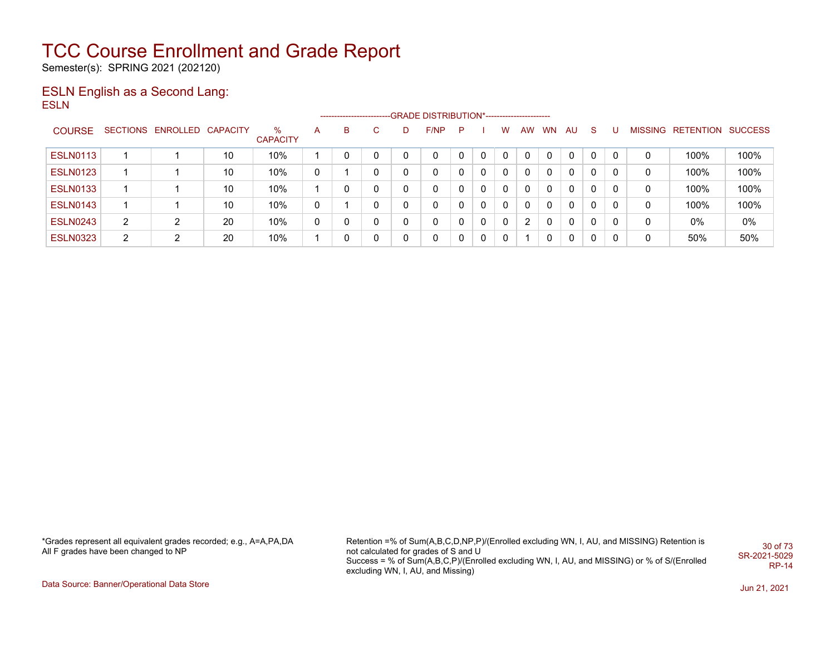Semester(s): SPRING 2021 (202120)

### ESLN English as a Second Lang: ESLN

|                 |                |                            |    |                      |   |   |    |   | -------------------------GRADE DISTRIBUTION*----------------------- |   |              |              |    |              |              |              |          |   |                           |       |
|-----------------|----------------|----------------------------|----|----------------------|---|---|----|---|---------------------------------------------------------------------|---|--------------|--------------|----|--------------|--------------|--------------|----------|---|---------------------------|-------|
| <b>COURSE</b>   |                | SECTIONS ENROLLED CAPACITY |    | %<br><b>CAPACITY</b> | A | в | C. | D | F/NP                                                                | P |              | W            | AW | WN           | AU           | -S           |          |   | MISSING RETENTION SUCCESS |       |
| <b>ESLN0113</b> |                |                            | 10 | 10%                  |   |   | 0  |   | 0                                                                   |   | 0            | 0            | 0  |              | $\Omega$     | $\Omega$     | $\Omega$ | 0 | 100%                      | 100%  |
| <b>ESLN0123</b> |                |                            | 10 | 10%                  | 0 |   | 0  |   | 0                                                                   | 0 | $\mathbf{0}$ | 0            | 0  | $\mathbf{0}$ | $\mathbf{0}$ | $\mathbf{0}$ | 0        | 0 | 100%                      | 100%  |
| <b>ESLN0133</b> |                |                            | 10 | 10%                  |   |   | 0  |   | 0                                                                   | 0 | $\mathbf{0}$ | $\mathbf{0}$ | 0  | $\Omega$     | $\mathbf{0}$ | $\Omega$     | 0        | 0 | 100%                      | 100%  |
| <b>ESLN0143</b> |                |                            | 10 | 10%                  | 0 |   | 0  |   | 0                                                                   |   | $\mathbf{0}$ | 0            | 0  |              | $\Omega$     | $\Omega$     | 0        | 0 | 100%                      | 100%  |
| <b>ESLN0243</b> | $\overline{2}$ | ົ                          | 20 | 10%                  | 0 |   | 0  |   | $\mathbf{0}$                                                        | 0 | 0            | 0            | 2  |              | $\Omega$     | $\Omega$     | 0        | 0 | $0\%$                     | $0\%$ |
| <b>ESLN0323</b> | $\overline{2}$ | ົ                          | 20 | 10%                  |   |   | 0  |   | $\mathbf{0}$                                                        | 0 | $\mathbf{0}$ | 0            |    |              | $\mathbf{0}$ | $\Omega$     | $\Omega$ | 0 | 50%                       | 50%   |

\*Grades represent all equivalent grades recorded; e.g., A=A,PA,DA All F grades have been changed to NP

Retention =% of Sum(A,B,C,D,NP,P)/(Enrolled excluding WN, I, AU, and MISSING) Retention is not calculated for grades of S and U Success = % of Sum(A,B,C,P)/(Enrolled excluding WN, I, AU, and MISSING) or % of S/(Enrolled excluding WN, I, AU, and Missing) 30 of 73 SR-2021-5029 RP-14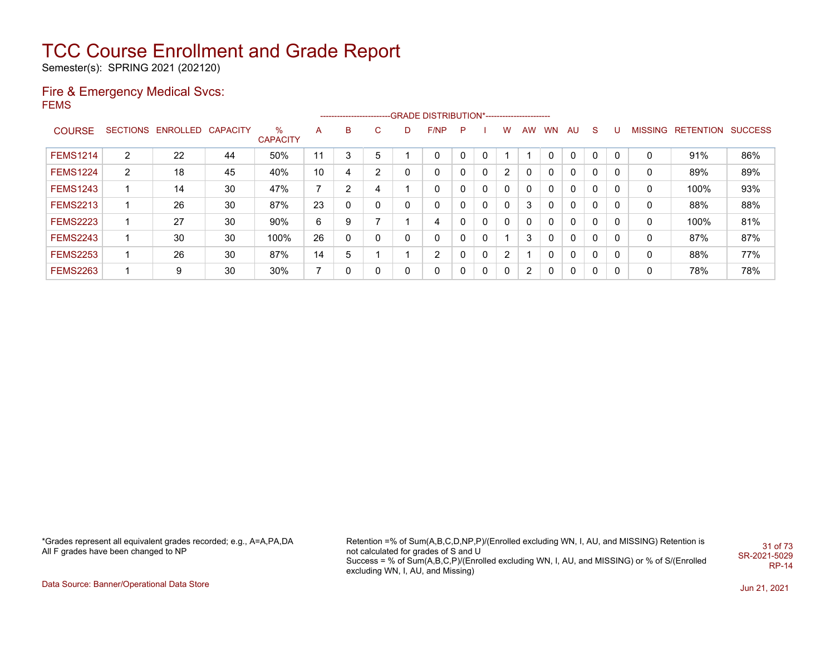Semester(s): SPRING 2021 (202120)

#### Fire & Emergency Medical Svcs: FEMS

|                 |                |                            |    |                      |    |          |                |   | ------------------------GRADE                DISTRIBUTION*---------------------- |    |   |                |           |              |              |              |          |              |                           |     |
|-----------------|----------------|----------------------------|----|----------------------|----|----------|----------------|---|----------------------------------------------------------------------------------|----|---|----------------|-----------|--------------|--------------|--------------|----------|--------------|---------------------------|-----|
| <b>COURSE</b>   |                | SECTIONS ENROLLED CAPACITY |    | %<br><b>CAPACITY</b> | A  | в        | C              | D | F/NP                                                                             | -P |   | w              | <b>AW</b> | WN.          | AU           | <sub>S</sub> | υ        |              | MISSING RETENTION SUCCESS |     |
| <b>FEMS1214</b> | 2              | 22                         | 44 | 50%                  | 11 | 3        | 5              |   | $\mathbf{0}$                                                                     |    |   |                |           |              | 0            | $\mathbf{0}$ | $\Omega$ | $\mathbf{0}$ | 91%                       | 86% |
| <b>FEMS1224</b> | $\overline{2}$ | 18                         | 45 | 40%                  | 10 | 4        | $\overline{2}$ | 0 | 0                                                                                |    | 0 | $\overline{2}$ |           | <sup>0</sup> | 0            | 0            | 0        | 0            | 89%                       | 89% |
| <b>FEMS1243</b> |                | 14                         | 30 | 47%                  | 7  | ົ        | 4              |   | 0                                                                                |    | 0 | 0              |           |              | 0            | 0            | 0        | 0            | 100%                      | 93% |
| <b>FEMS2213</b> |                | 26                         | 30 | 87%                  | 23 |          | 0              | 0 | 0                                                                                |    | 0 | 0              | 3         |              | 0            | 0            | 0        | 0            | 88%                       | 88% |
| <b>FEMS2223</b> |                | 27                         | 30 | 90%                  | 6  | 9        | ⇁              |   | 4                                                                                |    | 0 | $\Omega$       | 0         | $\Omega$     | 0            | 0            | 0        | 0            | 100%                      | 81% |
| <b>FEMS2243</b> |                | 30                         | 30 | 100%                 | 26 | $\Omega$ | 0              | 0 | 0                                                                                |    | 0 |                | 3         | $\Omega$     | 0            | $\mathbf{0}$ | 0        | 0            | 87%                       | 87% |
| <b>FEMS2253</b> |                | 26                         | 30 | 87%                  | 14 | 5        |                |   | 2                                                                                |    | 0 | $\overline{2}$ |           |              | 0            | $\mathbf{0}$ | 0        | 0            | 88%                       | 77% |
| <b>FEMS2263</b> |                | 9                          | 30 | 30%                  | 7  | 0        | 0              | 0 | 0                                                                                |    | 0 | $\Omega$       | 2         | n.           | $\mathbf{0}$ | 0            | 0        | 0            | 78%                       | 78% |

\*Grades represent all equivalent grades recorded; e.g., A=A,PA,DA All F grades have been changed to NP

Retention =% of Sum(A,B,C,D,NP,P)/(Enrolled excluding WN, I, AU, and MISSING) Retention is not calculated for grades of S and U Success = % of Sum(A,B,C,P)/(Enrolled excluding WN, I, AU, and MISSING) or % of S/(Enrolled excluding WN, I, AU, and Missing) 31 of 73 SR-2021-5029 RP-14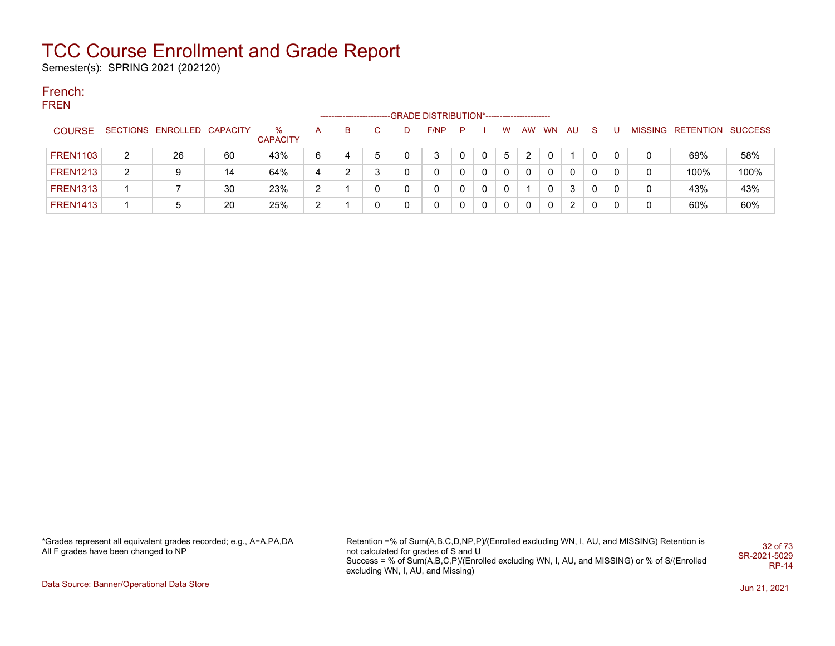Semester(s): SPRING 2021 (202120)

#### French: FREN

|                 |   |                            |    |                      |                |   |             |   | -GRADE DISTRIBUTION*----------------------- |   |   |   |    |           |    |    |   |                           |      |
|-----------------|---|----------------------------|----|----------------------|----------------|---|-------------|---|---------------------------------------------|---|---|---|----|-----------|----|----|---|---------------------------|------|
| <b>COURSE</b>   |   | SECTIONS ENROLLED CAPACITY |    | %<br><b>CAPACITY</b> | A              | B | C.          | D | F/NP                                        | P |   | w | AW | <b>WN</b> | AU | `S |   | MISSING RETENTION SUCCESS |      |
| <b>FREN1103</b> | 2 | 26                         | 60 | 43%                  | 6              |   | $\mathbf b$ | 0 | 3                                           |   | 0 | 5 | ົ  |           |    |    | 0 | 69%                       | 58%  |
| <b>FREN1213</b> | 2 |                            | 14 | 64%                  | 4              |   | 3           |   | 0                                           |   | 0 |   | 0  |           | 0  |    | 0 | 100%                      | 100% |
| <b>FREN1313</b> |   |                            | 30 | 23%                  | $\overline{2}$ |   | 0           |   | 0                                           |   | 0 | 0 |    | 0         | 3  |    | 0 | 43%                       | 43%  |
| <b>FREN1413</b> |   | :5                         | 20 | 25%                  | ົ              |   | 0           | 0 | 0                                           |   | 0 | 0 | 0  | 0         | 2  |    | 0 | 60%                       | 60%  |

\*Grades represent all equivalent grades recorded; e.g., A=A,PA,DA All F grades have been changed to NP

Retention =% of Sum(A,B,C,D,NP,P)/(Enrolled excluding WN, I, AU, and MISSING) Retention is not calculated for grades of S and U Success = % of Sum(A,B,C,P)/(Enrolled excluding WN, I, AU, and MISSING) or % of S/(Enrolled excluding WN, I, AU, and Missing) 32 of 73 SR-2021-5029 RP-14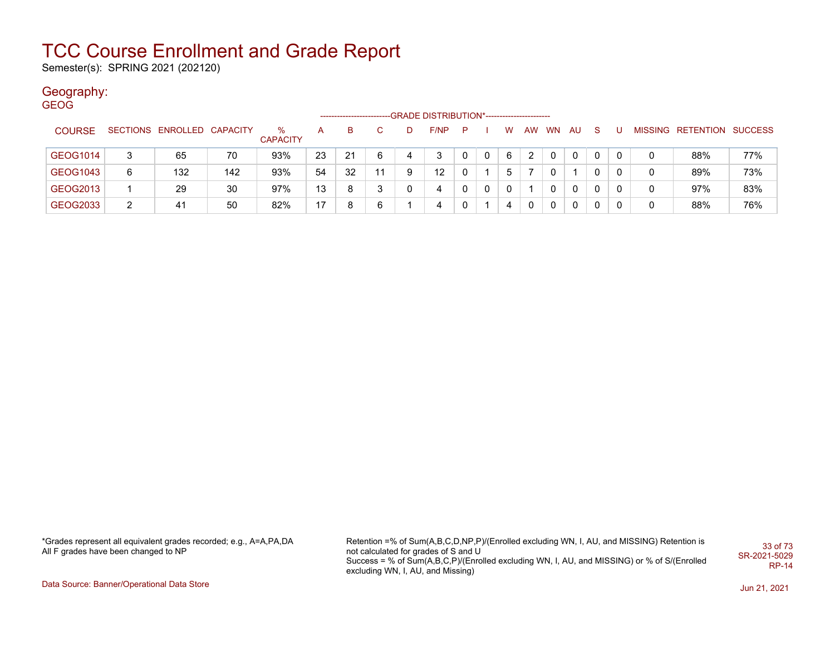Semester(s): SPRING 2021 (202120)

#### Geography: GEOG

|               |                |                            |     |                      |    | --------------------- |    | -GRADE DISTRIBUTION*----------------------- |   |   |   |    |             |          |    |          |   |                           |     |
|---------------|----------------|----------------------------|-----|----------------------|----|-----------------------|----|---------------------------------------------|---|---|---|----|-------------|----------|----|----------|---|---------------------------|-----|
| <b>COURSE</b> |                | SECTIONS ENROLLED CAPACITY |     | %<br><b>CAPACITY</b> | A  | B.                    |    | F/NP                                        | P |   | W | AW | <b>WN</b>   | AU.      | -S |          |   | MISSING RETENTION SUCCESS |     |
| GEOG1014      | 3              | 65                         | 70  | 93%                  | 23 | 21                    | 6  | 3                                           | 0 | 0 | 6 | 2  | $\Omega$    | $\Omega$ |    | 0        | 0 | 88%                       | 77% |
| GEOG1043      | 6              | 132                        | 142 | 93%                  | 54 | 32                    | 11 | $12 \overline{ }$                           | 0 |   | 5 |    |             |          |    | $\Omega$ | 0 | 89%                       | 73% |
| GEOG2013      |                | 29                         | 30  | 97%                  | 13 | 8                     | 3  | 4                                           | 0 | 0 |   |    | 0           | 0        |    | $\Omega$ | 0 | 97%                       | 83% |
| GEOG2033      | $\overline{2}$ | 41                         | 50  | 82%                  | 17 | 8                     | 6  | 4                                           | 0 |   | 4 | 0  | $\mathbf 0$ | 0        | 0  | 0        | 0 | 88%                       | 76% |

\*Grades represent all equivalent grades recorded; e.g., A=A,PA,DA All F grades have been changed to NP

Retention =% of Sum(A,B,C,D,NP,P)/(Enrolled excluding WN, I, AU, and MISSING) Retention is not calculated for grades of S and U Success = % of Sum(A,B,C,P)/(Enrolled excluding WN, I, AU, and MISSING) or % of S/(Enrolled excluding WN, I, AU, and Missing) 33 of 73 SR-2021-5029 RP-14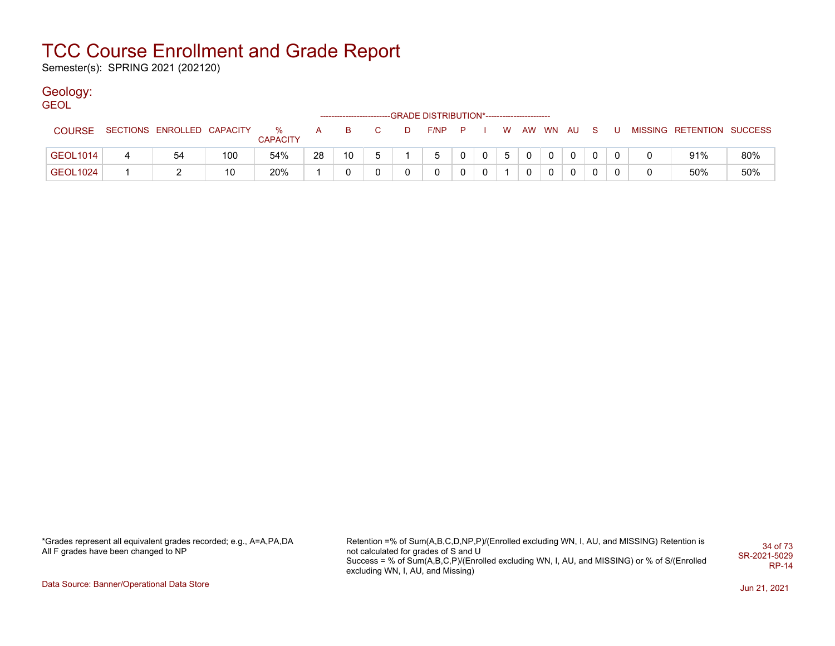Semester(s): SPRING 2021 (202120)

### Geology:

GEOL

|               |                            |     |                      |    | -------------------------- |   |    | -GRADE DISTRIBUTION*---------------------- |                |              |   |          |          |              |   |                           |     |
|---------------|----------------------------|-----|----------------------|----|----------------------------|---|----|--------------------------------------------|----------------|--------------|---|----------|----------|--------------|---|---------------------------|-----|
| <b>COURSE</b> | SECTIONS ENROLLED CAPACITY |     | %<br><b>CAPACITY</b> | A  | B.                         |   | D. | F/NP                                       | $\blacksquare$ |              | W | AW WN AU |          | - S          | U | MISSING RETENTION SUCCESS |     |
| GEOL1014      | 54                         | 100 | 54%                  | 28 | 10                         | 5 |    |                                            |                | $\mathbf{0}$ | 5 |          | $\Omega$ | $\Omega$     |   | 91%                       | 80% |
| GEOL1024      |                            | 10  | 20%                  |    |                            |   |    |                                            |                | 0            |   |          | $\Omega$ | $\mathbf{0}$ |   | 50%                       | 50% |

\*Grades represent all equivalent grades recorded; e.g., A=A,PA,DA All F grades have been changed to NP

Retention =% of Sum(A,B,C,D,NP,P)/(Enrolled excluding WN, I, AU, and MISSING) Retention is not calculated for grades of S and U Success = % of Sum(A,B,C,P)/(Enrolled excluding WN, I, AU, and MISSING) or % of S/(Enrolled excluding WN, I, AU, and Missing) 34 of 73 SR-2021-5029 RP-14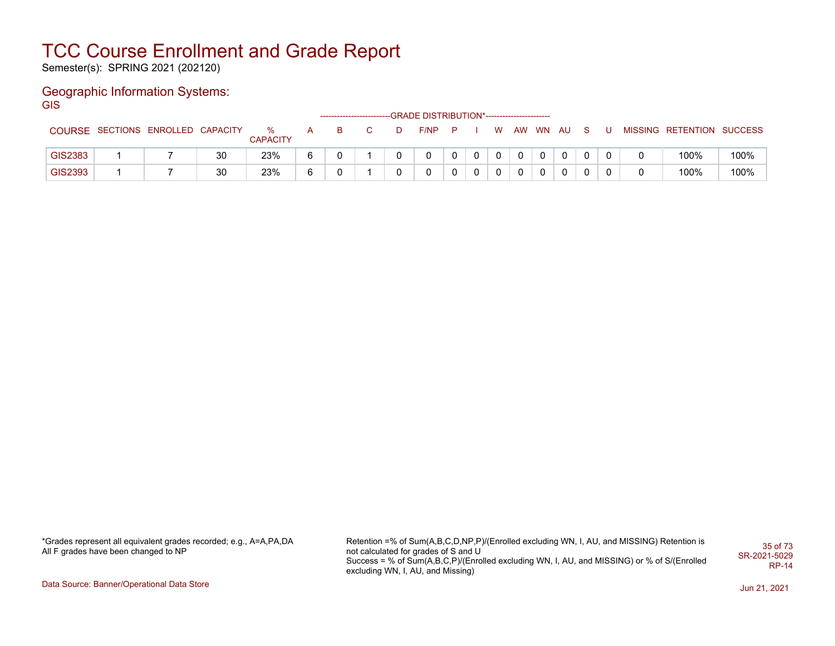Semester(s): SPRING 2021 (202120)

### Geographic Information Systems: **GIS**

|         |                                   |    |                         |              | ----------------------- |   | --GRADE DISTRIBUTION*----------------------- |   |   |             |    |        |  |             |                           |      |
|---------|-----------------------------------|----|-------------------------|--------------|-------------------------|---|----------------------------------------------|---|---|-------------|----|--------|--|-------------|---------------------------|------|
|         | COURSE SECTIONS ENROLLED CAPACITY |    | $\%$<br><b>CAPACITY</b> | $\mathsf{A}$ | B.                      | D | F/NP                                         | P |   | <b>W</b>    | AW | WN AUS |  |             | MISSING RETENTION SUCCESS |      |
| GIS2383 |                                   | 30 | 23%                     |              |                         |   |                                              |   | 0 | $\mathbf 0$ | 0  |        |  | $\mathbf 0$ | 100%                      | 100% |
| GIS2393 |                                   | 30 | 23%                     |              |                         |   |                                              |   |   |             |    |        |  | 0           | 100%                      | 100% |

\*Grades represent all equivalent grades recorded; e.g., A=A,PA,DA All F grades have been changed to NP

Retention =% of Sum(A,B,C,D,NP,P)/(Enrolled excluding WN, I, AU, and MISSING) Retention is not calculated for grades of S and U Success = % of Sum(A,B,C,P)/(Enrolled excluding WN, I, AU, and MISSING) or % of S/(Enrolled excluding WN, I, AU, and Missing) 35 of 73 SR-2021-5029 RP-14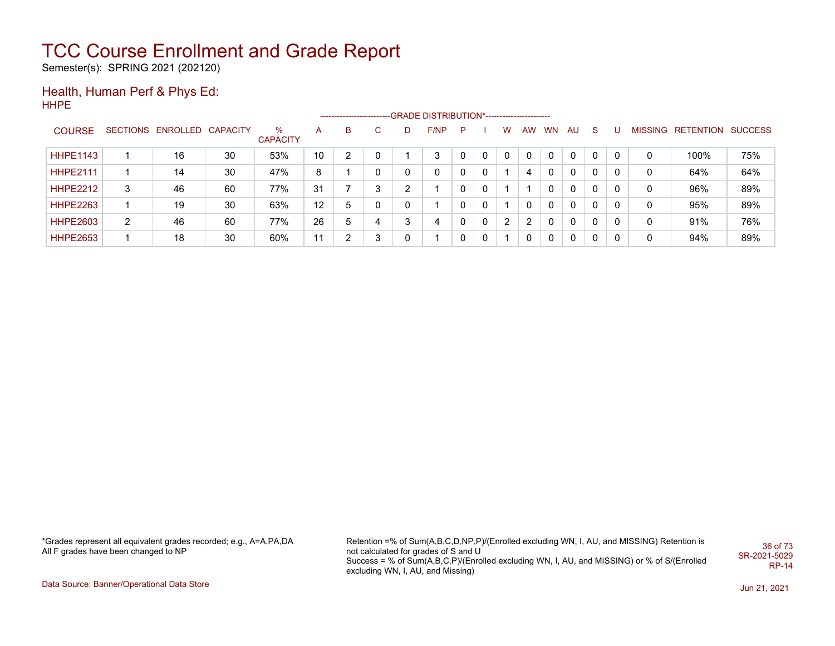Semester(s): SPRING 2021 (202120)

#### Health, Human Perf & Phys Ed: HHPE

|                 | ------------------------GRADE                DISTRIBUTION*---------------------- |                            |    |                      |    |   |              |   |      |   |   |   |    |    |    |              |   |   |                           |     |
|-----------------|----------------------------------------------------------------------------------|----------------------------|----|----------------------|----|---|--------------|---|------|---|---|---|----|----|----|--------------|---|---|---------------------------|-----|
| <b>COURSE</b>   |                                                                                  | SECTIONS ENROLLED CAPACITY |    | ℅<br><b>CAPACITY</b> | A  | B | $\mathbf{C}$ | D | F/NP | P |   | W | AW | WN | AU | <sub>S</sub> | υ |   | MISSING RETENTION SUCCESS |     |
| <b>HHPE1143</b> |                                                                                  | 16                         | 30 | 53%                  | 10 | າ | 0            |   | 3    |   | 0 |   |    |    | 0  | 0            |   | 0 | 100%                      | 75% |
| <b>HHPE2111</b> |                                                                                  | 14                         | 30 | 47%                  | 8  |   | 0            | 0 | 0    |   | 0 |   |    |    | 0  | 0            | 0 | 0 | 64%                       | 64% |
| <b>HHPE2212</b> | 3                                                                                | 46                         | 60 | 77%                  | 31 |   | 3            | າ |      |   | 0 |   |    |    | 0  | 0            | 0 | 0 | 96%                       | 89% |
| <b>HHPE2263</b> |                                                                                  | 19                         | 30 | 63%                  | 12 | 5 | 0            | 0 |      |   | 0 |   |    | 0  | 0  | 0            | 0 | 0 | 95%                       | 89% |
| <b>HHPE2603</b> | 2                                                                                | 46                         | 60 | 77%                  | 26 | 5 | 4            | 3 | 4    |   | 0 | 2 | 2  | 0  | 0  | 0            | 0 | 0 | 91%                       | 76% |
| <b>HHPE2653</b> |                                                                                  | 18                         | 30 | 60%                  | 11 | 2 | 3            | 0 |      |   | 0 |   |    |    | 0  | 0            | 0 | 0 | 94%                       | 89% |

\*Grades represent all equivalent grades recorded; e.g., A=A,PA,DA All F grades have been changed to NP

Retention =% of Sum(A,B,C,D,NP,P)/(Enrolled excluding WN, I, AU, and MISSING) Retention is not calculated for grades of S and U Success = % of Sum(A,B,C,P)/(Enrolled excluding WN, I, AU, and MISSING) or % of S/(Enrolled excluding WN, I, AU, and Missing) 36 of 73 SR-2021-5029 RP-14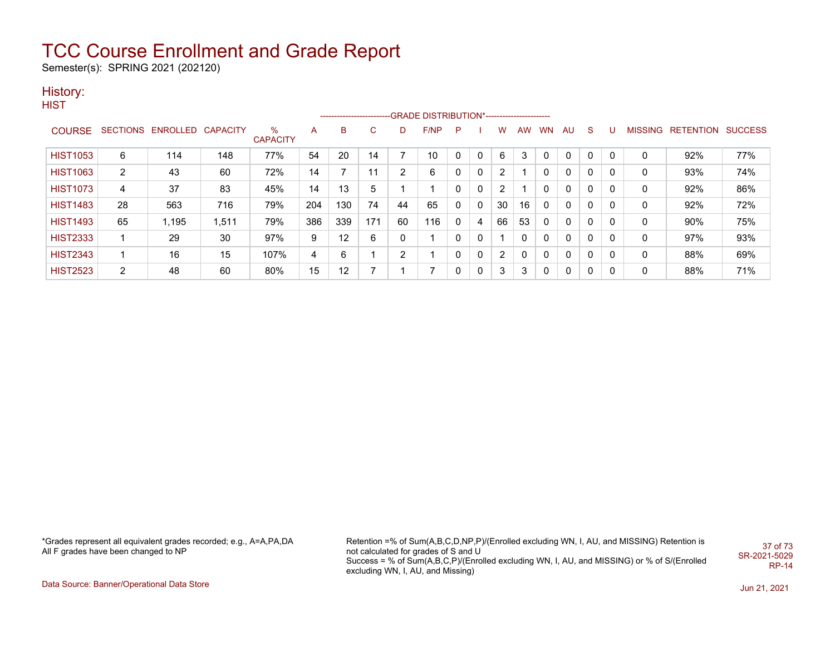Semester(s): SPRING 2021 (202120)

### History:

**HIST** 

|                 |                |                            |       |                         |     | ------------------------- |     |    | -GRADE DISTRIBUTION*---------------------- |    |              |                |          |           |              |              |   |                |                          |     |
|-----------------|----------------|----------------------------|-------|-------------------------|-----|---------------------------|-----|----|--------------------------------------------|----|--------------|----------------|----------|-----------|--------------|--------------|---|----------------|--------------------------|-----|
| <b>COURSE</b>   |                | SECTIONS ENROLLED CAPACITY |       | $\%$<br><b>CAPACITY</b> | A   | B                         | C   | D. | F/NP                                       | -P |              | w              | AW.      | <b>WN</b> | - AU         | <sub>S</sub> |   | <b>MISSING</b> | <b>RETENTION SUCCESS</b> |     |
| <b>HIST1053</b> | 6              | 114                        | 148   | 77%                     | 54  | 20                        | 14  |    | 10                                         |    |              | 6              | 3        |           | $\mathbf{0}$ | $\Omega$     | 0 | C              | 92%                      | 77% |
| <b>HIST1063</b> | 2              | 43                         | 60    | 72%                     | 14  |                           | 11  | າ  | 6                                          | 0  | 0            | 2              |          | 0         | $\Omega$     | 0            | 0 | 0              | 93%                      | 74% |
| <b>HIST1073</b> | 4              | 37                         | 83    | 45%                     | 14  | 13                        | 5   |    |                                            | 0  | 0            | 2              |          |           | 0            | 0            | 0 | 0              | 92%                      | 86% |
| <b>HIST1483</b> | 28             | 563                        | 716   | 79%                     | 204 | 130                       | 74  | 44 | 65                                         | 0  | $\mathbf{0}$ | 30             | 16       | 0         | $\Omega$     | 0            | 0 | 0              | 92%                      | 72% |
| <b>HIST1493</b> | 65             | .195                       | 1,511 | 79%                     | 386 | 339                       | 171 | 60 | 116                                        | 0  | 4            | 66             | 53       | 0         | $\Omega$     | 0            | 0 | 0              | $90\%$                   | 75% |
| <b>HIST2333</b> |                | 29                         | 30    | 97%                     | 9   | 12                        | 6   |    |                                            | 0  |              |                | $\Omega$ | 0         | 0            | $\mathbf{0}$ | 0 | 0              | 97%                      | 93% |
| <b>HIST2343</b> |                | 16                         | 15    | 107%                    | 4   | 6                         |     | C. |                                            | 0  | 0            | $\overline{2}$ | 0        | 0         | $\Omega$     | 0            | 0 | 0              | 88%                      | 69% |
| <b>HIST2523</b> | $\overline{2}$ | 48                         | 60    | 80%                     | 15  | 12                        |     |    | 7                                          | 0  |              | 3              | 3        | 0         | $\Omega$     | 0            | 0 | 0              | 88%                      | 71% |

\*Grades represent all equivalent grades recorded; e.g., A=A,PA,DA All F grades have been changed to NP

Retention =% of Sum(A,B,C,D,NP,P)/(Enrolled excluding WN, I, AU, and MISSING) Retention is not calculated for grades of S and U Success = % of Sum(A,B,C,P)/(Enrolled excluding WN, I, AU, and MISSING) or % of S/(Enrolled excluding WN, I, AU, and Missing) 37 of 73 SR-2021-5029 RP-14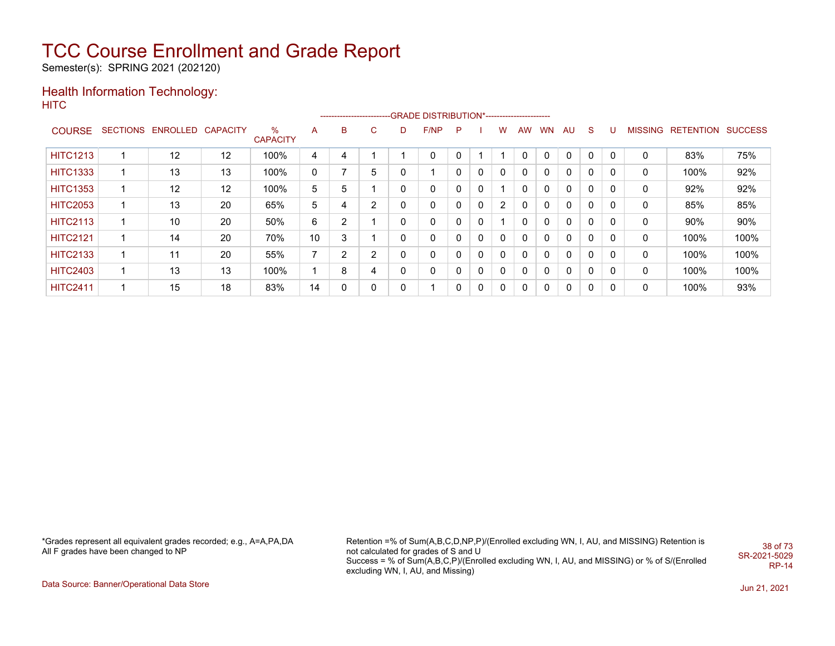Semester(s): SPRING 2021 (202120)

#### Health Information Technology: **HITC**

|                 |                   |                   |                      |    |   |    |   | --------------------------GRADE DISTRIBUTION*----------------------- |   |   |   |              |           |              |              |   |                |           |                |
|-----------------|-------------------|-------------------|----------------------|----|---|----|---|----------------------------------------------------------------------|---|---|---|--------------|-----------|--------------|--------------|---|----------------|-----------|----------------|
| <b>COURSE</b>   | SECTIONS ENROLLED | <b>CAPACITY</b>   | %<br><b>CAPACITY</b> | A  | B | C. | D | F/NP                                                                 | P |   | w | <b>AW</b>    | <b>WN</b> | AU           | S            |   | <b>MISSING</b> | RETENTION | <b>SUCCESS</b> |
| <b>HITC1213</b> | 12                | $12 \overline{ }$ | 100%                 | 4  | 4 |    |   | 0                                                                    | 0 |   |   | 0            | $\Omega$  | $\mathbf{0}$ | $\mathbf{0}$ | 0 | 0              | 83%       | 75%            |
| <b>HITC1333</b> | 13                | 13                | 100%                 | 0  |   | 5  |   |                                                                      | 0 |   | 0 | 0            | 0         | 0            | 0            | 0 | 0              | 100%      | 92%            |
| <b>HITC1353</b> | 12                | 12                | 100%                 | 5  | 5 |    | 0 | 0                                                                    | 0 | 0 |   | $\mathbf{0}$ | 0         | $\Omega$     | $\mathbf{0}$ | 0 | 0              | 92%       | 92%            |
| <b>HITC2053</b> | 13                | 20                | 65%                  | 5  | 4 | 2  |   | 0                                                                    | 0 | 0 | 2 | 0            | 0         | $\Omega$     | $\mathbf{0}$ | 0 | 0              | 85%       | 85%            |
| <b>HITC2113</b> | 10                | 20                | 50%                  | 6  | C |    |   | 0                                                                    | 0 | 0 |   | 0            | $\Omega$  | 0            | $\mathbf{0}$ | 0 | $\mathbf 0$    | 90%       | 90%            |
| <b>HITC2121</b> | 14                | 20                | 70%                  | 10 | 3 |    |   | 0                                                                    | 0 | 0 | 0 | $\mathbf{0}$ | 0         | $\Omega$     | $\mathbf{0}$ | 0 | 0              | 100%      | 100%           |
| <b>HITC2133</b> | 11                | 20                | 55%                  | 7  | ◠ | ົ  |   | 0                                                                    | 0 |   | 0 | $\mathbf 0$  | 0         | 0            | $\mathbf{0}$ | 0 | 0              | 100%      | 100%           |
| <b>HITC2403</b> | 13                | 13                | 100%                 |    | 8 | 4  |   | 0                                                                    | 0 | 0 | 0 | 0            | 0         | 0            | $\mathbf{0}$ | 0 | 0              | 100%      | 100%           |
| <b>HITC2411</b> | 15                | 18                | 83%                  | 14 |   | 0  |   |                                                                      | 0 | 0 | 0 | 0            | 0         | 0            | $\mathbf{0}$ | 0 | 0              | 100%      | 93%            |

\*Grades represent all equivalent grades recorded; e.g., A=A,PA,DA All F grades have been changed to NP

Retention =% of Sum(A,B,C,D,NP,P)/(Enrolled excluding WN, I, AU, and MISSING) Retention is not calculated for grades of S and U Success = % of Sum(A,B,C,P)/(Enrolled excluding WN, I, AU, and MISSING) or % of S/(Enrolled excluding WN, I, AU, and Missing) 38 of 73 SR-2021-5029 RP-14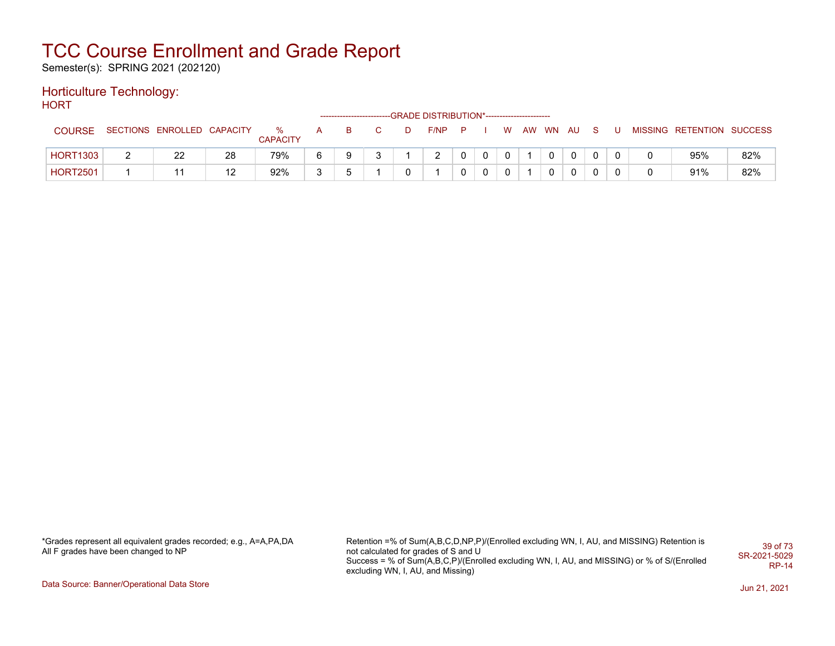Semester(s): SPRING 2021 (202120)

### Horticulture Technology:

**HORT** 

|                 |                            |    |                      |        | -------------------------- |  | -GRADE DISTRIBUTION*---------------------- |          |             |             |  |             |              |  |                           |     |
|-----------------|----------------------------|----|----------------------|--------|----------------------------|--|--------------------------------------------|----------|-------------|-------------|--|-------------|--------------|--|---------------------------|-----|
| <b>COURSE</b>   | SECTIONS ENROLLED CAPACITY |    | %<br><b>CAPACITY</b> | A      | в                          |  | F/NP                                       | <b>P</b> |             | <b>W</b>    |  | AW WN AU    | S.           |  | MISSING RETENTION SUCCESS |     |
| <b>HORT1303</b> | 22                         | 28 | 79%                  |        | a                          |  | C.                                         |          | $\mathbf 0$ | $\mathbf 0$ |  | $\mathbf 0$ | $\mathbf{0}$ |  | 95%                       | 82% |
| <b>HORT2501</b> |                            | 12 | 92%                  | $\sim$ |                            |  |                                            |          | 0           | 0           |  | $\mathbf 0$ | 0            |  | 91%                       | 82% |

\*Grades represent all equivalent grades recorded; e.g., A=A,PA,DA All F grades have been changed to NP

Retention =% of Sum(A,B,C,D,NP,P)/(Enrolled excluding WN, I, AU, and MISSING) Retention is not calculated for grades of S and U Success = % of Sum(A,B,C,P)/(Enrolled excluding WN, I, AU, and MISSING) or % of S/(Enrolled excluding WN, I, AU, and Missing) 39 of 73 SR-2021-5029 RP-14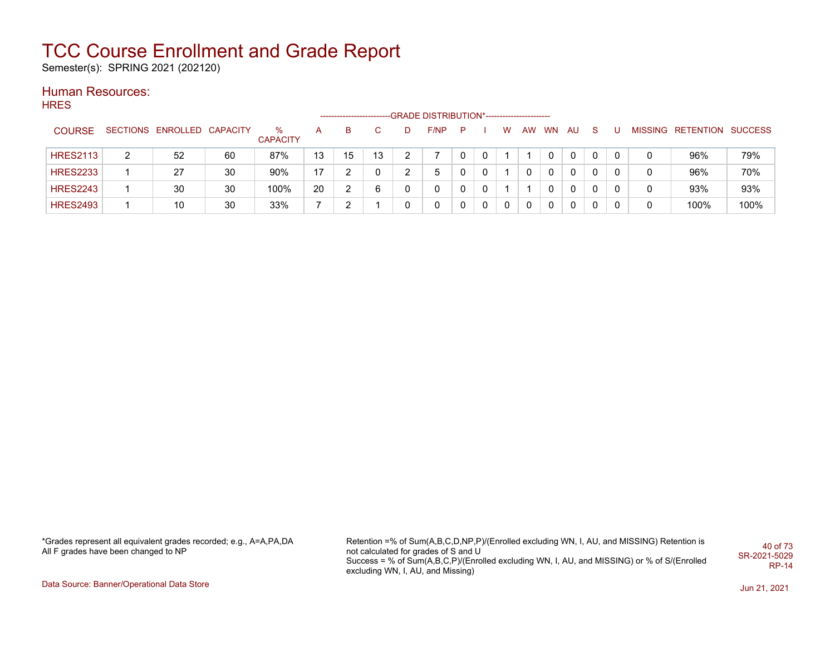Semester(s): SPRING 2021 (202120)

#### Human Resources:

| <b>HRES</b>     |                |                            |    |                      |    |                      |    |   |                                             |          |   |   |    |              |     |    |   |   |                   |                |
|-----------------|----------------|----------------------------|----|----------------------|----|----------------------|----|---|---------------------------------------------|----------|---|---|----|--------------|-----|----|---|---|-------------------|----------------|
|                 |                |                            |    |                      |    | -------------------- |    |   | -GRADE DISTRIBUTION*----------------------- |          |   |   |    |              |     |    |   |   |                   |                |
| <b>COURSE</b>   |                | SECTIONS ENROLLED CAPACITY |    | %<br><b>CAPACITY</b> | A  | B                    | C. | D | F/NP                                        | P        |   | W | AW | <b>WN</b>    | AU. | -S |   |   | MISSING RETENTION | <b>SUCCESS</b> |
| <b>HRES2113</b> | $\overline{2}$ | 52                         | 60 | 87%                  | 13 | 15                   | 13 |   |                                             | $\Omega$ | 0 |   |    | $\Omega$     | 0   |    | 0 | 0 | 96%               | 79%            |
| <b>HRES2233</b> |                | 27                         | 30 | 90%                  | 17 | っ                    | 0  |   | 5                                           | 0        | 0 |   | 0  | 0            | 0   | 0  | 0 | 0 | 96%               | 70%            |
| <b>HRES2243</b> |                | 30                         | 30 | 100%                 | 20 | っ                    | 6  |   | 0                                           | 0        | 0 |   |    | 0            | 0   | 0  | 0 | 0 | 93%               | 93%            |
| <b>HRES2493</b> |                | 10                         | 30 | 33%                  | 7  | っ                    |    |   | 0                                           | 0        | 0 | 0 | 0  | $\mathbf{0}$ | 0   | 0  | 0 | 0 | 100%              | 100%           |
|                 |                |                            |    |                      |    |                      |    |   |                                             |          |   |   |    |              |     |    |   |   |                   |                |

\*Grades represent all equivalent grades recorded; e.g., A=A,PA,DA All F grades have been changed to NP

Retention =% of Sum(A,B,C,D,NP,P)/(Enrolled excluding WN, I, AU, and MISSING) Retention is not calculated for grades of S and U Success = % of Sum(A,B,C,P)/(Enrolled excluding WN, I, AU, and MISSING) or % of S/(Enrolled excluding WN, I, AU, and Missing) 40 of 73 SR-2021-5029 RP-14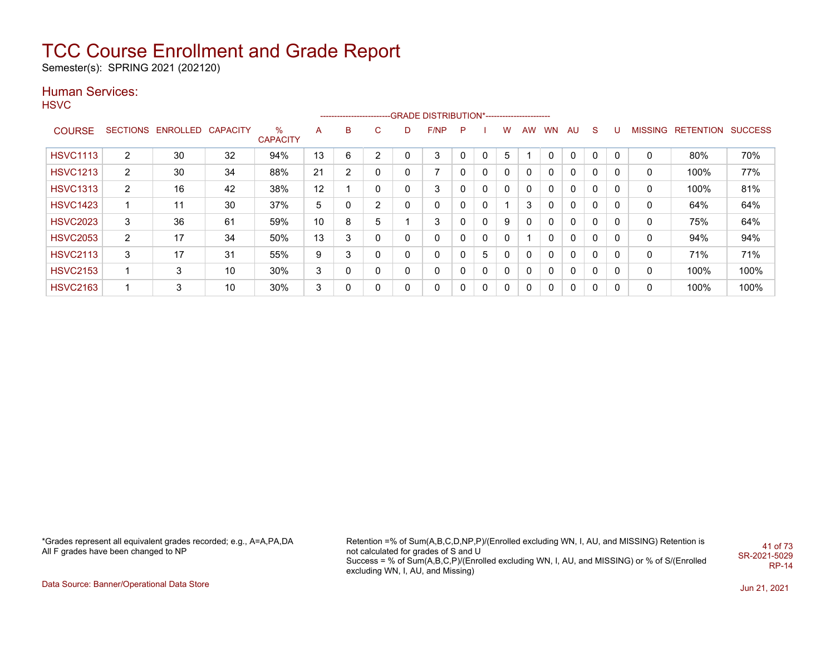Semester(s): SPRING 2021 (202120)

### Human Services:

**HSVC** 

|                 |                 |                 |          |                      |    | -------------------------- |              |   | -GRADE DISTRIBUTION*----------------------- |              |              |   |           |           |              |              |          |                |                  |                |
|-----------------|-----------------|-----------------|----------|----------------------|----|----------------------------|--------------|---|---------------------------------------------|--------------|--------------|---|-----------|-----------|--------------|--------------|----------|----------------|------------------|----------------|
| <b>COURSE</b>   | <b>SECTIONS</b> | <b>ENROLLED</b> | CAPACITY | %<br><b>CAPACITY</b> | A  | B                          | C            | D | F/NP                                        | P            |              | w | <b>AW</b> | <b>WN</b> | AU           | <sub>S</sub> | υ        | <b>MISSING</b> | <b>RETENTION</b> | <b>SUCCESS</b> |
| <b>HSVC1113</b> | 2               | 30              | 32       | 94%                  | 13 | 6                          | 2            | 0 | 3                                           | $\mathbf{0}$ | 0            | 5 |           |           | $\mathbf{0}$ | $\Omega$     | $\Omega$ | 0              | 80%              | 70%            |
| <b>HSVC1213</b> | $\overline{2}$  | 30              | 34       | 88%                  | 21 | 2                          | 0            | 0 | 7                                           | 0            | 0            | 0 | 0         | 0         | 0            | 0            | 0        | 0              | 100%             | 77%            |
| <b>HSVC1313</b> | 2               | 16              | 42       | 38%                  | 12 |                            | 0            | 0 | 3                                           |              | $\mathbf{0}$ | 0 | 0         | 0         | $\mathbf{0}$ | 0            |          | 0              | 100%             | 81%            |
| <b>HSVC1423</b> |                 | 11              | 30       | 37%                  | 5  | 0                          | 2            | 0 | 0                                           | 0            | 0            |   | 3         | 0         | $\mathbf{0}$ | 0            | 0        | 0              | 64%              | 64%            |
| <b>HSVC2023</b> | 3               | 36              | 61       | 59%                  | 10 | 8                          | 5            |   | 3                                           |              | 0            | 9 | 0         | 0         | 0            | 0            | 0        | 0              | 75%              | 64%            |
| <b>HSVC2053</b> | 2               | 17              | 34       | 50%                  | 13 | 3                          | 0            | 0 | 0                                           |              | 0            | 0 |           | 0         | $\mathbf{0}$ | $\Omega$     |          | 0              | 94%              | 94%            |
| <b>HSVC2113</b> | 3               | 17              | 31       | 55%                  | 9  | 3                          | $\mathbf{0}$ | 0 | 0                                           | 0            | 5            | 0 | 0         | 0         | $\mathbf{0}$ | 0            | 0        | 0              | 71%              | 71%            |
| <b>HSVC2153</b> |                 | 3               | 10       | 30%                  | 3  | 0                          | 0            | 0 | 0                                           | 0            | 0            | 0 | 0         | 0         | 0            | 0            | 0        | 0              | 100%             | 100%           |
| <b>HSVC2163</b> |                 | 3               | 10       | 30%                  | 3  | 0                          | 0            | 0 | 0                                           | 0            | 0            | 0 | 0         | 0         | 0            | 0            | 0        | 0              | 100%             | 100%           |

\*Grades represent all equivalent grades recorded; e.g., A=A,PA,DA All F grades have been changed to NP

Retention =% of Sum(A,B,C,D,NP,P)/(Enrolled excluding WN, I, AU, and MISSING) Retention is not calculated for grades of S and U Success = % of Sum(A,B,C,P)/(Enrolled excluding WN, I, AU, and MISSING) or % of S/(Enrolled excluding WN, I, AU, and Missing) 41 of 73 SR-2021-5029 RP-14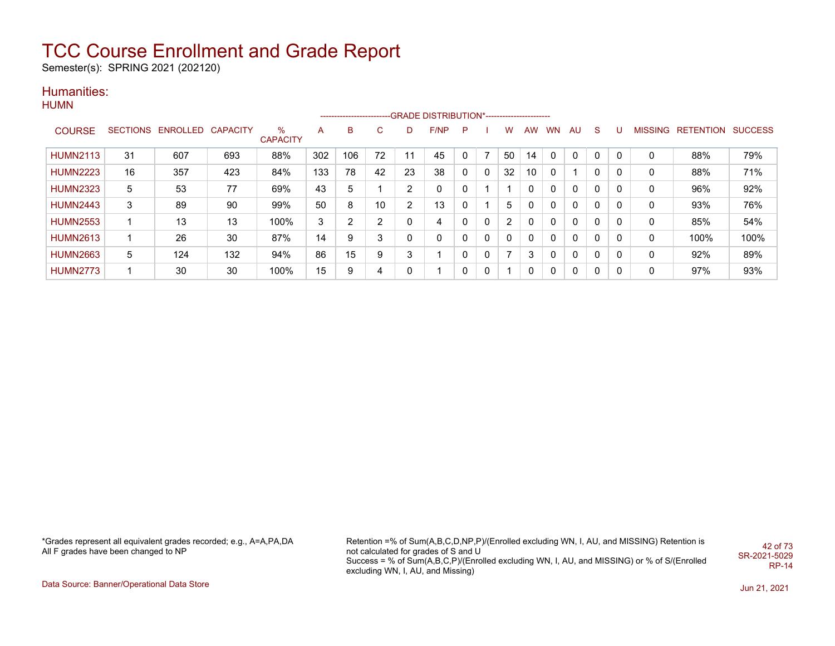Semester(s): SPRING 2021 (202120)

#### Humanities: **HUMN**

|                 |    |                            |     |                      |     |     |    |                | ------------------------GRADE DISTRIBUTION*----------------------- |              |              |    |    |              |              |              |          |         |                   |      |
|-----------------|----|----------------------------|-----|----------------------|-----|-----|----|----------------|--------------------------------------------------------------------|--------------|--------------|----|----|--------------|--------------|--------------|----------|---------|-------------------|------|
| <b>COURSE</b>   |    | SECTIONS ENROLLED CAPACITY |     | %<br><b>CAPACITY</b> | A   | B   | C. | D              | F/NP                                                               | P            |              | w  | AW | <b>WN</b>    | AU           | <sub>S</sub> |          | MISSING | RETENTION SUCCESS |      |
| <b>HUMN2113</b> | 31 | 607                        | 693 | 88%                  | 302 | 106 | 72 | 11             | 45                                                                 | $\mathbf{0}$ |              | 50 | 14 | 0            | $\mathbf{0}$ | 0            | $\Omega$ | 0       | 88%               | 79%  |
| <b>HUMN2223</b> | 16 | 357                        | 423 | 84%                  | 133 | 78  | 42 | 23             | 38                                                                 | $\Omega$     | $\mathbf{0}$ | 32 | 10 | 0            | 1            | 0            | $\Omega$ | 0       | 88%               | 71%  |
| <b>HUMN2323</b> | 5  | 53                         | 77  | 69%                  | 43  | 5   |    | $\overline{2}$ | $\Omega$                                                           | 0            |              |    | 0  | $\mathbf{0}$ | $\mathbf{0}$ | 0            | $\Omega$ | 0       | 96%               | 92%  |
| <b>HUMN2443</b> | 3  | 89                         | 90  | 99%                  | 50  | 8   | 10 | $\overline{2}$ | 13                                                                 | 0            |              | 5  | 0  | 0            | $\mathbf{0}$ | 0            | 0        | 0       | 93%               | 76%  |
| <b>HUMN2553</b> |    | 13                         | 13  | 100%                 | 3   | 2   | 2  | 0              | 4                                                                  | 0            | 0            | 2  | 0  | $\mathbf{0}$ | $\mathbf{0}$ | 0            | $\Omega$ | 0       | 85%               | 54%  |
| <b>HUMN2613</b> |    | 26                         | 30  | 87%                  | 14  | 9   | 3  | 0              | $\Omega$                                                           | 0            | 0            | 0  | 0  | $\Omega$     | $\mathbf{0}$ | 0            | $\Omega$ | 0       | 100%              | 100% |
| <b>HUMN2663</b> | 5  | 124                        | 132 | 94%                  | 86  | 15  | 9  | 3              |                                                                    | 0            | 0            |    | 3  | 0            | 0            | 0            | $\Omega$ | 0       | 92%               | 89%  |
| <b>HUMN2773</b> |    | 30                         | 30  | 100%                 | 15  | 9   | 4  | 0              |                                                                    | 0            | 0            |    | 0  | $\mathbf{0}$ | 0            | 0            | 0        | 0       | 97%               | 93%  |

\*Grades represent all equivalent grades recorded; e.g., A=A,PA,DA All F grades have been changed to NP

Retention =% of Sum(A,B,C,D,NP,P)/(Enrolled excluding WN, I, AU, and MISSING) Retention is not calculated for grades of S and U Success = % of Sum(A,B,C,P)/(Enrolled excluding WN, I, AU, and MISSING) or % of S/(Enrolled excluding WN, I, AU, and Missing) 42 of 73 SR-2021-5029 RP-14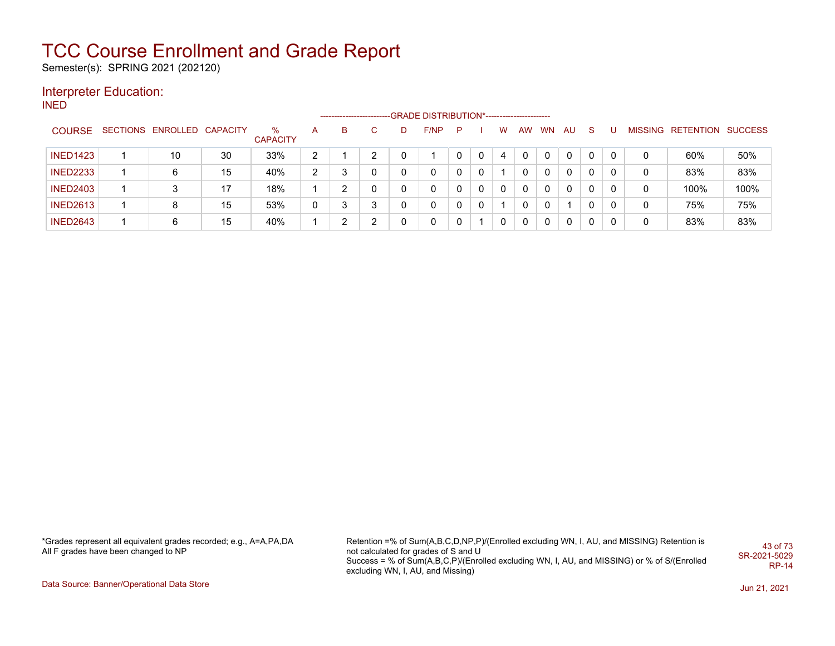Semester(s): SPRING 2021 (202120)

#### Interpreter Education:

INED

|                 |                            |    |                      |                | -------------------- |    |   | -GRADE DISTRIBUTION*---------------------- |   |          |   |              |           |          |          |   |   |                   |         |
|-----------------|----------------------------|----|----------------------|----------------|----------------------|----|---|--------------------------------------------|---|----------|---|--------------|-----------|----------|----------|---|---|-------------------|---------|
| <b>COURSE</b>   | SECTIONS ENROLLED CAPACITY |    | ℅<br><b>CAPACITY</b> | A              | в                    | C. | D | F/NP                                       | P |          | W | AW           | <b>WN</b> | AU       | -S       |   |   | MISSING RETENTION | SUCCESS |
| <b>INED1423</b> | 10                         | 30 | 33%                  | ົ              |                      | ົ  |   |                                            |   | $\Omega$ | 4 | $\mathbf{0}$ | 0         | $\Omega$ | 0        | 0 |   | 60%               | 50%     |
| <b>INED2233</b> | 6                          | 15 | 40%                  | $\overline{2}$ | ິ                    | 0  |   |                                            |   | 0        |   | 0            | 0         | $\Omega$ | 0        | 0 |   | 83%               | 83%     |
| <b>INED2403</b> |                            | 17 | 18%                  |                |                      | 0  |   | $\mathbf{0}$                               |   | 0        | 0 | $\mathbf{0}$ | 0         | $\Omega$ | $\Omega$ | 0 |   | 100%              | 100%    |
| <b>INED2613</b> | 8                          | 15 | 53%                  | 0              | ິ                    | 3  |   | $\mathbf{0}$                               | 0 | 0        |   | 0            | 0         |          | $\Omega$ | 0 | 0 | 75%               | 75%     |
| <b>INED2643</b> | 6                          | 15 | 40%                  |                | ົ                    | ົ  |   | $\Omega$                                   | 0 |          | 0 | 0            | 0         | 0        | 0        |   |   | 83%               | 83%     |

\*Grades represent all equivalent grades recorded; e.g., A=A,PA,DA All F grades have been changed to NP

Retention =% of Sum(A,B,C,D,NP,P)/(Enrolled excluding WN, I, AU, and MISSING) Retention is not calculated for grades of S and U Success = % of Sum(A,B,C,P)/(Enrolled excluding WN, I, AU, and MISSING) or % of S/(Enrolled excluding WN, I, AU, and Missing) 43 of 73 SR-2021-5029 RP-14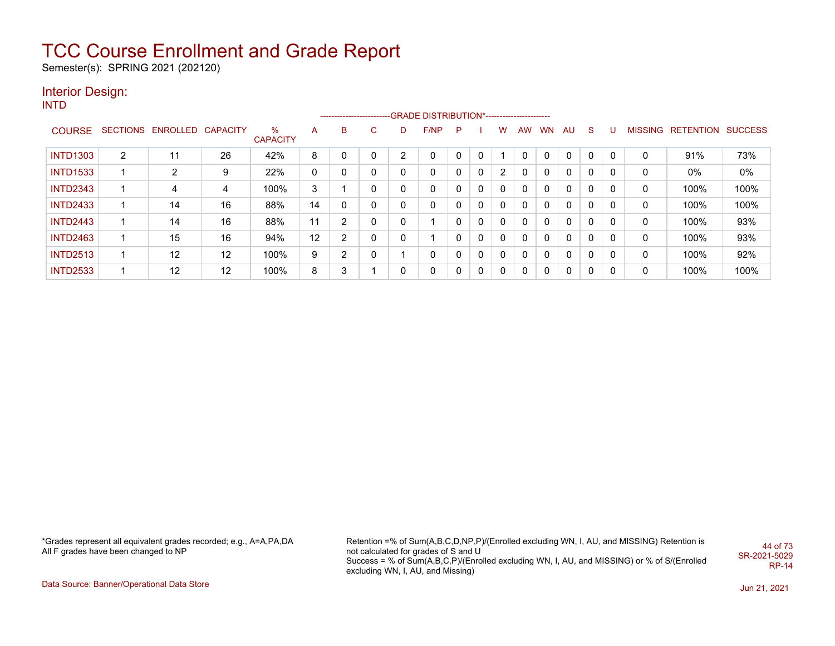Semester(s): SPRING 2021 (202120)

#### Interior Design:

INTD

|                 |   |                            |    |                      |    |   |   |   | --------------------------GRADE DISTRIBUTION*----------------------- |   |              |              |     |           |              |              |   |   |                           |      |
|-----------------|---|----------------------------|----|----------------------|----|---|---|---|----------------------------------------------------------------------|---|--------------|--------------|-----|-----------|--------------|--------------|---|---|---------------------------|------|
| <b>COURSE</b>   |   | SECTIONS ENROLLED CAPACITY |    | %<br><b>CAPACITY</b> | A  | B | C | D | F/NP                                                                 | P |              | w            | AW. | <b>WN</b> | AU           | <sub>S</sub> |   |   | MISSING RETENTION SUCCESS |      |
| <b>INTD1303</b> | 2 | 11                         | 26 | 42%                  | 8  |   |   | ົ |                                                                      |   |              |              |     | $\Omega$  | 0            | $\Omega$     | 0 | 0 | 91%                       | 73%  |
| <b>INTD1533</b> |   | 2                          | 9  | 22%                  | 0  |   |   | 0 | 0                                                                    | 0 | 0            | 2            | 0   | 0         | $\Omega$     | $\mathbf{0}$ | 0 | 0 | 0%                        | 0%   |
| <b>INTD2343</b> |   | 4                          | 4  | 100%                 | 3  |   |   |   | 0                                                                    | 0 | $\mathbf{0}$ | 0            | 0   | 0         | $\Omega$     | $\mathbf{0}$ | 0 | 0 | 100%                      | 100% |
| <b>INTD2433</b> |   | 14                         | 16 | 88%                  | 14 |   |   | 0 | 0                                                                    | 0 | 0            | 0            | 0   | 0         | $\Omega$     | $\mathbf{0}$ | 0 | 0 | 100%                      | 100% |
| <b>INTD2443</b> |   | 14                         | 16 | 88%                  | 11 |   |   | 0 | и                                                                    | 0 | 0            | 0            | 0   | 0         | $\Omega$     | $\mathbf{0}$ | 0 | 0 | 100%                      | 93%  |
| <b>INTD2463</b> |   | 15                         | 16 | 94%                  | 12 |   |   |   |                                                                      | 0 | $\mathbf{0}$ | $\mathbf{0}$ | 0   | 0         | $\Omega$     | $\mathbf{0}$ | 0 | 0 | 100%                      | 93%  |
| <b>INTD2513</b> |   | 12                         | 12 | 100%                 | 9  |   |   |   | 0                                                                    | 0 | 0            | $\mathbf{0}$ | 0   | 0         | $\mathbf{0}$ | $\mathbf{0}$ | 0 | 0 | 100%                      | 92%  |
| <b>INTD2533</b> |   | 12                         | 12 | 100%                 | 8  |   |   | 0 | 0                                                                    | 0 | 0            | 0            | 0   | 0         | $\Omega$     | $\mathbf{0}$ | 0 | 0 | 100%                      | 100% |

\*Grades represent all equivalent grades recorded; e.g., A=A,PA,DA All F grades have been changed to NP

Retention =% of Sum(A,B,C,D,NP,P)/(Enrolled excluding WN, I, AU, and MISSING) Retention is not calculated for grades of S and U Success = % of Sum(A,B,C,P)/(Enrolled excluding WN, I, AU, and MISSING) or % of S/(Enrolled excluding WN, I, AU, and Missing) 44 of 73 SR-2021-5029 RP-14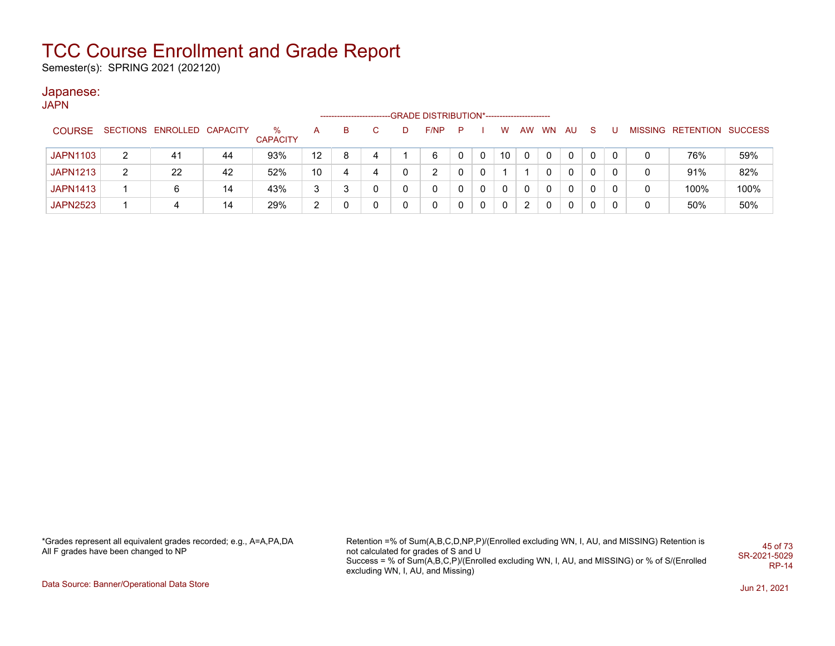Semester(s): SPRING 2021 (202120)

#### Japanese:

JAPN

|                 |   |                            |    |                      |                 | ------------------------ |    |   | -GRADE DISTRIBUTION*----------------------- |   |   |              |    |           |     |     |   |                           |      |
|-----------------|---|----------------------------|----|----------------------|-----------------|--------------------------|----|---|---------------------------------------------|---|---|--------------|----|-----------|-----|-----|---|---------------------------|------|
| <b>COURSE</b>   |   | SECTIONS ENROLLED CAPACITY |    | ℅<br><b>CAPACITY</b> |                 | В                        | C. | D | F/NP                                        | P |   | w            | AW | <b>WN</b> | AU. | -S. |   | MISSING RETENTION SUCCESS |      |
| <b>JAPN1103</b> | 2 | 41                         | 44 | 93%                  | 12 <sup>°</sup> |                          | 4  |   | 6                                           |   | 0 | 10           | 0  | 0         | 0   |     |   | 76%                       | 59%  |
| <b>JAPN1213</b> | 2 | 22                         | 42 | 52%                  | 10              |                          | 4  |   |                                             |   | 0 |              |    | 0         | 0   |     | 0 | 91%                       | 82%  |
| <b>JAPN1413</b> |   | 6                          | 14 | 43%                  | 3               |                          |    |   |                                             |   | 0 | $\mathbf{0}$ | 0  | 0         | 0   |     | 0 | 100%                      | 100% |
| <b>JAPN2523</b> |   | 4                          | 14 | 29%                  | ົ               |                          |    |   |                                             |   | 0 | 0            | 2  |           | 0   |     | 0 | 50%                       | 50%  |

\*Grades represent all equivalent grades recorded; e.g., A=A,PA,DA All F grades have been changed to NP

Retention =% of Sum(A,B,C,D,NP,P)/(Enrolled excluding WN, I, AU, and MISSING) Retention is not calculated for grades of S and U Success = % of Sum(A,B,C,P)/(Enrolled excluding WN, I, AU, and MISSING) or % of S/(Enrolled excluding WN, I, AU, and Missing) 45 of 73 SR-2021-5029 RP-14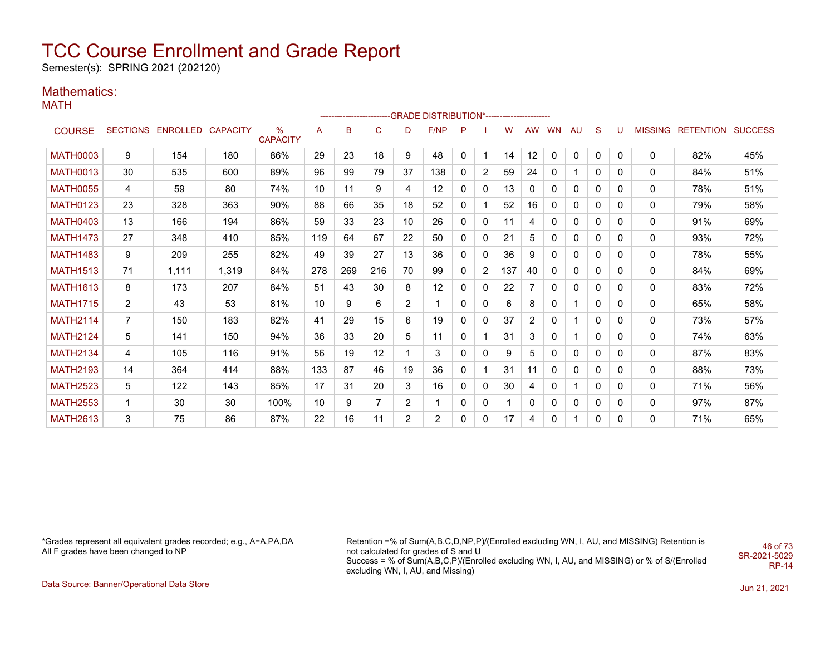Semester(s): SPRING 2021 (202120)

### Mathematics:

MATH

|                 |                |                            |       |                         |                 |     |                 |                | ------------------------GRADE                DISTRIBUTION*---------------------- |              |                |     |           |           |              |              |              |   |                                  |     |
|-----------------|----------------|----------------------------|-------|-------------------------|-----------------|-----|-----------------|----------------|----------------------------------------------------------------------------------|--------------|----------------|-----|-----------|-----------|--------------|--------------|--------------|---|----------------------------------|-----|
| <b>COURSE</b>   |                | SECTIONS ENROLLED CAPACITY |       | $\%$<br><b>CAPACITY</b> | А               | B   | $\mathsf{C}$    | D              | F/NP                                                                             | P            |                | w   | <b>AW</b> | <b>WN</b> | AU           | S            | U            |   | <b>MISSING RETENTION SUCCESS</b> |     |
| <b>MATH0003</b> | 9              | 154                        | 180   | 86%                     | 29              | 23  | 18              | 9              | 48                                                                               | $\mathbf{0}$ | 1              | 14  | 12        | $\Omega$  | $\mathbf{0}$ | $\mathbf{0}$ | $\mathbf{0}$ | 0 | 82%                              | 45% |
| <b>MATH0013</b> | 30             | 535                        | 600   | 89%                     | 96              | 99  | 79              | 37             | 138                                                                              | 0            | $\overline{2}$ | 59  | 24        | $\Omega$  |              | $\mathbf{0}$ | 0            | 0 | 84%                              | 51% |
| <b>MATH0055</b> | 4              | 59                         | 80    | 74%                     | 10              | 11  | 9               | 4              | 12                                                                               | $\Omega$     | $\mathbf{0}$   | 13  | 0         | 0         | 0            | $\mathbf{0}$ | $\Omega$     | 0 | 78%                              | 51% |
| <b>MATH0123</b> | 23             | 328                        | 363   | 90%                     | 88              | 66  | 35              | 18             | 52                                                                               | 0            |                | 52  | 16        | $\Omega$  | $\Omega$     | $\mathbf{0}$ | 0            | 0 | 79%                              | 58% |
| <b>MATH0403</b> | 13             | 166                        | 194   | 86%                     | 59              | 33  | 23              | 10             | 26                                                                               | 0            | $\mathbf{0}$   | 11  | 4         | $\Omega$  | $\Omega$     | $\Omega$     | $\Omega$     | 0 | 91%                              | 69% |
| <b>MATH1473</b> | 27             | 348                        | 410   | 85%                     | 119             | 64  | 67              | 22             | 50                                                                               | 0            | 0              | 21  | 5         | 0         | $\Omega$     | $\Omega$     | $\Omega$     | 0 | 93%                              | 72% |
| <b>MATH1483</b> | 9              | 209                        | 255   | 82%                     | 49              | 39  | 27              | 13             | 36                                                                               | 0            | $\mathbf{0}$   | 36  | 9         | 0         | 0            | $\mathbf{0}$ | 0            | 0 | 78%                              | 55% |
| <b>MATH1513</b> | 71             | 1,111                      | 1,319 | 84%                     | 278             | 269 | 216             | 70             | 99                                                                               | 0            | $\overline{2}$ | 137 | 40        | 0         | 0            | $\mathbf{0}$ | 0            | 0 | 84%                              | 69% |
| <b>MATH1613</b> | 8              | 173                        | 207   | 84%                     | 51              | 43  | 30              | 8              | 12                                                                               | 0            | 0              | 22  |           | 0         | 0            | 0            | 0            | 0 | 83%                              | 72% |
| <b>MATH1715</b> | $\overline{2}$ | 43                         | 53    | 81%                     | 10 <sup>°</sup> | 9   | 6               | 2              | $\mathbf{1}$                                                                     | 0            | 0              | 6   | 8         | 0         |              | 0            | $\mathbf{0}$ | 0 | 65%                              | 58% |
| <b>MATH2114</b> | $\overline{7}$ | 150                        | 183   | 82%                     | 41              | 29  | 15              | 6              | 19                                                                               | 0            | $\mathbf{0}$   | 37  | 2         | 0         |              | $\mathbf{0}$ | $\mathbf{0}$ | 0 | 73%                              | 57% |
| <b>MATH2124</b> | 5              | 141                        | 150   | 94%                     | 36              | 33  | 20              | 5              | 11                                                                               | 0            |                | 31  | 3         | 0         |              | 0            | $\mathbf{0}$ | 0 | 74%                              | 63% |
| <b>MATH2134</b> | 4              | 105                        | 116   | 91%                     | 56              | 19  | 12 <sup>°</sup> | 1              | 3                                                                                | 0            | $\mathbf{0}$   | 9   | 5         | 0         | 0            | 0            | $\mathbf{0}$ | 0 | 87%                              | 83% |
| <b>MATH2193</b> | 14             | 364                        | 414   | 88%                     | 133             | 87  | 46              | 19             | 36                                                                               | 0            | 1.             | 31  | 11        | 0         | $\Omega$     | 0            | $\mathbf{0}$ | 0 | 88%                              | 73% |
| <b>MATH2523</b> | 5              | 122                        | 143   | 85%                     | 17              | 31  | 20              | 3              | 16                                                                               | 0            | 0              | 30  | 4         | 0         |              | 0            | $\mathbf{0}$ | 0 | 71%                              | 56% |
| <b>MATH2553</b> | $\mathbf{1}$   | 30                         | 30    | 100%                    | 10              | 9   | $\overline{7}$  | $\overline{2}$ | 1                                                                                | 0            | 0              |     | 0         | 0         | 0            | 0            | 0            | 0 | 97%                              | 87% |
| <b>MATH2613</b> | 3              | 75                         | 86    | 87%                     | 22              | 16  | 11              | $\overline{2}$ | $\overline{2}$                                                                   | 0            | 0              | 17  | 4         | 0         |              | 0            | $\Omega$     | 0 | 71%                              | 65% |

\*Grades represent all equivalent grades recorded; e.g., A=A,PA,DA All F grades have been changed to NP

Retention =% of Sum(A,B,C,D,NP,P)/(Enrolled excluding WN, I, AU, and MISSING) Retention is not calculated for grades of S and U Success = % of Sum(A,B,C,P)/(Enrolled excluding WN, I, AU, and MISSING) or % of S/(Enrolled excluding WN, I, AU, and Missing) 46 of 73 SR-2021-5029

RP-14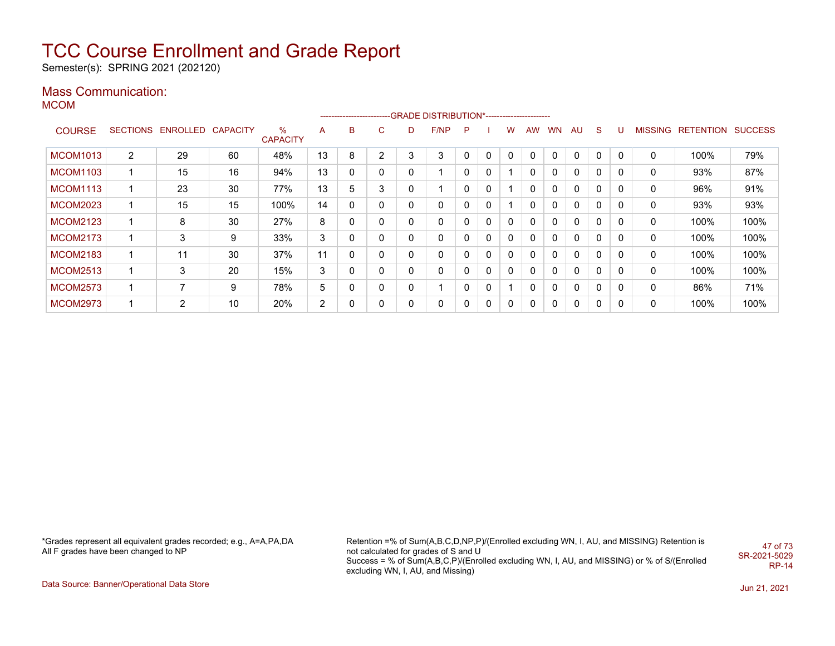Semester(s): SPRING 2021 (202120)

### Mass Communication:

MCOM

|                 |                 |                 |                 |                      |    | --------------------- |                |          | -GRADE DISTRIBUTION*----------------------- |              |             |          |           |              |              |             |              |                |                  |                |
|-----------------|-----------------|-----------------|-----------------|----------------------|----|-----------------------|----------------|----------|---------------------------------------------|--------------|-------------|----------|-----------|--------------|--------------|-------------|--------------|----------------|------------------|----------------|
| <b>COURSE</b>   | <b>SECTIONS</b> | <b>ENROLLED</b> | <b>CAPACITY</b> | %<br><b>CAPACITY</b> | A  | B                     | C.             | D        | F/NP                                        | P            |             | W        | <b>AW</b> | WN           | AU.          | S           |              | <b>MISSING</b> | <b>RETENTION</b> | <b>SUCCESS</b> |
| <b>MCOM1013</b> | 2               | 29              | 60              | 48%                  | 13 | 8                     | $\overline{2}$ | 3        | 3                                           | $\Omega$     | $\Omega$    |          |           | $\Omega$     | $\Omega$     | $\Omega$    | $\Omega$     | 0              | 100%             | 79%            |
| <b>MCOM1103</b> |                 | 15              | 16              | 94%                  | 13 | 0                     | 0              | $\Omega$ |                                             | 0            | $\Omega$    |          |           | $\Omega$     | $\Omega$     | $\Omega$    | 0            | 0              | 93%              | 87%            |
| <b>MCOM1113</b> |                 | 23              | 30              | 77%                  | 13 | 5                     | 3              | 0        |                                             | 0            | $\Omega$    |          |           | $\mathbf{0}$ | $\Omega$     | 0           | $\Omega$     | 0              | 96%              | 91%            |
| <b>MCOM2023</b> |                 | 15              | 15              | 100%                 | 14 | 0                     | 0              | 0        | 0                                           | 0            | $\Omega$    |          |           | $\mathbf{0}$ | $\Omega$     | 0           | $\Omega$     | 0              | 93%              | 93%            |
| <b>MCOM2123</b> |                 | 8               | 30              | 27%                  | 8  | 0                     | 0              | 0        | 0                                           | $\mathbf{0}$ | $\mathbf 0$ | 0        |           | $\mathbf{0}$ | $\Omega$     | 0           | 0            | 0              | 100%             | 100%           |
| <b>MCOM2173</b> |                 | 3               | 9               | 33%                  | 3  | 0                     | 0              | 0        | 0                                           | $\mathbf{0}$ | $\Omega$    | 0        |           | 0            | $\Omega$     | 0           | 0            | 0              | 100%             | 100%           |
| <b>MCOM2183</b> |                 | 11              | 30              | 37%                  | 11 | 0                     | 0              | $\Omega$ | 0                                           | $\mathbf{0}$ | $\Omega$    | 0        |           | $\mathbf{0}$ | $\mathbf{0}$ | $\mathbf 0$ | $\mathbf{0}$ | 0              | 100%             | 100%           |
| <b>MCOM2513</b> |                 | 3               | 20              | 15%                  | 3  | 0                     | 0              | $\Omega$ | 0                                           | $\mathbf{0}$ | $\Omega$    | 0        |           | $\mathbf{0}$ | $\mathbf{0}$ | 0           | $\Omega$     | 0              | 100%             | 100%           |
| <b>MCOM2573</b> |                 | $\overline{ }$  | 9               | 78%                  | 5  | 0                     | 0              | 0        |                                             | 0            | $\Omega$    |          |           | $\mathbf{0}$ | $\mathbf{0}$ | 0           | $\Omega$     | 0              | 86%              | 71%            |
| <b>MCOM2973</b> |                 | $\overline{2}$  | 10              | 20%                  | 2  | 0                     | 0              | 0        | 0                                           | $\Omega$     | 0           | $\Omega$ |           | 0            | 0            | 0           | $\Omega$     | 0              | 100%             | 100%           |

\*Grades represent all equivalent grades recorded; e.g., A=A,PA,DA All F grades have been changed to NP

Retention =% of Sum(A,B,C,D,NP,P)/(Enrolled excluding WN, I, AU, and MISSING) Retention is not calculated for grades of S and U Success = % of Sum(A,B,C,P)/(Enrolled excluding WN, I, AU, and MISSING) or % of S/(Enrolled excluding WN, I, AU, and Missing) 47 of 73 SR-2021-5029 RP-14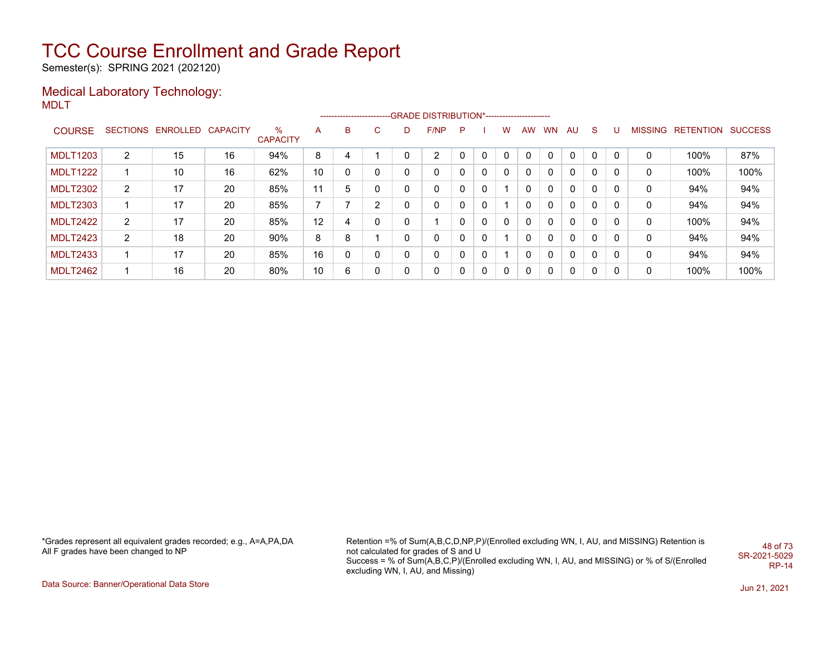Semester(s): SPRING 2021 (202120)

#### Medical Laboratory Technology: MDLT

|                 |                |                            |    |                      |    |   |                |          | -------------------------GRADE DISTRIBUTION*---------------------- |   |              |              |          |           |              |              |          |                |                          |      |
|-----------------|----------------|----------------------------|----|----------------------|----|---|----------------|----------|--------------------------------------------------------------------|---|--------------|--------------|----------|-----------|--------------|--------------|----------|----------------|--------------------------|------|
| <b>COURSE</b>   |                | SECTIONS ENROLLED CAPACITY |    | %<br><b>CAPACITY</b> | A  | в | C.             | D        | F/NP                                                               | P |              | w            | AW       | <b>WN</b> | AU           | <sub>S</sub> |          | <b>MISSING</b> | <b>RETENTION SUCCESS</b> |      |
| <b>MDLT1203</b> | 2              | 15                         | 16 | 94%                  | 8  |   |                | 0        | 2                                                                  |   | $\Omega$     | $\Omega$     |          |           | $\Omega$     | C            |          | 0              | 100%                     | 87%  |
| <b>MDLT1222</b> |                | 10                         | 16 | 62%                  | 10 | 0 | 0              | 0        | 0                                                                  |   | $\Omega$     | $\mathbf{0}$ | $\Omega$ |           | $\mathbf{0}$ | $\Omega$     | 0        | 0              | 100%                     | 100% |
| <b>MDLT2302</b> | $\overline{2}$ | 17                         | 20 | 85%                  | 11 | 5 |                | 0        | 0                                                                  |   | $\mathbf{0}$ |              |          |           | 0            | 0            |          | 0              | 94%                      | 94%  |
| <b>MDLT2303</b> |                | 17                         | 20 | 85%                  | 7  | ⇁ | $\overline{2}$ | 0        | 0                                                                  |   | 0            |              |          |           | 0            | 0            | 0        | 0              | 94%                      | 94%  |
| <b>MDLT2422</b> | $\overline{2}$ | 17                         | 20 | 85%                  | 12 | 4 | 0              | 0        |                                                                    |   | $\Omega$     | $\Omega$     | 0        |           | 0            | $\Omega$     | $\Omega$ | 0              | 100%                     | 94%  |
| <b>MDLT2423</b> | $\overline{2}$ | 18                         | 20 | 90%                  | 8  | 8 |                | 0        | 0                                                                  |   | $\mathbf{0}$ |              |          |           | 0            | 0            |          | 0              | 94%                      | 94%  |
| <b>MDLT2433</b> |                | 17                         | 20 | 85%                  | 16 | 0 | 0              | 0        | 0                                                                  |   | $\mathbf{0}$ |              |          |           | 0            | 0            | 0        | 0              | 94%                      | 94%  |
| <b>MDLT2462</b> |                | 16                         | 20 | 80%                  | 10 | 6 | 0              | $\Omega$ | 0                                                                  |   | $\Omega$     | $\Omega$     | 0        | $\Omega$  | 0            | $\Omega$     | $\Omega$ | 0              | 100%                     | 100% |

\*Grades represent all equivalent grades recorded; e.g., A=A,PA,DA All F grades have been changed to NP

Retention =% of Sum(A,B,C,D,NP,P)/(Enrolled excluding WN, I, AU, and MISSING) Retention is not calculated for grades of S and U Success = % of Sum(A,B,C,P)/(Enrolled excluding WN, I, AU, and MISSING) or % of S/(Enrolled excluding WN, I, AU, and Missing) 48 of 73 SR-2021-5029 RP-14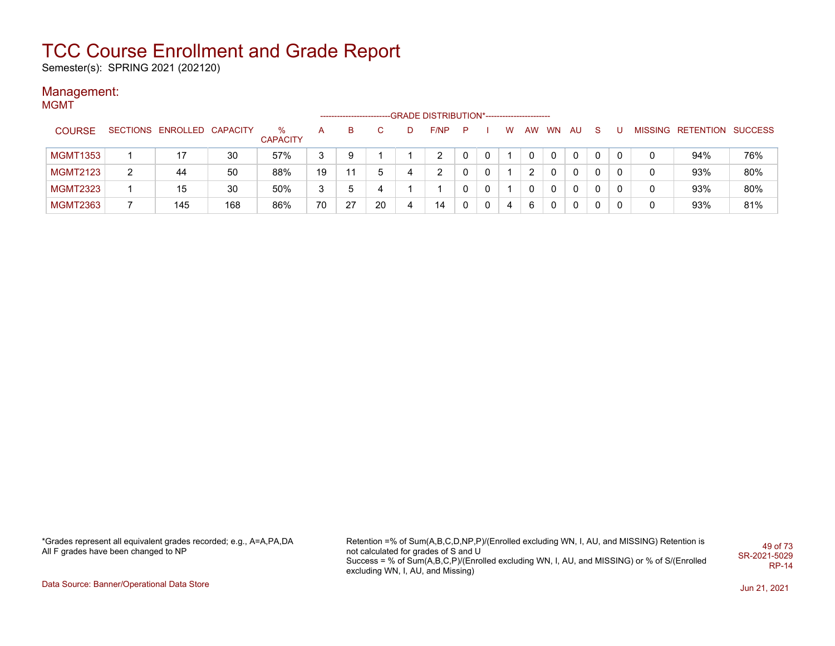Semester(s): SPRING 2021 (202120)

#### Management: **MGMT**

|                 |                            |     |                      |    |    |    |   | -GRADE DISTRIBUTION*----------------------- |              |   |   |    |           |     |    |  |                           |     |
|-----------------|----------------------------|-----|----------------------|----|----|----|---|---------------------------------------------|--------------|---|---|----|-----------|-----|----|--|---------------------------|-----|
| <b>COURSE</b>   | SECTIONS ENROLLED CAPACITY |     | %<br><b>CAPACITY</b> | A  | в  |    |   | F/NP                                        | P            |   | w | AW | <b>WN</b> | AU. | -S |  | MISSING RETENTION SUCCESS |     |
| <b>MGMT1353</b> | 17                         | 30  | 57%                  | 3  | 9  |    |   |                                             | 0            | 0 |   | 0  | 0         | 0   |    |  | 94%                       | 76% |
| <b>MGMT2123</b> | 44                         | 50  | 88%                  | 19 |    | 5  |   | $\overline{2}$                              | 0            | 0 |   |    | 0         | 0   |    |  | 93%                       | 80% |
| <b>MGMT2323</b> | 15                         | 30  | 50%                  | 3  |    | 4  |   |                                             | $\mathbf{0}$ | 0 |   | 0  | 0         | 0   |    |  | 93%                       | 80% |
| <b>MGMT2363</b> | 145                        | 168 | 86%                  | 70 | 27 | 20 | Δ | 14                                          | 0            | 0 | 4 | 6  | 0         | 0   |    |  | 93%                       | 81% |

\*Grades represent all equivalent grades recorded; e.g., A=A,PA,DA All F grades have been changed to NP

Retention =% of Sum(A,B,C,D,NP,P)/(Enrolled excluding WN, I, AU, and MISSING) Retention is not calculated for grades of S and U Success = % of Sum(A,B,C,P)/(Enrolled excluding WN, I, AU, and MISSING) or % of S/(Enrolled excluding WN, I, AU, and Missing) 49 of 73 SR-2021-5029 RP-14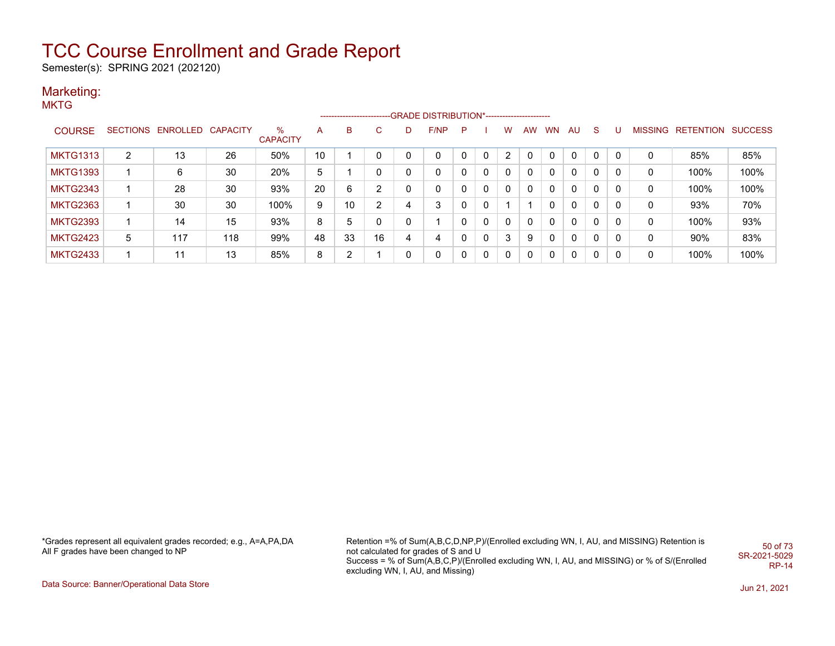Semester(s): SPRING 2021 (202120)

#### Marketing:

**MKTG** 

|                 |   |                            |     |                      |    |    |              |          | ------------------------GRADE                DISTRIBUTION*---------------------- |          |          |                |           |              |          |              |   |                |                          |      |
|-----------------|---|----------------------------|-----|----------------------|----|----|--------------|----------|----------------------------------------------------------------------------------|----------|----------|----------------|-----------|--------------|----------|--------------|---|----------------|--------------------------|------|
| <b>COURSE</b>   |   | SECTIONS ENROLLED CAPACITY |     | %<br><b>CAPACITY</b> | A  | B. | $\mathbf{C}$ | D        | F/NP                                                                             | P        |          | w              | <b>AW</b> | <b>WN</b>    | AU       | <sub>S</sub> |   | <b>MISSING</b> | <b>RETENTION SUCCESS</b> |      |
| <b>MKTG1313</b> | 2 | 13                         | 26  | 50%                  | 10 |    | 0            | $\Omega$ | $\Omega$                                                                         | $\Omega$ | $\Omega$ | $\overline{2}$ |           |              | $\Omega$ | C            |   |                | 85%                      | 85%  |
| <b>MKTG1393</b> |   | 6                          | 30  | 20%                  | 5  |    | 0            | 0        | 0                                                                                | 0        | 0        | 0              |           |              | 0        | 0            |   | 0              | 100%                     | 100% |
| <b>MKTG2343</b> |   | 28                         | 30  | 93%                  | 20 | 6  | 2            | $\Omega$ | 0                                                                                | 0        | 0        | 0              |           |              | 0        | 0            |   | 0              | 100%                     | 100% |
| <b>MKTG2363</b> |   | 30                         | 30  | 100%                 | 9  | 10 | 2            | 4        | 3                                                                                | 0        | 0        |                |           |              | 0        | $\Omega$     |   | 0              | 93%                      | 70%  |
| <b>MKTG2393</b> |   | 14                         | 15  | 93%                  | 8  | 5  | $\mathbf 0$  | 0        |                                                                                  | 0        | 0        | $\Omega$       |           | റ            | 0        | $\Omega$     |   | 0              | 100%                     | 93%  |
| <b>MKTG2423</b> | 5 | 117                        | 118 | 99%                  | 48 | 33 | 16           | 4        | 4                                                                                | 0        | 0        | 3              | 9         |              | $\Omega$ | $\Omega$     | 0 | 0              | $90\%$                   | 83%  |
| <b>MKTG2433</b> |   | 11                         | 13  | 85%                  | 8  | 2  |              | 0        | 0                                                                                | 0        | $\Omega$ | $\Omega$       |           | <sup>n</sup> | 0        | 0            |   | 0              | 100%                     | 100% |

\*Grades represent all equivalent grades recorded; e.g., A=A,PA,DA All F grades have been changed to NP

Retention =% of Sum(A,B,C,D,NP,P)/(Enrolled excluding WN, I, AU, and MISSING) Retention is not calculated for grades of S and U Success = % of Sum(A,B,C,P)/(Enrolled excluding WN, I, AU, and MISSING) or % of S/(Enrolled excluding WN, I, AU, and Missing) 50 of 73 SR-2021-5029 RP-14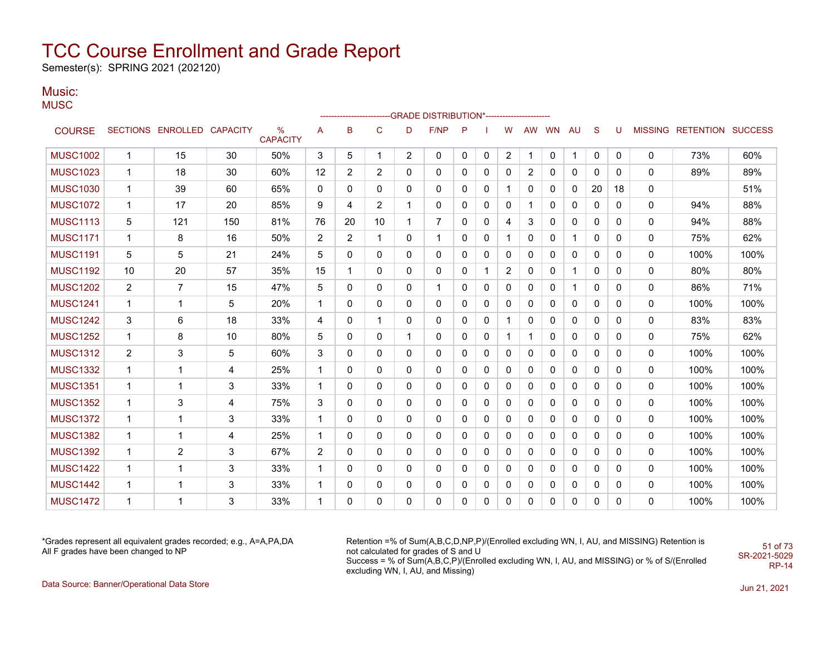Semester(s): SPRING 2021 (202120)

### Music:

**MUSC** 

|                 |                |                            |     |                         |                |                |                |                | ------------------------GRADE                DISTRIBUTION*---------------------- |              |              |                |          |    |              |              |              |              |                           |      |
|-----------------|----------------|----------------------------|-----|-------------------------|----------------|----------------|----------------|----------------|----------------------------------------------------------------------------------|--------------|--------------|----------------|----------|----|--------------|--------------|--------------|--------------|---------------------------|------|
| <b>COURSE</b>   |                | SECTIONS ENROLLED CAPACITY |     | $\%$<br><b>CAPACITY</b> | А              | B              | $\mathsf{C}$   | D              | F/NP                                                                             | P            |              | w              | AW       | WN | AU           | S            | U            |              | MISSING RETENTION SUCCESS |      |
| <b>MUSC1002</b> | $\mathbf 1$    | 15                         | 30  | 50%                     | 3              | 5              | $\mathbf{1}$   | $\overline{2}$ | $\Omega$                                                                         | $\mathbf{0}$ | 0            | $\overline{c}$ |          | 0  | 1            | $\mathbf 0$  | 0            | $\mathbf{0}$ | 73%                       | 60%  |
| <b>MUSC1023</b> | $\mathbf{1}$   | 18                         | 30  | 60%                     | 12             | $\overline{2}$ | 2              | $\mathbf{0}$   | $\mathbf{0}$                                                                     | 0            | 0            | 0              | 2        | 0  | 0            | $\Omega$     | 0            | $\mathbf{0}$ | 89%                       | 89%  |
| <b>MUSC1030</b> | $\mathbf{1}$   | 39                         | 60  | 65%                     | 0              | $\mathbf{0}$   | $\mathbf{0}$   | $\mathbf{0}$   | $\mathbf{0}$                                                                     | 0            | 0            | 1              | 0        | 0  | 0            | 20           | 18           | $\mathbf{0}$ |                           | 51%  |
| <b>MUSC1072</b> | $\mathbf{1}$   | 17                         | 20  | 85%                     | 9              | 4              | $\overline{2}$ | 1              | 0                                                                                | 0            | 0            | 0              |          | 0  | 0            | $\Omega$     | $\Omega$     | 0            | 94%                       | 88%  |
| <b>MUSC1113</b> | 5              | 121                        | 150 | 81%                     | 76             | 20             | 10             | -1             | 7                                                                                | 0            | 0            | 4              | 3        | 0  | 0            | 0            | $\Omega$     | 0            | 94%                       | 88%  |
| <b>MUSC1171</b> | $\mathbf{1}$   | 8                          | 16  | 50%                     | $\overline{2}$ | $\overline{2}$ | $\mathbf{1}$   | $\mathbf{0}$   | 1                                                                                | 0            | 0            | 1              | 0        | 0  | 1            | $\mathbf{0}$ | $\Omega$     | 0            | 75%                       | 62%  |
| <b>MUSC1191</b> | 5              | 5                          | 21  | 24%                     | 5              | 0              | $\mathbf{0}$   | $\mathbf{0}$   | 0                                                                                | 0            | 0            | 0              | 0        | 0  | 0            | 0            | 0            | 0            | 100%                      | 100% |
| <b>MUSC1192</b> | 10             | 20                         | 57  | 35%                     | 15             | $\mathbf{1}$   | $\mathbf{0}$   | $\mathbf{0}$   | 0                                                                                | $\mathbf{0}$ | $\mathbf{1}$ | $\overline{2}$ | 0        | 0  | $\mathbf 1$  | $\mathbf{0}$ | 0            | $\mathbf{0}$ | 80%                       | 80%  |
| <b>MUSC1202</b> | $\overline{2}$ | $\overline{7}$             | 15  | 47%                     | 5              | 0              | 0              | 0              | 1                                                                                | 0            | 0            | 0              | 0        | 0  | 1            | $\mathbf{0}$ | 0            | 0            | 86%                       | 71%  |
| <b>MUSC1241</b> | $\mathbf{1}$   | 1                          | 5   | 20%                     | $\mathbf{1}$   | $\Omega$       | $\mathbf{0}$   | $\mathbf{0}$   | 0                                                                                | $\mathbf{0}$ | $\Omega$     | $\mathbf 0$    | 0        | 0  | 0            | $\mathbf{0}$ | 0            | 0            | 100%                      | 100% |
| <b>MUSC1242</b> | 3              | 6                          | 18  | 33%                     | 4              | 0              | 1              | 0              | 0                                                                                | 0            | 0            | 1              | 0        | 0  | 0            | $\mathbf{0}$ | 0            | 0            | 83%                       | 83%  |
| <b>MUSC1252</b> | $\mathbf{1}$   | 8                          | 10  | 80%                     | 5              | $\mathbf 0$    | 0              | $\mathbf{1}$   | 0                                                                                | 0            | 0            | 1              |          | 0  | 0            | 0            | 0            | 0            | 75%                       | 62%  |
| <b>MUSC1312</b> | 2              | 3                          | 5   | 60%                     | 3              | 0              | $\mathbf{0}$   | 0              | 0                                                                                | 0            | 0            | 0              | 0        | 0  | 0            | 0            | 0            | $\mathbf{0}$ | 100%                      | 100% |
| <b>MUSC1332</b> | $\mathbf{1}$   | 1                          | 4   | 25%                     | $\mathbf{1}$   | 0              | $\mathbf{0}$   | 0              | 0                                                                                | 0            | 0            | 0              | 0        | 0  | 0            | 0            | 0            | 0            | 100%                      | 100% |
| <b>MUSC1351</b> | $\mathbf{1}$   | 1                          | 3   | 33%                     | $\mathbf 1$    | 0              | $\mathbf{0}$   | 0              | 0                                                                                | 0            | 0            | 0              | 0        | 0  | 0            | 0            | 0            | $\mathbf{0}$ | 100%                      | 100% |
| <b>MUSC1352</b> | $\mathbf{1}$   | 3                          | 4   | 75%                     | 3              | 0              | $\mathbf{0}$   | $\mathbf{0}$   | 0                                                                                | 0            | 0            | 0              | 0        | 0  | 0            | 0            | 0            | 0            | 100%                      | 100% |
| <b>MUSC1372</b> | $\mathbf{1}$   | 1                          | 3   | 33%                     | $\mathbf{1}$   | $\mathbf{0}$   | $\mathbf{0}$   | $\Omega$       | $\mathbf{0}$                                                                     | $\mathbf{0}$ | 0            | 0              | $\Omega$ | 0  | $\mathbf{0}$ | $\mathbf{0}$ | 0            | $\mathbf{0}$ | 100%                      | 100% |
| <b>MUSC1382</b> | $\mathbf{1}$   | 1                          | 4   | 25%                     | $\mathbf{1}$   | 0              | 0              | $\mathbf{0}$   | 0                                                                                | 0            | 0            | 0              | 0        | 0  | 0            | $\mathbf{0}$ | $\mathbf{0}$ | 0            | 100%                      | 100% |
| <b>MUSC1392</b> | $\mathbf{1}$   | 2                          | 3   | 67%                     | $\overline{2}$ | $\mathbf{0}$   | $\mathbf{0}$   | $\mathbf{0}$   | $\mathbf{0}$                                                                     | $\mathbf{0}$ | 0            | 0              | $\Omega$ | 0  | 0            | $\mathbf{0}$ | $\Omega$     | 0            | 100%                      | 100% |
| <b>MUSC1422</b> | $\mathbf{1}$   | $\mathbf 1$                | 3   | 33%                     | $\mathbf{1}$   | $\mathbf{0}$   | $\mathbf{0}$   | $\mathbf{0}$   | 0                                                                                | $\mathbf{0}$ | $\Omega$     | 0              | 0        | 0  | 0            | $\mathbf{0}$ | $\Omega$     | 0            | 100%                      | 100% |
| <b>MUSC1442</b> | $\mathbf{1}$   | 1                          | 3   | 33%                     | $\mathbf{1}$   | 0              | 0              | 0              | 0                                                                                | 0            | 0            | 0              | 0        | 0  | 0            | 0            | 0            | 0            | 100%                      | 100% |
| <b>MUSC1472</b> | $\mathbf{1}$   |                            | 3   | 33%                     | 1              | $\Omega$       | $\Omega$       | 0              | $\Omega$                                                                         | $\Omega$     | 0            | $\Omega$       | 0        | 0  | 0            | $\Omega$     | $\Omega$     | $\Omega$     | 100%                      | 100% |

\*Grades represent all equivalent grades recorded; e.g., A=A,PA,DA All F grades have been changed to NP

Retention =% of Sum(A,B,C,D,NP,P)/(Enrolled excluding WN, I, AU, and MISSING) Retention is not calculated for grades of S and U Success = % of Sum(A,B,C,P)/(Enrolled excluding WN, I, AU, and MISSING) or % of S/(Enrolled excluding WN, I, AU, and Missing) SR-2021-5029

51 of 73

RP-14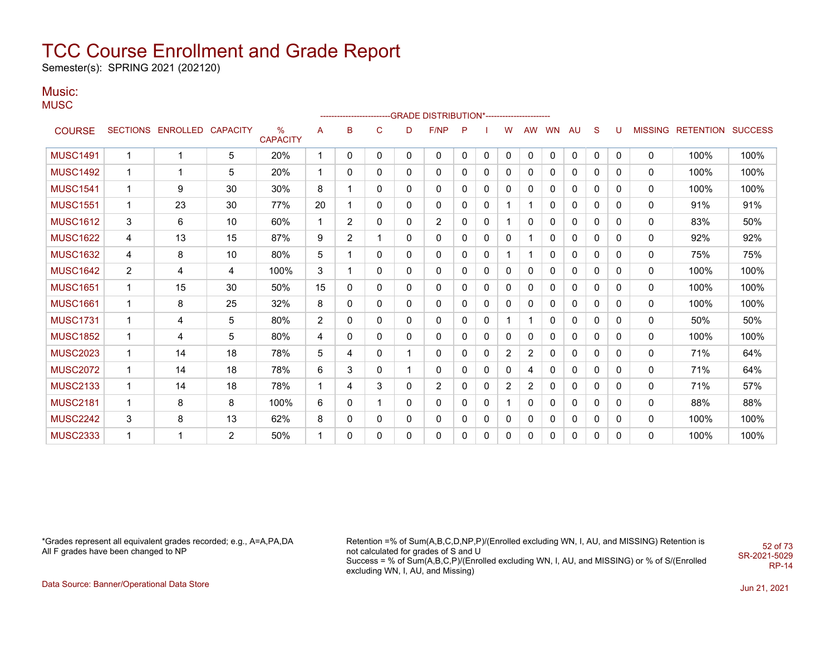Semester(s): SPRING 2021 (202120)

### Music:

**MUSC** 

|                 |                |                            |    |                         |                |                |              |              | ------------------------GRADE                DISTRIBUTION*---------------------- |          |          |                         |              |              |              |              |              |                |                          |      |
|-----------------|----------------|----------------------------|----|-------------------------|----------------|----------------|--------------|--------------|----------------------------------------------------------------------------------|----------|----------|-------------------------|--------------|--------------|--------------|--------------|--------------|----------------|--------------------------|------|
| <b>COURSE</b>   |                | SECTIONS ENROLLED CAPACITY |    | $\%$<br><b>CAPACITY</b> | A              | B              | $\mathsf{C}$ | D            | F/NP                                                                             | P        |          | W                       | <b>AW</b>    | <b>WN</b>    | AU           | S            | U            | <b>MISSING</b> | <b>RETENTION SUCCESS</b> |      |
| <b>MUSC1491</b> | $\overline{1}$ |                            | 5  | 20%                     | $\mathbf{1}$   | $\mathbf{0}$   | $\mathbf{0}$ | $\mathbf{0}$ | $\mathbf 0$                                                                      | $\Omega$ | 0        | $\mathbf 0$             | $\mathbf{0}$ | $\mathbf{0}$ | $\mathbf{0}$ | 0            | $\mathbf{0}$ | 0              | 100%                     | 100% |
| <b>MUSC1492</b> | -1             |                            | 5  | 20%                     | $\mathbf{1}$   | $\mathbf{0}$   | $\mathbf{0}$ | 0            | 0                                                                                | 0        | 0        | 0                       | 0            | 0            | 0            | 0            | 0            | 0              | 100%                     | 100% |
| <b>MUSC1541</b> | 1              | 9                          | 30 | 30%                     | 8              |                | 0            | 0            | 0                                                                                | 0        | 0        | 0                       | 0            | 0            | 0            | 0            | 0            | 0              | 100%                     | 100% |
| <b>MUSC1551</b> | $\mathbf{1}$   | 23                         | 30 | 77%                     | 20             | 1              | 0            | 0            | 0                                                                                | 0        | 0        | 1                       |              | 0            | 0            | 0            | 0            | 0              | 91%                      | 91%  |
| <b>MUSC1612</b> | 3              | 6                          | 10 | 60%                     | $\mathbf{1}$   | $\overline{2}$ | 0            | 0            | $\overline{2}$                                                                   | 0        | 0        |                         | 0            | 0            | 0            | 0            | 0            | 0              | 83%                      | 50%  |
| <b>MUSC1622</b> | $\overline{4}$ | 13                         | 15 | 87%                     | 9              | $\overline{2}$ | 1            | $\mathbf{0}$ | 0                                                                                | 0        | 0        | 0                       |              | 0            | 0            | 0            | 0            | 0              | 92%                      | 92%  |
| <b>MUSC1632</b> | 4              | 8                          | 10 | 80%                     | 5              |                | 0            | 0            | 0                                                                                | 0        | 0        |                         |              | 0            | 0            | $\Omega$     | 0            | 0              | 75%                      | 75%  |
| <b>MUSC1642</b> | $\overline{2}$ | 4                          | 4  | 100%                    | 3              |                | 0            | 0            | 0                                                                                | 0        | 0        | $\mathbf{0}$            | 0            | 0            | 0            | 0            | 0            | 0              | 100%                     | 100% |
| <b>MUSC1651</b> | $\mathbf 1$    | 15                         | 30 | 50%                     | 15             | 0              | 0            | 0            | 0                                                                                | 0        | 0        | 0                       | 0            | 0            | 0            | 0            | 0            | 0              | 100%                     | 100% |
| <b>MUSC1661</b> | $\mathbf 1$    | 8                          | 25 | 32%                     | 8              | $\mathbf{0}$   | 0            | 0            | 0                                                                                | 0        | 0        | 0                       | 0            | 0            | 0            | 0            | 0            | 0              | 100%                     | 100% |
| <b>MUSC1731</b> | $\mathbf 1$    | 4                          | 5  | 80%                     | $\overline{2}$ | $\mathbf{0}$   | $\mathbf{0}$ | $\mathbf{0}$ | 0                                                                                | 0        | $\Omega$ |                         |              | 0            | 0            | 0            | 0            | $\mathbf{0}$   | 50%                      | 50%  |
| <b>MUSC1852</b> | -1             | 4                          | 5  | 80%                     | 4              | $\mathbf{0}$   | 0            | 0            | 0                                                                                | 0        | 0        | $\mathbf{0}$            | 0            | 0            | 0            | 0            | 0            | $\mathbf{0}$   | 100%                     | 100% |
| <b>MUSC2023</b> | $\overline{1}$ | 14                         | 18 | 78%                     | 5              | 4              | 0            | 1            | 0                                                                                | 0        | 0        | $\overline{\mathbf{c}}$ | 2            | 0            | 0            | 0            | 0            | 0              | 71%                      | 64%  |
| <b>MUSC2072</b> | 1              | 14                         | 18 | 78%                     | 6              | 3              | $\mathbf{0}$ | 1            | $\mathbf{0}$                                                                     | 0        | 0        | $\mathbf{0}$            | 4            | 0            | 0            | 0            | 0            | 0              | 71%                      | 64%  |
| <b>MUSC2133</b> | $\mathbf 1$    | 14                         | 18 | 78%                     | $\mathbf{1}$   | 4              | 3            | 0            | $\overline{2}$                                                                   | 0        | 0        | $\overline{2}$          | 2            | 0            | 0            | $\mathbf{0}$ | 0            | 0              | 71%                      | 57%  |
| <b>MUSC2181</b> | 1              | 8                          | 8  | 100%                    | 6              | $\mathbf{0}$   | 1            | 0            | 0                                                                                | 0        | 0        | 1                       | 0            | 0            | 0            | 0            | 0            | 0              | 88%                      | 88%  |
| <b>MUSC2242</b> | 3              | 8                          | 13 | 62%                     | 8              | 0              | 0            | 0            | 0                                                                                | 0        | 0        | 0                       | 0            | 0            | 0            | 0            | 0            | 0              | 100%                     | 100% |
| <b>MUSC2333</b> | 1              |                            | 2  | 50%                     |                | $\mathbf{0}$   | 0            | 0            | $\Omega$                                                                         | 0        | 0        | 0                       | 0            | 0            | 0            | $\mathbf{0}$ | 0            | 0              | 100%                     | 100% |

\*Grades represent all equivalent grades recorded; e.g., A=A,PA,DA All F grades have been changed to NP

Retention =% of Sum(A,B,C,D,NP,P)/(Enrolled excluding WN, I, AU, and MISSING) Retention is not calculated for grades of S and U Success = % of Sum(A,B,C,P)/(Enrolled excluding WN, I, AU, and MISSING) or % of S/(Enrolled excluding WN, I, AU, and Missing) 52 of 73 SR-2021-5029

RP-14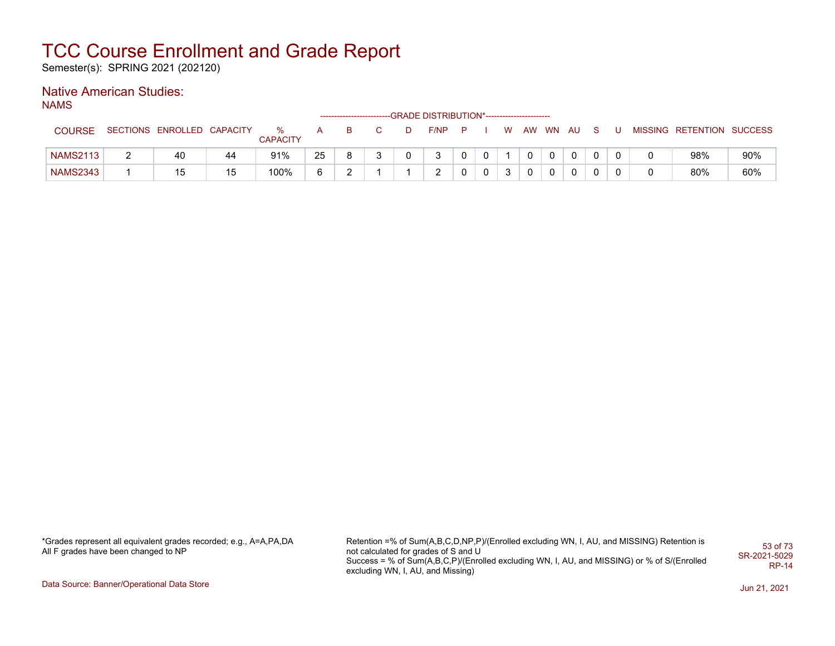Semester(s): SPRING 2021 (202120)

### Native American Studies:

NAMS

|                 |                            |    |                      |    |   |   | ------------------------GRADE DISTRIBUTION*----------------------- |          |   |   |  |          |       |  |                           |     |
|-----------------|----------------------------|----|----------------------|----|---|---|--------------------------------------------------------------------|----------|---|---|--|----------|-------|--|---------------------------|-----|
| <b>COURSE</b>   | SECTIONS ENROLLED CAPACITY |    | %<br><b>CAPACITY</b> | A  | в | D | F/NP                                                               | <b>P</b> |   | W |  | AW WN AU | - S - |  | MISSING RETENTION SUCCESS |     |
| <b>NAMS2113</b> | 40                         | 44 | 91%                  | 25 |   |   | 3                                                                  |          |   |   |  |          |       |  | 98%                       | 90% |
| <b>NAMS2343</b> | 15                         | 15 | 100%                 |    |   |   | ົ                                                                  |          | 0 | 3 |  |          |       |  | 80%                       | 60% |

\*Grades represent all equivalent grades recorded; e.g., A=A,PA,DA All F grades have been changed to NP

Retention =% of Sum(A,B,C,D,NP,P)/(Enrolled excluding WN, I, AU, and MISSING) Retention is not calculated for grades of S and U Success = % of Sum(A,B,C,P)/(Enrolled excluding WN, I, AU, and MISSING) or % of S/(Enrolled excluding WN, I, AU, and Missing) 53 of 73 SR-2021-5029 RP-14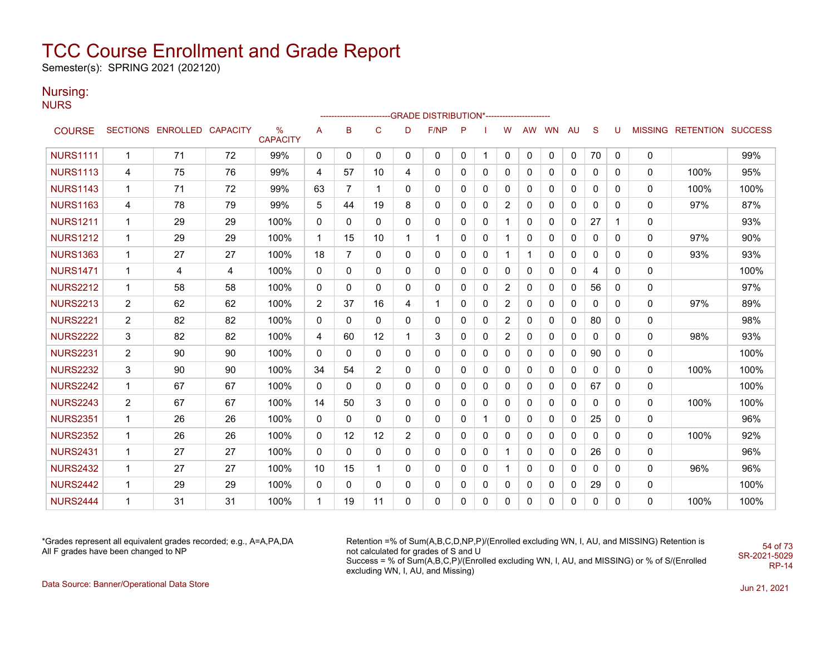Semester(s): SPRING 2021 (202120)

#### Nursing:

**NURS** 

|                 |                |                            |    |                      |                |                   |                |                | ------------------------GRADE                DISTRIBUTION*---------------------- |              |   |              |           |           |    |              |          |              |                           |      |
|-----------------|----------------|----------------------------|----|----------------------|----------------|-------------------|----------------|----------------|----------------------------------------------------------------------------------|--------------|---|--------------|-----------|-----------|----|--------------|----------|--------------|---------------------------|------|
| <b>COURSE</b>   |                | SECTIONS ENROLLED CAPACITY |    | %<br><b>CAPACITY</b> | А              | B                 | $\mathsf{C}$   | D              | F/NP                                                                             | P            |   | W            | <b>AW</b> | <b>WN</b> | AU | <sub>S</sub> | U        |              | MISSING RETENTION SUCCESS |      |
| <b>NURS1111</b> | $\mathbf{1}$   | 71                         | 72 | 99%                  | 0              | 0                 | 0              | 0              | 0                                                                                | $\mathbf{0}$ | 1 | 0            | 0         | 0         | 0  | 70           | 0        | 0            |                           | 99%  |
| <b>NURS1113</b> | 4              | 75                         | 76 | 99%                  | 4              | 57                | 10             | 4              | 0                                                                                | 0            | 0 | 0            | 0         | 0         | 0  | 0            | 0        | 0            | 100%                      | 95%  |
| <b>NURS1143</b> | 1              | 71                         | 72 | 99%                  | 63             | 7                 | 1              | 0              | 0                                                                                | 0            | 0 | 0            | 0         | 0         | 0  | 0            | 0        | 0            | 100%                      | 100% |
| <b>NURS1163</b> | 4              | 78                         | 79 | 99%                  | 5              | 44                | 19             | 8              | 0                                                                                | 0            | 0 | 2            | 0         | 0         | 0  | 0            | 0        | 0            | 97%                       | 87%  |
| <b>NURS1211</b> | 1              | 29                         | 29 | 100%                 | 0              | 0                 | 0              | 0              | 0                                                                                | 0            | 0 | 1            | 0         | 0         | 0  | 27           | 1        | 0            |                           | 93%  |
| <b>NURS1212</b> | 1              | 29                         | 29 | 100%                 | $\mathbf{1}$   | 15                | 10             | $\mathbf{1}$   | $\mathbf{1}$                                                                     | 0            | 0 | 1            | 0         | 0         | 0  | 0            | 0        | 0            | 97%                       | 90%  |
| <b>NURS1363</b> | 1              | 27                         | 27 | 100%                 | 18             | $\overline{7}$    | 0              | 0              | 0                                                                                | 0            | 0 | $\mathbf{1}$ | 1         | 0         | 0  | 0            | 0        | 0            | 93%                       | 93%  |
| <b>NURS1471</b> | 1              | 4                          | 4  | 100%                 | $\mathbf{0}$   | 0                 | 0              | $\mathbf{0}$   | $\mathbf{0}$                                                                     | 0            | 0 | 0            | 0         | 0         | 0  | 4            | 0        | $\mathbf{0}$ |                           | 100% |
| <b>NURS2212</b> | 1              | 58                         | 58 | 100%                 | $\mathbf{0}$   | $\mathbf{0}$      | 0              | $\mathbf{0}$   | 0                                                                                | $\Omega$     | 0 | 2            | 0         | 0         | 0  | 56           | 0        | 0            |                           | 97%  |
| <b>NURS2213</b> | $\overline{2}$ | 62                         | 62 | 100%                 | $\overline{2}$ | 37                | 16             | 4              | $\mathbf{1}$                                                                     | 0            | 0 | 2            | 0         | 0         | 0  | 0            | 0        | 0            | 97%                       | 89%  |
| <b>NURS2221</b> | $\overline{2}$ | 82                         | 82 | 100%                 | $\mathbf{0}$   | 0                 | 0              | 0              | 0                                                                                | 0            | 0 | 2            | 0         | 0         | 0  | 80           | 0        | 0            |                           | 98%  |
| <b>NURS2222</b> | 3              | 82                         | 82 | 100%                 | 4              | 60                | 12             | $\mathbf 1$    | 3                                                                                | 0            | 0 | 2            | 0         | 0         | 0  | 0            | $\Omega$ | 0            | 98%                       | 93%  |
| <b>NURS2231</b> | $\overline{2}$ | 90                         | 90 | 100%                 | $\mathbf{0}$   | 0                 | 0              | 0              | 0                                                                                | 0            | 0 | 0            | 0         | 0         | 0  | 90           | 0        | 0            |                           | 100% |
| <b>NURS2232</b> | 3              | 90                         | 90 | 100%                 | 34             | 54                | $\overline{2}$ | 0              | 0                                                                                | 0            | 0 | 0            | 0         | 0         | 0  | 0            | 0        | 0            | 100%                      | 100% |
| <b>NURS2242</b> | $\mathbf{1}$   | 67                         | 67 | 100%                 | $\mathbf{0}$   | 0                 | 0              | $\mathbf{0}$   | $\mathbf{0}$                                                                     | 0            | 0 | 0            | 0         | 0         | 0  | 67           | 0        | 0            |                           | 100% |
| <b>NURS2243</b> | $\overline{2}$ | 67                         | 67 | 100%                 | 14             | 50                | 3              | $\mathbf{0}$   | 0                                                                                | 0            | 0 | 0            | 0         | 0         | 0  | $\mathbf{0}$ | 0        | 0            | 100%                      | 100% |
| <b>NURS2351</b> | $\mathbf{1}$   | 26                         | 26 | 100%                 | 0              | 0                 | 0              | $\mathbf{0}$   | 0                                                                                | 0            |   | 0            | $\Omega$  | $\Omega$  | 0  | 25           | 0        | 0            |                           | 96%  |
| <b>NURS2352</b> | 1              | 26                         | 26 | 100%                 | $\mathbf{0}$   | $12 \overline{ }$ | 12             | $\overline{2}$ | 0                                                                                | 0            | 0 | 0            | 0         | 0         | 0  | 0            | 0        | 0            | 100%                      | 92%  |
| <b>NURS2431</b> | 1              | 27                         | 27 | 100%                 | 0              | 0                 | 0              | 0              | 0                                                                                | 0            | 0 | 1            | 0         | 0         | 0  | 26           | 0        | 0            |                           | 96%  |
| <b>NURS2432</b> | 1              | 27                         | 27 | 100%                 | 10             | 15                | 1              | 0              | 0                                                                                | 0            | 0 | 1            | 0         | 0         | 0  | 0            | 0        | 0            | 96%                       | 96%  |
| <b>NURS2442</b> | $\mathbf{1}$   | 29                         | 29 | 100%                 | 0              | 0                 | 0              | 0              | 0                                                                                | 0            | 0 | 0            | 0         | 0         | 0  | 29           | 0        | 0            |                           | 100% |
| <b>NURS2444</b> | 1              | 31                         | 31 | 100%                 | $\mathbf{1}$   | 19                | 11             | $\Omega$       | 0                                                                                | $\Omega$     | 0 | 0            | 0         | 0         | 0  | 0            | 0        | 0            | 100%                      | 100% |

\*Grades represent all equivalent grades recorded; e.g., A=A,PA,DA All F grades have been changed to NP

Retention =% of Sum(A,B,C,D,NP,P)/(Enrolled excluding WN, I, AU, and MISSING) Retention is not calculated for grades of S and U Success = % of Sum(A,B,C,P)/(Enrolled excluding WN, I, AU, and MISSING) or % of S/(Enrolled excluding WN, I, AU, and Missing)

54 of 73 SR-2021-5029 RP-14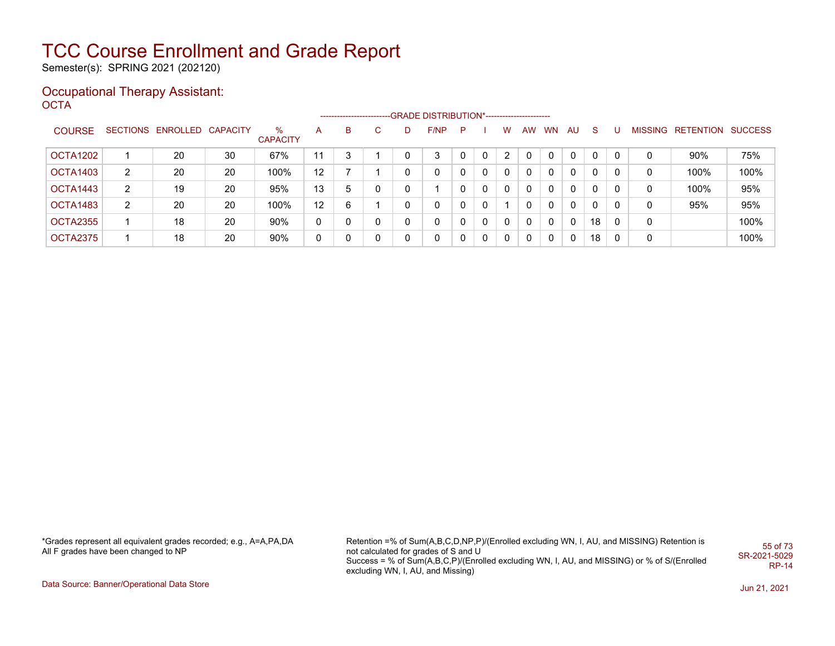Semester(s): SPRING 2021 (202120)

#### Occupational Therapy Assistant: OCTA<sup>'</sup>

|               |   |                            |    |                      |                   | ------------------------ |   |   | --GRADE DISTRIBUTION*---------------------- |              |          |          |    |           |              |              |   |   |                           |      |
|---------------|---|----------------------------|----|----------------------|-------------------|--------------------------|---|---|---------------------------------------------|--------------|----------|----------|----|-----------|--------------|--------------|---|---|---------------------------|------|
| <b>COURSE</b> |   | SECTIONS ENROLLED CAPACITY |    | ℅<br><b>CAPACITY</b> | A                 | B                        | C | D | F/NP                                        | P            |          | W        | AW | <b>WN</b> | AU           | S.           | U |   | MISSING RETENTION SUCCESS |      |
| OCTA1202      |   | 20                         | 30 | 67%                  | 11                | 3                        |   | 0 | 3                                           |              | 0        | 2        |    | 0         | 0            | 0            | 0 | 0 | 90%                       | 75%  |
| OCTA1403      | 2 | 20                         | 20 | 100%                 | $12 \overline{ }$ |                          |   | 0 | 0                                           |              | $\Omega$ | $\Omega$ |    | 0         | $\mathbf{0}$ | 0            |   | 0 | 100%                      | 100% |
| OCTA1443      | 2 | 19                         | 20 | 95%                  | 13                | 5                        | 0 | 0 |                                             |              | $\Omega$ | $\Omega$ |    | 0         | 0            | 0            |   | 0 | 100%                      | 95%  |
| OCTA1483      | 2 | 20                         | 20 | 100%                 | 12                | 6                        |   | 0 | 0                                           |              | 0        |          |    | 0         | 0            | $\mathbf{0}$ |   | 0 | 95%                       | 95%  |
| OCTA2355      |   | 18                         | 20 | 90%                  | 0                 | ∩                        | 0 | 0 | 0                                           | <sup>n</sup> | 0        | $\Omega$ |    | $\Omega$  | 0            | 18           | 0 | 0 |                           | 100% |
| OCTA2375      |   | 18                         | 20 | 90%                  | 0                 |                          | 0 | 0 | 0                                           |              | $\Omega$ | 0        |    | 0         | $\mathbf{0}$ | 18           | 0 | 0 |                           | 100% |

\*Grades represent all equivalent grades recorded; e.g., A=A,PA,DA All F grades have been changed to NP

Retention =% of Sum(A,B,C,D,NP,P)/(Enrolled excluding WN, I, AU, and MISSING) Retention is not calculated for grades of S and U Success = % of Sum(A,B,C,P)/(Enrolled excluding WN, I, AU, and MISSING) or % of S/(Enrolled excluding WN, I, AU, and Missing) 55 of 73 SR-2021-5029 RP-14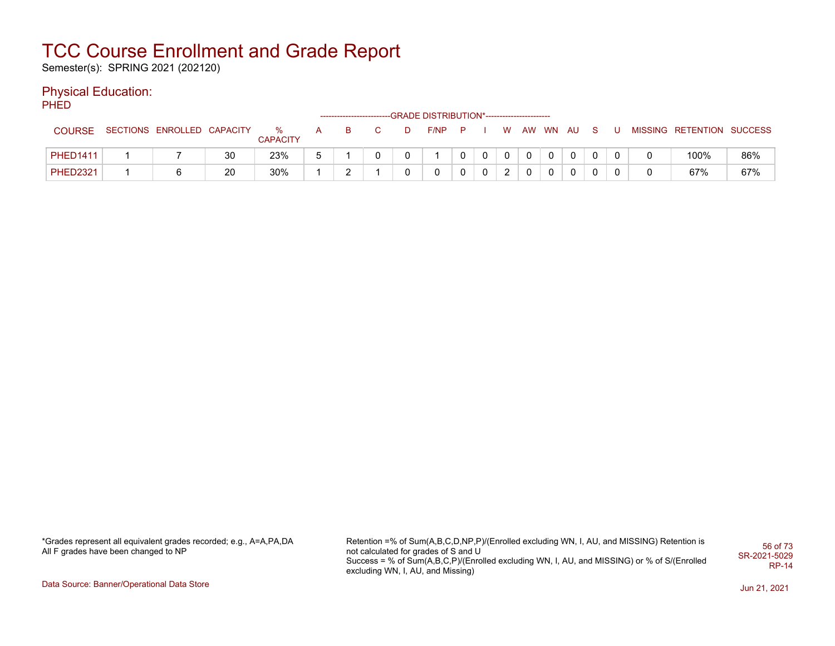Semester(s): SPRING 2021 (202120)

#### Physical Education:

**PHED** 

|                 |                            |    |                      |  |   | ------------------------GRADE DISTRIBUTION*----------------------- |             |               |             |              |             |              |  |                           |     |
|-----------------|----------------------------|----|----------------------|--|---|--------------------------------------------------------------------|-------------|---------------|-------------|--------------|-------------|--------------|--|---------------------------|-----|
| <b>COURSE</b>   | SECTIONS ENROLLED CAPACITY |    | %<br><b>CAPACITY</b> |  | D | $F/NP$ $P$                                                         |             | W.            |             | AW WN AU     |             | S.           |  | MISSING RETENTION SUCCESS |     |
| <b>PHED1411</b> |                            | 30 | 23%                  |  |   |                                                                    | $\mathbf 0$ | $\mathbf 0$   | $\mathbf 0$ | $\mathbf{0}$ | $\mathbf 0$ | $\mathbf{0}$ |  | 100%                      | 86% |
| <b>PHED2321</b> |                            | 20 | 30%                  |  |   |                                                                    |             | ົ<br><u>_</u> |             |              | 0           | 0            |  | 67%                       | 67% |

\*Grades represent all equivalent grades recorded; e.g., A=A,PA,DA All F grades have been changed to NP

Retention =% of Sum(A,B,C,D,NP,P)/(Enrolled excluding WN, I, AU, and MISSING) Retention is not calculated for grades of S and U Success = % of Sum(A,B,C,P)/(Enrolled excluding WN, I, AU, and MISSING) or % of S/(Enrolled excluding WN, I, AU, and Missing) 56 of 73 SR-2021-5029 RP-14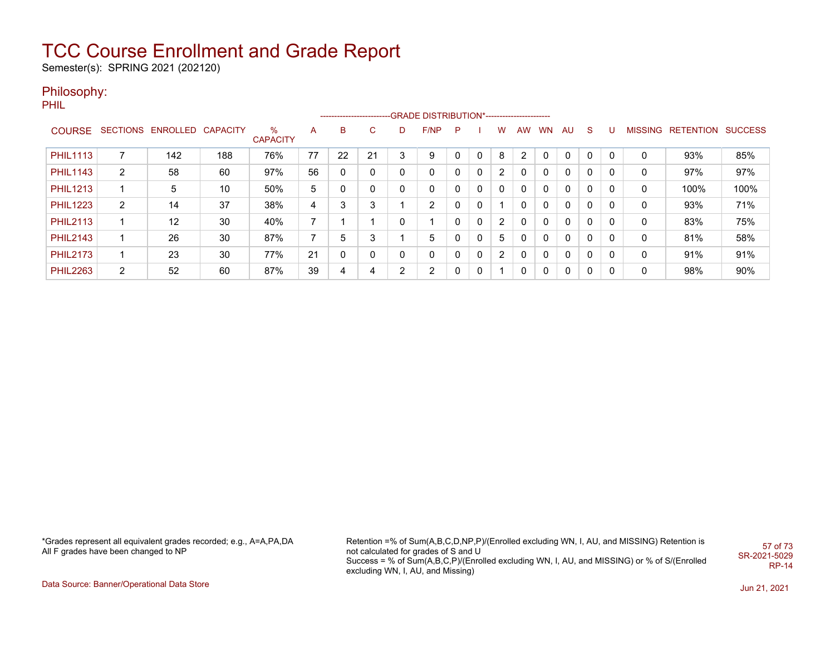Semester(s): SPRING 2021 (202120)

#### Philosophy:

PHIL

|                 |                |                            |     |                         |    | ------------------------- |    |   | -GRADE DISTRIBUTION*----------------------- |   |              |    |     |           |              |              |   |   |                   |                |
|-----------------|----------------|----------------------------|-----|-------------------------|----|---------------------------|----|---|---------------------------------------------|---|--------------|----|-----|-----------|--------------|--------------|---|---|-------------------|----------------|
| <b>COURSE</b>   |                | SECTIONS ENROLLED CAPACITY |     | $\%$<br><b>CAPACITY</b> | A  | B                         | C. | D | F/NP                                        | P |              | w  | AW. | <b>WN</b> | AU           | S.           | υ |   | MISSING RETENTION | <b>SUCCESS</b> |
| <b>PHIL1113</b> |                | 142                        | 188 | 76%                     | 77 | 22                        | 21 | 3 | 9                                           |   | $\mathbf{0}$ | 8  | 2   |           | 0            | 0            | 0 |   | 93%               | 85%            |
| <b>PHIL1143</b> | 2              | 58                         | 60  | 97%                     | 56 |                           | 0  | 0 | 0                                           | 0 | 0            | 2  | 0   | 0         | 0            | $\mathbf{0}$ | 0 | 0 | 97%               | 97%            |
| <b>PHIL1213</b> |                | 5                          | 10  | 50%                     | 5  |                           |    |   | 0                                           | 0 | 0            | 0  | 0   | 0         | 0            | 0            | 0 | 0 | 100%              | 100%           |
| <b>PHIL1223</b> | $\overline{2}$ | 14                         | 37  | 38%                     | 4  | ົ                         | 3  |   | $\overline{2}$                              | 0 | 0            |    | 0   | 0         | 0            | 0            | 0 | 0 | 93%               | 71%            |
| <b>PHIL2113</b> |                | 12                         | 30  | 40%                     |    |                           |    | 0 | ◢                                           | 0 | 0            | 2  | 0   | 0         | 0            | $\mathbf{0}$ | 0 | 0 | 83%               | 75%            |
| <b>PHIL2143</b> |                | 26                         | 30  | 87%                     |    |                           | 3  |   | 5                                           |   | 0            | 5  | 0   | 0         | $\mathbf{0}$ | 0            | 0 | 0 | 81%               | 58%            |
| <b>PHIL2173</b> |                | 23                         | 30  | 77%                     | 21 |                           | 0  | 0 | 0                                           | 0 | 0            | 2  | 0   | 0         | $\mathbf{0}$ | 0            | 0 | 0 | 91%               | 91%            |
| <b>PHIL2263</b> | $\overline{2}$ | 52                         | 60  | 87%                     | 39 | 4                         | 4  | ົ | 2                                           | 0 | 0            | -1 | 0   | 0         | 0            | $\mathbf{0}$ | 0 | 0 | 98%               | 90%            |

\*Grades represent all equivalent grades recorded; e.g., A=A,PA,DA All F grades have been changed to NP

Retention =% of Sum(A,B,C,D,NP,P)/(Enrolled excluding WN, I, AU, and MISSING) Retention is not calculated for grades of S and U Success = % of Sum(A,B,C,P)/(Enrolled excluding WN, I, AU, and MISSING) or % of S/(Enrolled excluding WN, I, AU, and Missing) 57 of 73 SR-2021-5029 RP-14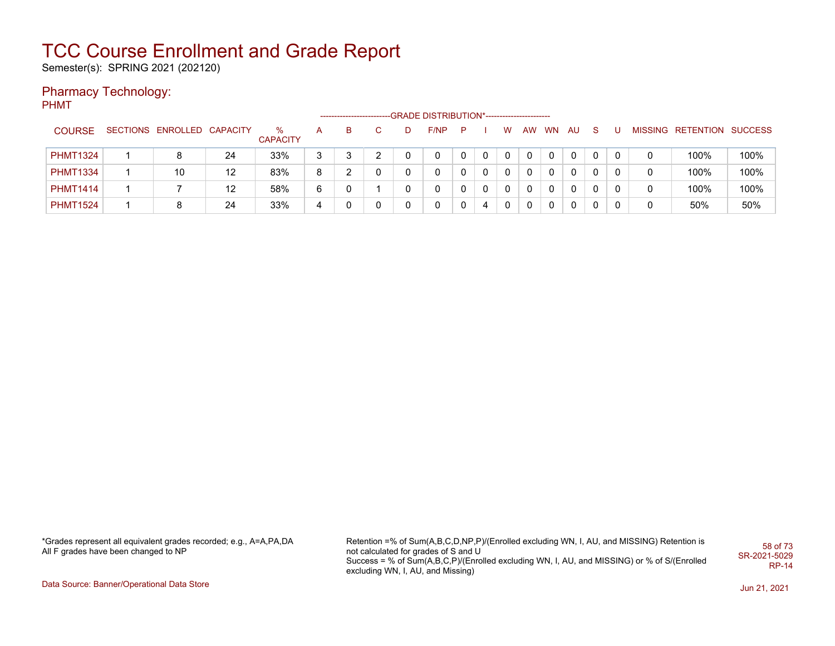Semester(s): SPRING 2021 (202120)

### Pharmacy Technology:

PHMT

|                 |                            |    |                         |   | --------------------- |              |   | -GRADE DISTRIBUTION*----------------------- |   |   |   |    |    |          |              |   |   |                           |      |
|-----------------|----------------------------|----|-------------------------|---|-----------------------|--------------|---|---------------------------------------------|---|---|---|----|----|----------|--------------|---|---|---------------------------|------|
| <b>COURSE</b>   | SECTIONS ENROLLED CAPACITY |    | $\%$<br><b>CAPACITY</b> | A | B.                    | C.           | D | F/NP                                        | P |   | w | AW | WN | AU       | -S           | υ |   | MISSING RETENTION SUCCESS |      |
| <b>PHMT1324</b> |                            | 24 | 33%                     | 3 | 3                     | າ            |   | 0                                           |   | 0 | 0 |    | 0  | 0        |              |   |   | 100%                      | 100% |
| <b>PHMT1334</b> | 10                         | 12 | 83%                     | 8 |                       | 0            |   | 0                                           |   | 0 | 0 | 0  | 0  | $\Omega$ | $\mathbf{0}$ |   | 0 | 100%                      | 100% |
| <b>PHMT1414</b> |                            | 12 | 58%                     | 6 |                       |              |   | 0                                           |   | 0 |   | 0  | 0  | 0        |              |   | 0 | 100%                      | 100% |
| <b>PHMT1524</b> |                            | 24 | 33%                     | 4 |                       | $\mathbf{0}$ |   | $\mathbf{0}$                                |   | 4 | 0 | 0  | 0  | $\Omega$ | $\mathbf{0}$ |   | 0 | 50%                       | 50%  |

\*Grades represent all equivalent grades recorded; e.g., A=A,PA,DA All F grades have been changed to NP

Retention =% of Sum(A,B,C,D,NP,P)/(Enrolled excluding WN, I, AU, and MISSING) Retention is not calculated for grades of S and U Success = % of Sum(A,B,C,P)/(Enrolled excluding WN, I, AU, and MISSING) or % of S/(Enrolled excluding WN, I, AU, and Missing) 58 of 73 SR-2021-5029 RP-14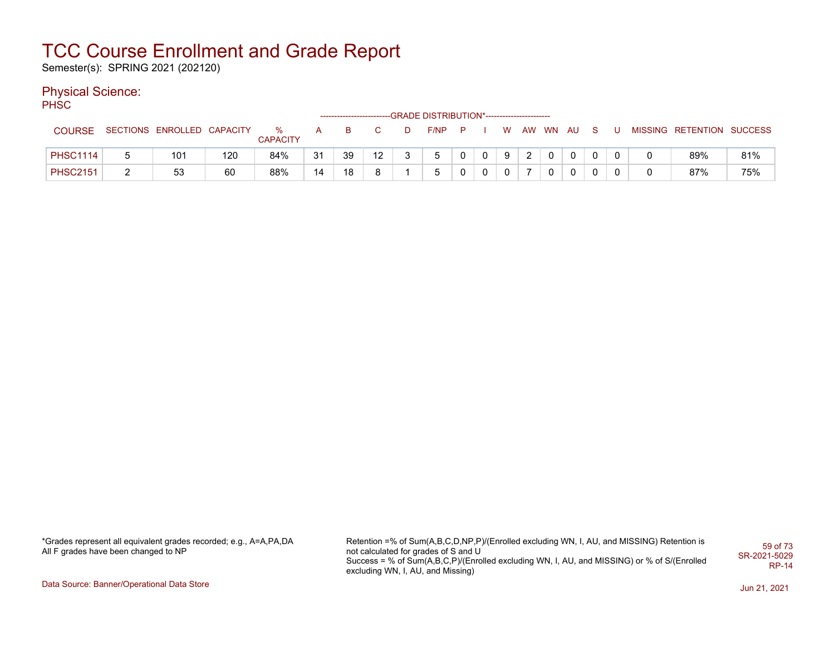Semester(s): SPRING 2021 (202120)

#### Physical Science:

PH<sub>SC</sub>

|                 |                            |     |                         |    | -------------------------- |    | -GRADE DISTRIBUTION*----------------------- |              |    |   |          |             |          |              |                           |     |
|-----------------|----------------------------|-----|-------------------------|----|----------------------------|----|---------------------------------------------|--------------|----|---|----------|-------------|----------|--------------|---------------------------|-----|
| <b>COURSE</b>   | SECTIONS ENROLLED CAPACITY |     | $\%$<br><b>CAPACITY</b> | A  | В                          |    | $F/NP$ $P$                                  |              | W. |   | AW WN AU |             | S.       |              | MISSING RETENTION SUCCESS |     |
| <b>PHSC1114</b> | 101                        | 120 | 84%                     | 31 | 39                         | 12 | b.                                          | $\mathbf{0}$ | 9  | ົ |          |             | $\Omega$ |              | 89%                       | 81% |
| <b>PHSC2151</b> | 53                         | 60  | 88%                     | 14 | 18                         | я  | 5                                           | 0            | 0  |   |          | $\mathbf 0$ | 0        | $\mathbf{0}$ | 87%                       | 75% |

\*Grades represent all equivalent grades recorded; e.g., A=A,PA,DA All F grades have been changed to NP

Retention =% of Sum(A,B,C,D,NP,P)/(Enrolled excluding WN, I, AU, and MISSING) Retention is not calculated for grades of S and U Success = % of Sum(A,B,C,P)/(Enrolled excluding WN, I, AU, and MISSING) or % of S/(Enrolled excluding WN, I, AU, and Missing) 59 of 73 SR-2021-5029 RP-14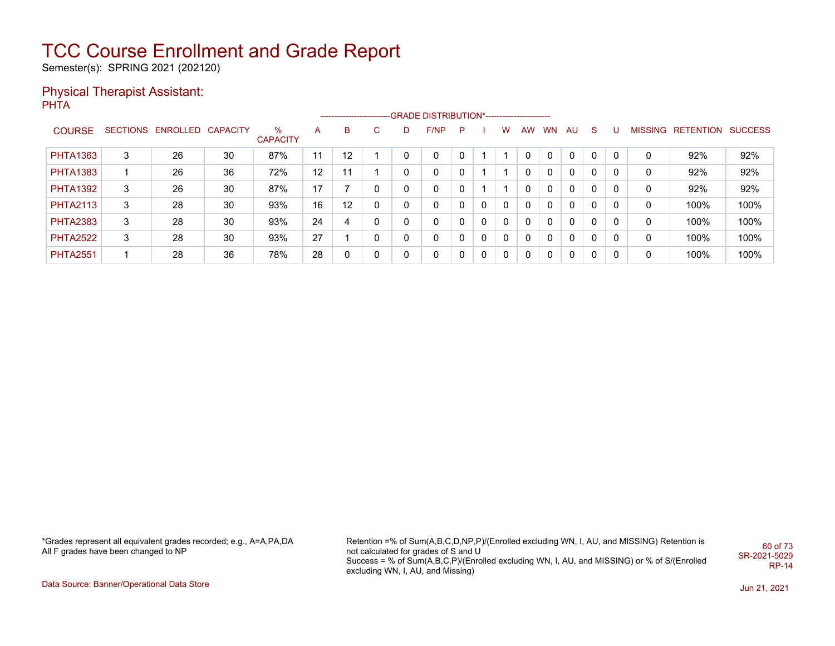Semester(s): SPRING 2021 (202120)

#### Physical Therapist Assistant: **PHTA**

|                 |   |                            |    |                      |                 |    |              |   | -------------------------GRADE DISTRIBUTION*---------------------- |    |   |          |           |           |              |          |   |                |                   |      |
|-----------------|---|----------------------------|----|----------------------|-----------------|----|--------------|---|--------------------------------------------------------------------|----|---|----------|-----------|-----------|--------------|----------|---|----------------|-------------------|------|
| <b>COURSE</b>   |   | SECTIONS ENROLLED CAPACITY |    | %<br><b>CAPACITY</b> | A               | в  | C.           | D | F/NP                                                               | P. |   | W        | <b>AW</b> | <b>WN</b> | AU.          | -S       | U | <b>MISSING</b> | RETENTION SUCCESS |      |
| <b>PHTA1363</b> | 3 | 26                         | 30 | 87%                  | 11              | 12 |              | ∩ | 0                                                                  |    |   |          |           |           | $\Omega$     | 0        |   |                | 92%               | 92%  |
| <b>PHTA1383</b> |   | 26                         | 36 | 72%                  | 12 <sup>°</sup> | 11 |              | 0 | 0                                                                  |    |   |          |           |           | $\Omega$     | 0        |   | 0              | 92%               | 92%  |
| <b>PHTA1392</b> | 3 | 26                         | 30 | 87%                  | 17              |    | 0            | 0 | 0                                                                  |    |   |          | $\Omega$  |           | $\mathbf{0}$ | 0        |   | 0              | 92%               | 92%  |
| <b>PHTA2113</b> | 3 | 28                         | 30 | 93%                  | 16              | 12 | $\mathbf{0}$ |   | 0                                                                  |    | 0 | $\Omega$ | $\Omega$  |           | $\Omega$     | $\Omega$ | 0 | 0              | 100%              | 100% |
| <b>PHTA2383</b> | 3 | 28                         | 30 | 93%                  | 24              | 4  | 0            | 0 | 0                                                                  |    | 0 | $\Omega$ | $\Omega$  |           | $\Omega$     | $\Omega$ | 0 | 0              | 100%              | 100% |
| <b>PHTA2522</b> | 3 | 28                         | 30 | 93%                  | 27              |    | 0            | 0 | 0                                                                  |    | 0 | $\Omega$ | $\Omega$  |           | $\Omega$     | 0        | 0 | 0              | 100%              | 100% |
| <b>PHTA2551</b> |   | 28                         | 36 | 78%                  | 28              | 0  | $\mathbf{0}$ | 0 | $\mathbf{0}$                                                       |    | 0 | $\Omega$ | $\Omega$  |           | $\Omega$     | 0        | 0 | 0              | 100%              | 100% |

\*Grades represent all equivalent grades recorded; e.g., A=A,PA,DA All F grades have been changed to NP

Retention =% of Sum(A,B,C,D,NP,P)/(Enrolled excluding WN, I, AU, and MISSING) Retention is not calculated for grades of S and U Success = % of Sum(A,B,C,P)/(Enrolled excluding WN, I, AU, and MISSING) or % of S/(Enrolled excluding WN, I, AU, and Missing) 60 of 73 SR-2021-5029 RP-14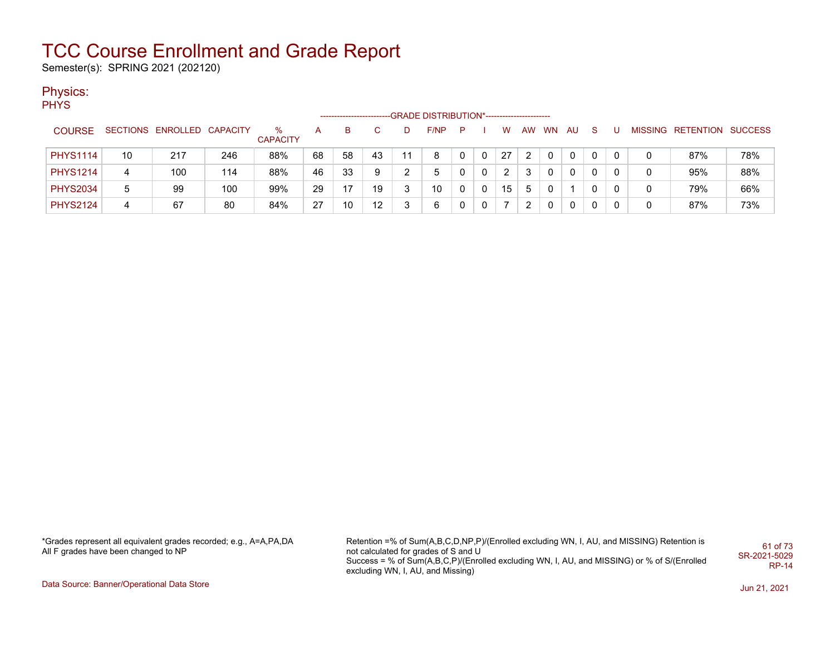Semester(s): SPRING 2021 (202120)

#### Physics:

PHYS

|                 |    |                            |     |                      |    | ------------------------- |    |   | -GRADE DISTRIBUTION*----------------------- |    |              |    |    |           |    |    |  |                           |     |
|-----------------|----|----------------------------|-----|----------------------|----|---------------------------|----|---|---------------------------------------------|----|--------------|----|----|-----------|----|----|--|---------------------------|-----|
| <b>COURSE</b>   |    | SECTIONS ENROLLED CAPACITY |     | %<br><b>CAPACITY</b> | А  | в                         |    |   | F/NP                                        | P. |              | W  | AW | <b>WN</b> | AU | -S |  | MISSING RETENTION SUCCESS |     |
| <b>PHYS1114</b> | 10 | 217                        | 246 | 88%                  | 68 | 58                        | 43 |   | 8                                           |    |              | 27 |    |           |    |    |  | 87%                       | 78% |
| <b>PHYS1214</b> | 4  | 100                        | 114 | 88%                  | 46 | 33                        | 9  |   | 5                                           |    | $\Omega$     | 2  |    |           |    |    |  | 95%                       | 88% |
| <b>PHYS2034</b> | 5  | 99                         | 100 | 99%                  | 29 | 17                        | 19 | ς | 10                                          |    | $\Omega$     | 15 | 5  |           |    |    |  | 79%                       | 66% |
| <b>PHYS2124</b> | 4  | 67                         | 80  | 84%                  | 27 | 10                        | 12 | 3 | 6                                           |    | $\mathbf{0}$ |    |    |           |    | 0  |  | 87%                       | 73% |

\*Grades represent all equivalent grades recorded; e.g., A=A,PA,DA All F grades have been changed to NP

Retention =% of Sum(A,B,C,D,NP,P)/(Enrolled excluding WN, I, AU, and MISSING) Retention is not calculated for grades of S and U Success = % of Sum(A,B,C,P)/(Enrolled excluding WN, I, AU, and MISSING) or % of S/(Enrolled excluding WN, I, AU, and Missing) 61 of 73 SR-2021-5029 RP-14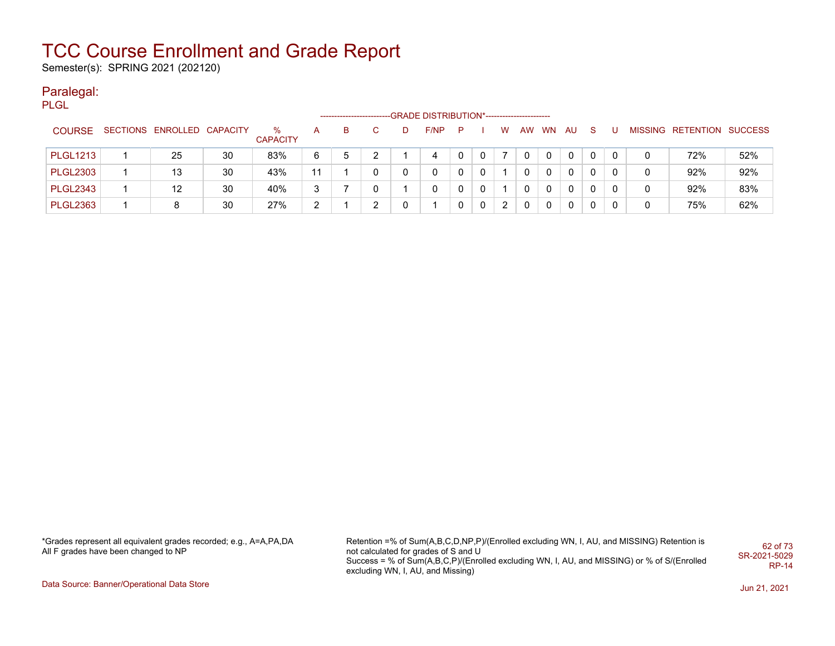Semester(s): SPRING 2021 (202120)

#### Paralegal:

PLGL

|                 |                            |    |                      |    | ------------------------ |   | -GRADE DISTRIBUTION*----------------------- |   |              |    |   |       |             |    |              |                           |     |
|-----------------|----------------------------|----|----------------------|----|--------------------------|---|---------------------------------------------|---|--------------|----|---|-------|-------------|----|--------------|---------------------------|-----|
| <b>COURSE</b>   | SECTIONS ENROLLED CAPACITY |    | %<br><b>CAPACITY</b> | A  | в                        |   | F/NP                                        | P |              | W. |   | AW WN | AU.         | -S |              | MISSING RETENTION SUCCESS |     |
| <b>PLGL1213</b> | 25                         | 30 | 83%                  | 6  | 5                        | າ | 4                                           |   | 0            |    | 0 | 0     | 0           | 0  |              | 72%                       | 52% |
| <b>PLGL2303</b> | 13                         | 30 | 43%                  | 11 |                          | 0 |                                             |   | 0            |    | 0 | 0     | $\Omega$    | 0  | $\mathbf{0}$ | 92%                       | 92% |
| <b>PLGL2343</b> | 12                         | 30 | 40%                  | 3  |                          | 0 |                                             |   | $\Omega$     |    | 0 | 0     | $\mathbf 0$ | 0  | 0            | 92%                       | 83% |
| <b>PLGL2363</b> | 8                          | 30 | 27%                  | C. |                          | ົ |                                             |   | $\mathbf{0}$ | 2  | 0 | 0     | $\Omega$    | 0  | $\mathbf{0}$ | 75%                       | 62% |

\*Grades represent all equivalent grades recorded; e.g., A=A,PA,DA All F grades have been changed to NP

Retention =% of Sum(A,B,C,D,NP,P)/(Enrolled excluding WN, I, AU, and MISSING) Retention is not calculated for grades of S and U Success = % of Sum(A,B,C,P)/(Enrolled excluding WN, I, AU, and MISSING) or % of S/(Enrolled excluding WN, I, AU, and Missing) 62 of 73 SR-2021-5029 RP-14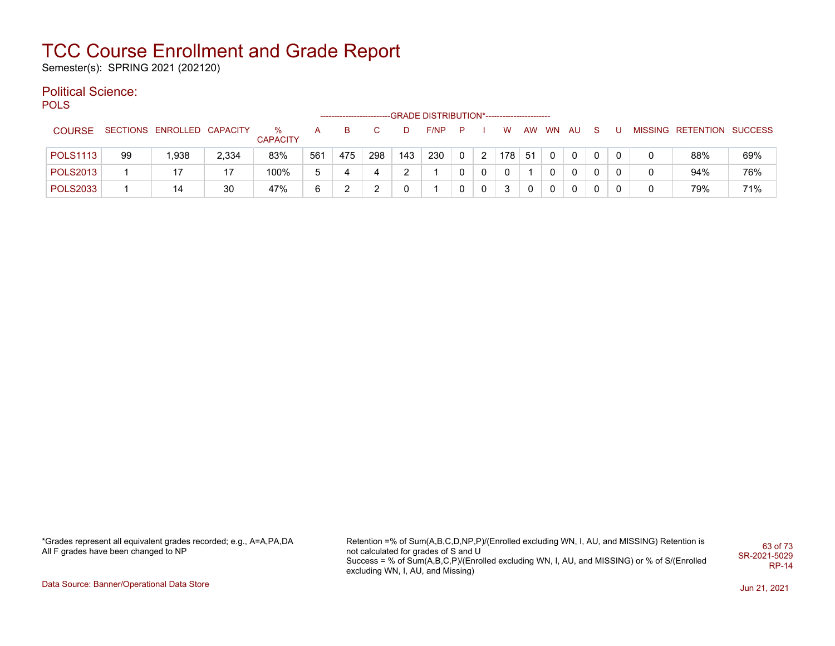Semester(s): SPRING 2021 (202120)

#### Political Science:

**POLS** 

|                 |    |                            |       |                      |     |     |     |     | -GRADE DISTRIBUTION*----------------------- |   |          |     |           |           |          |   |  |                           |     |
|-----------------|----|----------------------------|-------|----------------------|-----|-----|-----|-----|---------------------------------------------|---|----------|-----|-----------|-----------|----------|---|--|---------------------------|-----|
| <b>COURSE</b>   |    | SECTIONS ENROLLED CAPACITY |       | %<br><b>CAPACITY</b> |     | в   |     | D   | F/NP                                        | P |          | w   | <b>AW</b> | <b>WN</b> | AU       |   |  | MISSING RETENTION SUCCESS |     |
| <b>POLS1113</b> | 99 | 1.938                      | 2,334 | 83%                  | 561 | 475 | 298 | 143 | 230                                         | 0 | 2        | 178 | -51       | $\Omega$  | 0        | 0 |  | 88%                       | 69% |
| <b>POLS2013</b> |    | 17                         | 17    | 100%                 |     |     |     | ົ   |                                             | 0 | $\Omega$ | 0   |           | 0         | $\Omega$ | 0 |  | 94%                       | 76% |
| <b>POLS2033</b> |    | 14                         | 30    | 47%                  |     |     |     |     |                                             | 0 | $\Omega$ | 3   | 0         | 0         |          | 0 |  | 79%                       | 71% |

\*Grades represent all equivalent grades recorded; e.g., A=A,PA,DA All F grades have been changed to NP

Retention =% of Sum(A,B,C,D,NP,P)/(Enrolled excluding WN, I, AU, and MISSING) Retention is not calculated for grades of S and U Success = % of Sum(A,B,C,P)/(Enrolled excluding WN, I, AU, and MISSING) or % of S/(Enrolled excluding WN, I, AU, and Missing) 63 of 73 SR-2021-5029 RP-14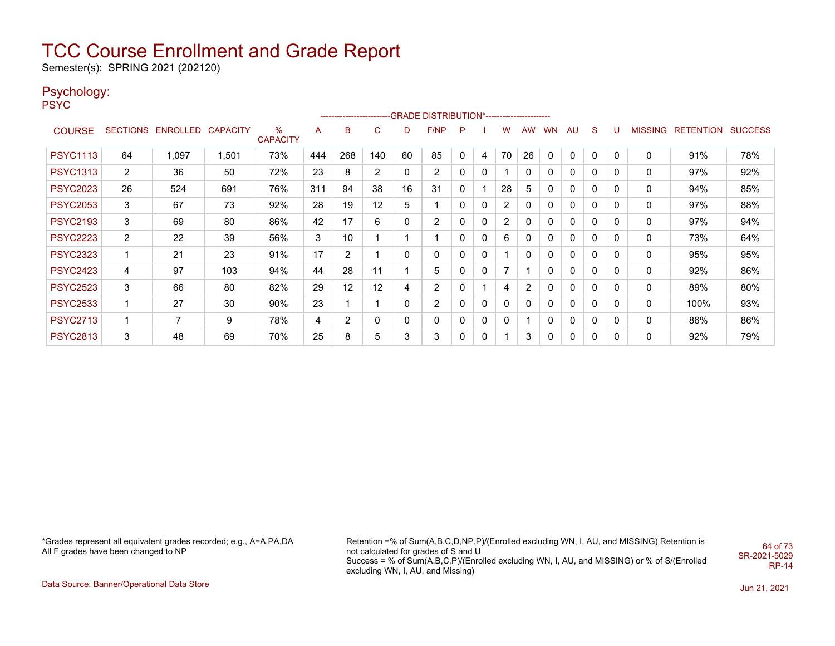Semester(s): SPRING 2021 (202120)

### Psychology:

PSYC

|                 |                |                            |       |                      |     |                |                |              | ------------------------GRADE                DISTRIBUTION*---------------------- |   |              |                |    |              |              |              |   |   |                   |                |
|-----------------|----------------|----------------------------|-------|----------------------|-----|----------------|----------------|--------------|----------------------------------------------------------------------------------|---|--------------|----------------|----|--------------|--------------|--------------|---|---|-------------------|----------------|
| <b>COURSE</b>   |                | SECTIONS ENROLLED CAPACITY |       | %<br><b>CAPACITY</b> | A   | B              | C              | D            | F/NP                                                                             | P |              | W              | AW | <b>WN</b>    | AU           | <sub>S</sub> | U |   | MISSING RETENTION | <b>SUCCESS</b> |
| <b>PSYC1113</b> | 64             | 1,097                      | 1,501 | 73%                  | 444 | 268            | 140            | 60           | 85                                                                               | 0 | 4            | 70             | 26 | $\mathbf{0}$ | 0            | 0            | 0 | 0 | 91%               | 78%            |
| <b>PSYC1313</b> | $\overline{2}$ | 36                         | 50    | 72%                  | 23  | 8              | $\overline{2}$ | 0            | $\overline{c}$                                                                   |   | 0            |                | 0  | 0            | 0            | 0            | 0 | 0 | 97%               | 92%            |
| <b>PSYC2023</b> | 26             | 524                        | 691   | 76%                  | 311 | 94             | 38             | 16           | 31                                                                               | 0 |              | 28             | 5  | 0            | 0            | 0            | 0 | 0 | 94%               | 85%            |
| <b>PSYC2053</b> | 3              | 67                         | 73    | 92%                  | 28  | 19             | 12             | 5            | 1                                                                                | 0 | 0            | $\overline{2}$ | 0  | 0            | 0            | 0            | 0 | 0 | 97%               | 88%            |
| <b>PSYC2193</b> | 3              | 69                         | 80    | 86%                  | 42  | 17             | 6              | 0            | 2                                                                                | 0 | 0            | $\overline{2}$ | 0  | 0            | 0            | 0            | 0 | 0 | 97%               | 94%            |
| <b>PSYC2223</b> | $\overline{2}$ | 22                         | 39    | 56%                  | 3   | 10             |                |              | 1                                                                                | 0 | 0            | 6              | 0  | 0            | 0            | 0            | 0 | 0 | 73%               | 64%            |
| <b>PSYC2323</b> | 1              | 21                         | 23    | 91%                  | 17  | $\overline{2}$ |                | $\mathbf{0}$ | 0                                                                                | 0 | $\mathbf{0}$ |                | 0  | 0            | 0            | 0            | 0 | 0 | 95%               | 95%            |
| <b>PSYC2423</b> | 4              | 97                         | 103   | 94%                  | 44  | 28             | 11             |              | 5                                                                                | 0 | 0            | 7              |    | 0            | 0            | 0            | 0 | 0 | 92%               | 86%            |
| <b>PSYC2523</b> | 3              | 66                         | 80    | 82%                  | 29  | 12             | 12             | 4            | 2                                                                                | 0 |              | 4              | 2  | 0            | $\mathbf{0}$ | 0            | 0 | 0 | 89%               | 80%            |
| <b>PSYC2533</b> | 1              | 27                         | 30    | 90%                  | 23  |                |                | 0            | $\overline{2}$                                                                   | 0 | $\mathbf{0}$ | $\mathbf{0}$   | 0  | 0            | $\mathbf{0}$ | 0            | 0 | 0 | 100%              | 93%            |
| <b>PSYC2713</b> | 1              | 7                          | 9     | 78%                  | 4   | $\overline{2}$ | 0              | 0            | 0                                                                                | 0 | 0            | 0              |    | 0            | 0            | 0            | 0 | 0 | 86%               | 86%            |
| <b>PSYC2813</b> | 3              | 48                         | 69    | 70%                  | 25  | 8              | 5              | 3            | 3                                                                                | 0 | 0            |                | 3  | 0            | 0            | 0            | 0 | 0 | 92%               | 79%            |

\*Grades represent all equivalent grades recorded; e.g., A=A,PA,DA All F grades have been changed to NP

Retention =% of Sum(A,B,C,D,NP,P)/(Enrolled excluding WN, I, AU, and MISSING) Retention is not calculated for grades of S and U Success = % of Sum(A,B,C,P)/(Enrolled excluding WN, I, AU, and MISSING) or % of S/(Enrolled excluding WN, I, AU, and Missing) 64 of 73 SR-2021-5029 RP-14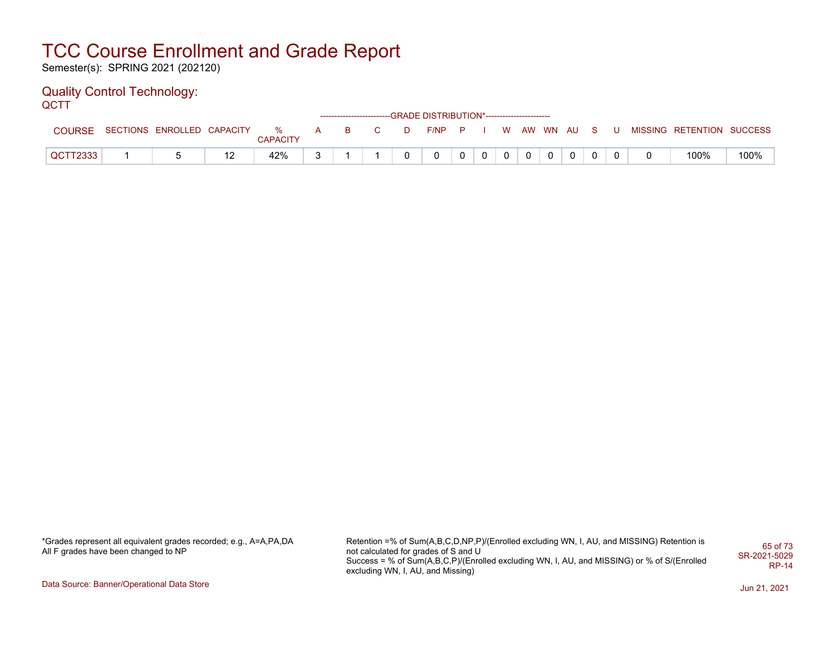Semester(s): SPRING 2021 (202120)

#### Quality Control Technology: **QCTT**

|               |                            |                  |   |    |              |   | ------------------------GRADE            DISTRIBUTION*------------------------- |                |              |  |            |          |                   |  |                           |      |
|---------------|----------------------------|------------------|---|----|--------------|---|---------------------------------------------------------------------------------|----------------|--------------|--|------------|----------|-------------------|--|---------------------------|------|
| <b>COURSE</b> | SECTIONS ENROLLED CAPACITY | $\%$<br>CAPACITY | A | B. | $\mathbf{C}$ | D | $F/NP$ $P$ $I$                                                                  |                |              |  | W AW WN AU |          | $\cdot$ S $\cdot$ |  | MISSING RETENTION SUCCESS |      |
| QCTT2333      |                            | 42%              |   |    |              |   |                                                                                 | $\overline{0}$ | $\mathbf{0}$ |  |            | $\Omega$ |                   |  | 100%                      | 100% |

\*Grades represent all equivalent grades recorded; e.g., A=A,PA,DA All F grades have been changed to NP

Retention =% of Sum(A,B,C,D,NP,P)/(Enrolled excluding WN, I, AU, and MISSING) Retention is not calculated for grades of S and U Success = % of Sum(A,B,C,P)/(Enrolled excluding WN, I, AU, and MISSING) or % of S/(Enrolled excluding WN, I, AU, and Missing) 65 of 73 SR-2021-5029 RP-14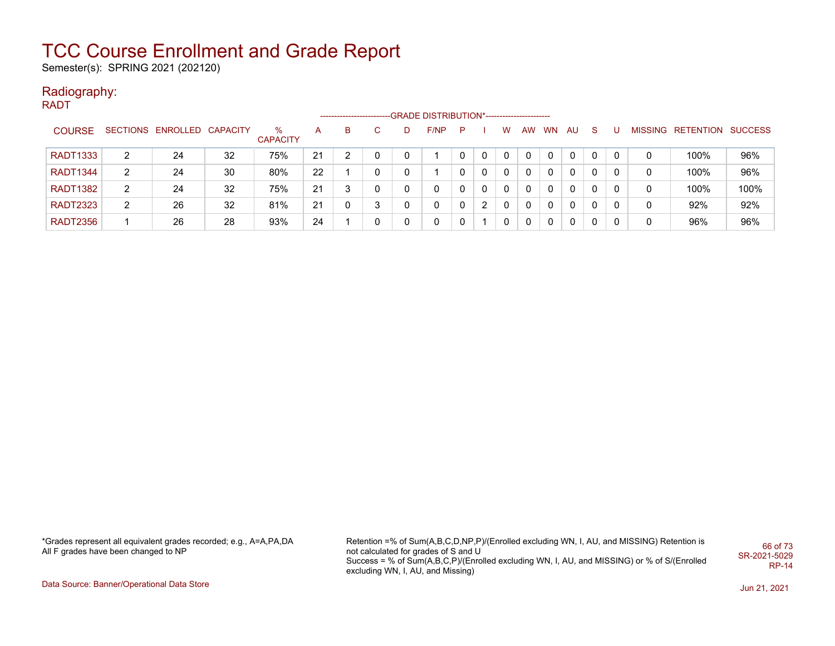Semester(s): SPRING 2021 (202120)

#### Radiography: RADT

|                 |                |                            |    |                      |    | ---------------------- |   |   | --GRADE DISTRIBUTION*----------------------- |   |                |              |              |           |              |              |   |   |                   |                |
|-----------------|----------------|----------------------------|----|----------------------|----|------------------------|---|---|----------------------------------------------|---|----------------|--------------|--------------|-----------|--------------|--------------|---|---|-------------------|----------------|
| <b>COURSE</b>   |                | SECTIONS ENROLLED CAPACITY |    | %<br><b>CAPACITY</b> | А  | в                      |   | D | F/NP                                         | P |                | W            | AW           | <b>WN</b> | AU.          | <sub>S</sub> |   |   | MISSING RETENTION | <b>SUCCESS</b> |
| <b>RADT1333</b> | 2              | 24                         | 32 | 75%                  | 21 |                        |   | 0 |                                              |   |                | 0            |              | $\Omega$  | 0            |              |   | 0 | 100%              | 96%            |
| <b>RADT1344</b> | 2              | 24                         | 30 | 80%                  | 22 |                        |   |   |                                              |   |                | $\mathbf{0}$ |              | $\Omega$  | 0            | 0            |   | 0 | 100%              | 96%            |
| <b>RADT1382</b> | 2              | 24                         | 32 | 75%                  | 21 | 2                      |   |   | 0                                            |   |                | $\Omega$     |              | $\Omega$  | $\mathbf{0}$ | 0            | 0 | 0 | 100%              | 100%           |
| <b>RADT2323</b> | $\overline{2}$ | 26                         | 32 | 81%                  | 21 |                        | 3 |   | 0                                            |   | $\overline{2}$ | $\Omega$     | 0            | $\Omega$  | $\mathbf{0}$ | 0            |   | 0 | 92%               | 92%            |
| <b>RADT2356</b> |                | 26                         | 28 | 93%                  | 24 |                        |   | 0 | 0                                            |   |                | $\mathbf{0}$ | $\mathbf{0}$ | $\Omega$  | 0            | 0            | 0 | 0 | 96%               | 96%            |

\*Grades represent all equivalent grades recorded; e.g., A=A,PA,DA All F grades have been changed to NP

Retention =% of Sum(A,B,C,D,NP,P)/(Enrolled excluding WN, I, AU, and MISSING) Retention is not calculated for grades of S and U Success = % of Sum(A,B,C,P)/(Enrolled excluding WN, I, AU, and MISSING) or % of S/(Enrolled excluding WN, I, AU, and Missing) 66 of 73 SR-2021-5029 RP-14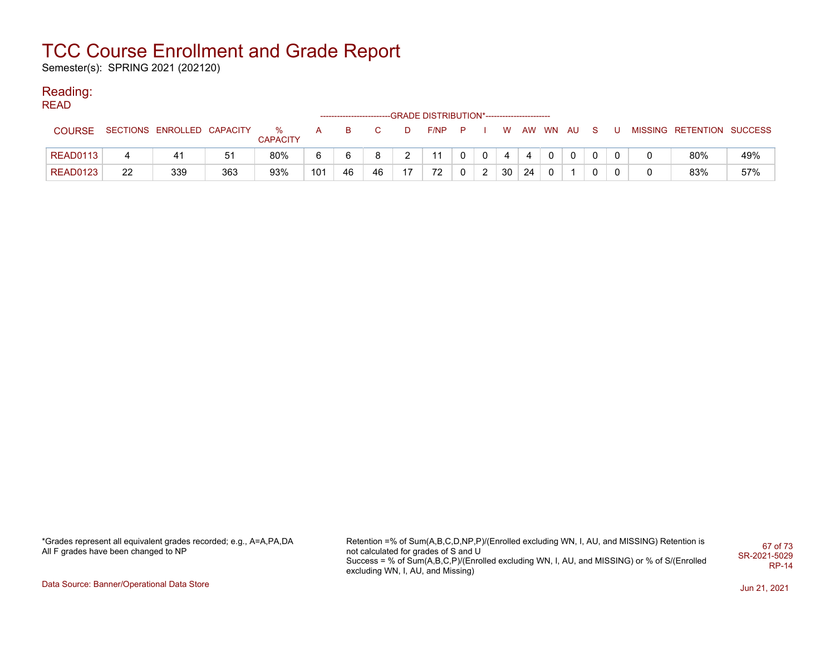Semester(s): SPRING 2021 (202120)

#### Reading: READ

| '''''           |    |                            |     |                         |              |          |    |    | ------------------------GRADE DISTRIBUTION*----------------------- |              |             |    |          |              |     |    |                           |     |
|-----------------|----|----------------------------|-----|-------------------------|--------------|----------|----|----|--------------------------------------------------------------------|--------------|-------------|----|----------|--------------|-----|----|---------------------------|-----|
| <b>COURSE</b>   |    | SECTIONS ENROLLED CAPACITY |     | $\%$<br><b>CAPACITY</b> | $\mathsf{A}$ | <b>B</b> | C. | D  | F/NP P                                                             |              | <b>W</b>    |    | AW WN AU |              | - S | -U | MISSING RETENTION SUCCESS |     |
| READ0113        |    | 41                         | 51  | 80%                     | 6.           | 6        | 8  |    |                                                                    | $\mathbf{0}$ | $\mathbf 4$ |    |          | $\mathbf{0}$ |     |    | 80%                       | 49% |
| <b>READ0123</b> | 22 | 339                        | 363 | 93%                     | 101          | 46       | 46 | 17 | 72                                                                 | 2            | 30          | 24 |          |              |     |    | 83%                       | 57% |

\*Grades represent all equivalent grades recorded; e.g., A=A,PA,DA All F grades have been changed to NP

Retention =% of Sum(A,B,C,D,NP,P)/(Enrolled excluding WN, I, AU, and MISSING) Retention is not calculated for grades of S and U Success = % of Sum(A,B,C,P)/(Enrolled excluding WN, I, AU, and MISSING) or % of S/(Enrolled excluding WN, I, AU, and Missing) 67 of 73 SR-2021-5029 RP-14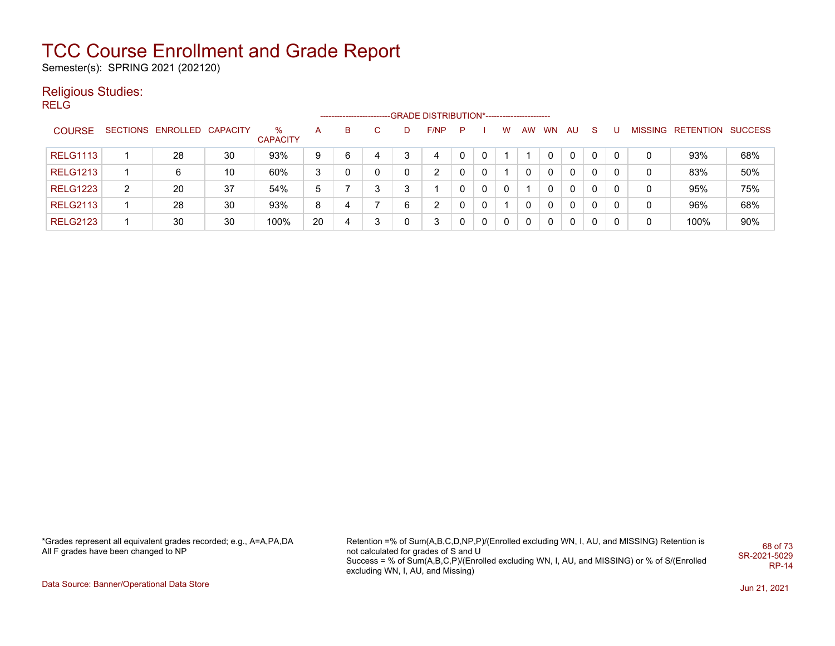Semester(s): SPRING 2021 (202120)

#### Religious Studies:

RELG

|                 |   |                            |    |                      |    | ----------------- |    |    | -GRADE DISTRIBUTION*----------------------- |   |   |   |    |           |              |    |   |   |                   |                |
|-----------------|---|----------------------------|----|----------------------|----|-------------------|----|----|---------------------------------------------|---|---|---|----|-----------|--------------|----|---|---|-------------------|----------------|
| <b>COURSE</b>   |   | SECTIONS ENROLLED CAPACITY |    | ℅<br><b>CAPACITY</b> | A  | B.                | C. | D. | F/NP                                        | P |   | w | AW | <b>WN</b> | AU           | -S | U |   | MISSING RETENTION | <b>SUCCESS</b> |
| <b>RELG1113</b> |   | 28                         | 30 | 93%                  | 9  | 6                 | 4  |    | 4                                           |   |   |   |    |           | 0            |    |   | 0 | 93%               | 68%            |
| <b>RELG1213</b> |   | 6                          | 10 | 60%                  | 3  | 0                 | 0  | 0  | 2                                           |   | 0 |   | 0  | 0         | $\Omega$     | 0  | 0 | 0 | 83%               | 50%            |
| <b>RELG1223</b> | 2 | 20                         | 37 | 54%                  | 5  |                   | 3  | 3  |                                             |   | 0 |   |    | 0         | $\Omega$     | 0  | 0 | 0 | 95%               | 75%            |
| <b>RELG2113</b> |   | 28                         | 30 | 93%                  | 8  |                   |    | 6  | 2                                           |   | 0 |   |    | 0         | $\mathbf{0}$ | 0  | 0 | 0 | 96%               | 68%            |
| <b>RELG2123</b> |   | 30                         | 30 | 100%                 | 20 |                   | 3  | 0  | 3                                           |   | 0 | 0 | 0  | 0         | 0            | 0  | 0 | 0 | 100%              | 90%            |

\*Grades represent all equivalent grades recorded; e.g., A=A,PA,DA All F grades have been changed to NP

Retention =% of Sum(A,B,C,D,NP,P)/(Enrolled excluding WN, I, AU, and MISSING) Retention is not calculated for grades of S and U Success = % of Sum(A,B,C,P)/(Enrolled excluding WN, I, AU, and MISSING) or % of S/(Enrolled excluding WN, I, AU, and Missing) 68 of 73 SR-2021-5029 RP-14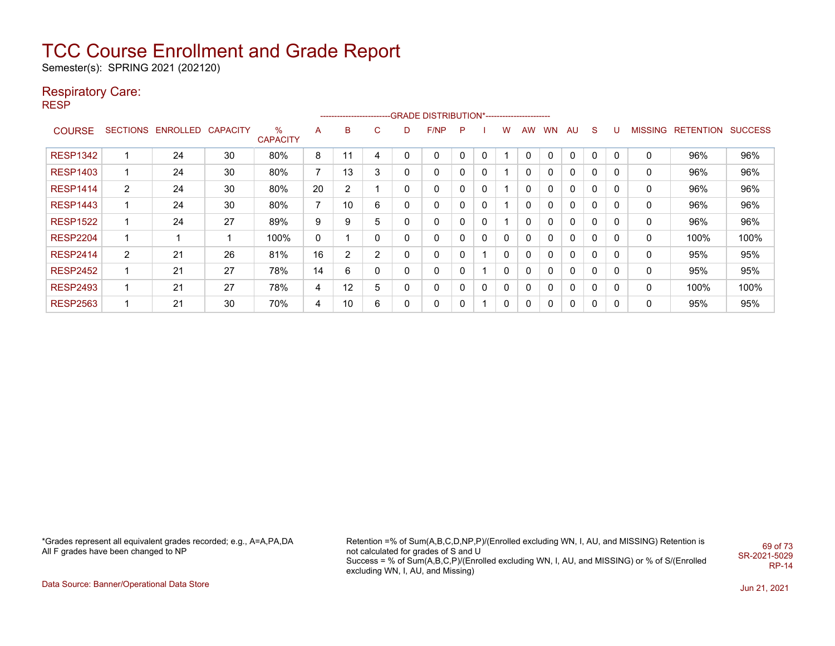Semester(s): SPRING 2021 (202120)

#### Respiratory Care:

RESP

|                 |                       |                            |    |                      |                |                 |                |   | ------------------------GRADE DISTRIBUTION*---------------------- |   |   |          |              |           |          |             |   |         |           |                |
|-----------------|-----------------------|----------------------------|----|----------------------|----------------|-----------------|----------------|---|-------------------------------------------------------------------|---|---|----------|--------------|-----------|----------|-------------|---|---------|-----------|----------------|
| <b>COURSE</b>   |                       | SECTIONS ENROLLED CAPACITY |    | ℅<br><b>CAPACITY</b> | A              | B               | С              | D | F/NP                                                              | P |   | W        | <b>AW</b>    | <b>WN</b> | AU       | S           | U | MISSING | RETENTION | <b>SUCCESS</b> |
| <b>RESP1342</b> | -1                    | 24                         | 30 | 80%                  | 8              |                 | 4              | 0 | $\Omega$                                                          | 0 | 0 |          | 0            | 0         | $\Omega$ | $\mathbf 0$ | 0 | 0       | 96%       | 96%            |
| <b>RESP1403</b> | 1                     | 24                         | 30 | 80%                  | $\overline{7}$ | 13              | 3              | 0 | 0                                                                 | 0 | 0 |          | 0            | 0         | 0        | $\Omega$    | 0 | 0       | 96%       | 96%            |
| <b>RESP1414</b> | $\mathbf{2}^{\prime}$ | 24                         | 30 | 80%                  | 20             | 2               |                | 0 | 0                                                                 | 0 | 0 |          | $\Omega$     | 0         | 0        | $\Omega$    | 0 | 0       | 96%       | 96%            |
| <b>RESP1443</b> | 1                     | 24                         | 30 | 80%                  | $\overline{7}$ | 10 <sup>°</sup> | 6              | 0 | 0                                                                 | 0 | 0 |          | $\mathbf{0}$ | 0         | 0        | $\Omega$    | 0 | 0       | 96%       | 96%            |
| <b>RESP1522</b> | 1                     | 24                         | 27 | 89%                  | 9              | 9               | 5              | 0 | 0                                                                 | 0 | 0 |          | 0            | 0         | 0        | $\Omega$    | 0 | 0       | 96%       | 96%            |
| <b>RESP2204</b> | 1                     |                            |    | 100%                 | 0              |                 | 0              | 0 | 0                                                                 |   | 0 | $\Omega$ | $\mathbf{0}$ | 0         | 0        | $\Omega$    | 0 | 0       | 100%      | 100%           |
| <b>RESP2414</b> | 2                     | 21                         | 26 | 81%                  | 16             | $\overline{2}$  | $\overline{2}$ | 0 | 0                                                                 |   |   | $\Omega$ | $\mathbf{0}$ | 0         | 0        | $\Omega$    | 0 | 0       | 95%       | 95%            |
| <b>RESP2452</b> | 1                     | 21                         | 27 | 78%                  | 14             | 6               | 0              | 0 | 0                                                                 | 0 |   | 0        | 0            | 0         | 0        | 0           | 0 | 0       | 95%       | 95%            |
| <b>RESP2493</b> | 1                     | 21                         | 27 | 78%                  | 4              | 12              | 5              | 0 | 0                                                                 | 0 | 0 | 0        | 0            | 0         | 0        | 0           | 0 | 0       | 100%      | 100%           |
| <b>RESP2563</b> | 1                     | 21                         | 30 | 70%                  | $\overline{4}$ | 10              | 6              | 0 | 0                                                                 |   |   | $\Omega$ | 0            | 0         | 0        | 0           | 0 | 0       | 95%       | 95%            |

\*Grades represent all equivalent grades recorded; e.g., A=A,PA,DA All F grades have been changed to NP

Retention =% of Sum(A,B,C,D,NP,P)/(Enrolled excluding WN, I, AU, and MISSING) Retention is not calculated for grades of S and U Success = % of Sum(A,B,C,P)/(Enrolled excluding WN, I, AU, and MISSING) or % of S/(Enrolled excluding WN, I, AU, and Missing) 69 of 73 SR-2021-5029 RP-14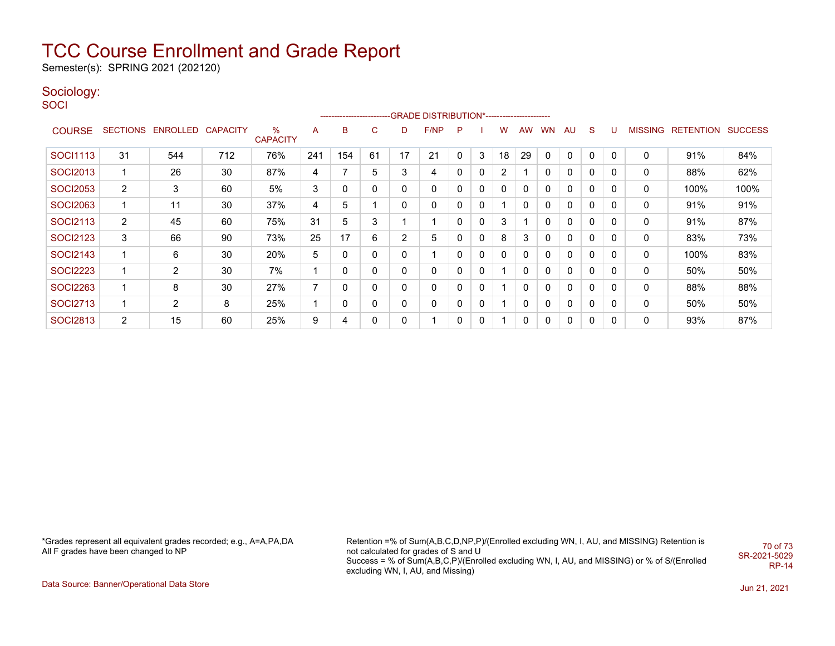Semester(s): SPRING 2021 (202120)

#### Sociology:

**SOCI** 

|                 |                 |                |          |                      |     |     |    |    | -------------------------GRADE DISTRIBUTION*---------------------- |    |   |              |              |           |    |              |             |                |           |                |
|-----------------|-----------------|----------------|----------|----------------------|-----|-----|----|----|--------------------------------------------------------------------|----|---|--------------|--------------|-----------|----|--------------|-------------|----------------|-----------|----------------|
| <b>COURSE</b>   | <b>SECTIONS</b> | ENROLLED       | CAPACITY | %<br><b>CAPACITY</b> | A   | в   | С  | D  | F/NP                                                               | -P |   | W            | AW           | <b>WN</b> | AU | S            | U           | <b>MISSING</b> | RETENTION | <b>SUCCESS</b> |
| <b>SOCI1113</b> | 31              | 544            | 712      | 76%                  | 241 | 154 | 61 | 17 | 21                                                                 | 0  | 3 | 18           | 29           | 0         | 0  | 0            | 0           | 0              | 91%       | 84%            |
| <b>SOCI2013</b> | $\mathbf 1$     | 26             | 30       | 87%                  | 4   |     | 5  | 3  | 4                                                                  | 0  | 0 | 2            |              | 0         | 0  | 0            | 0           | 0              | 88%       | 62%            |
| <b>SOCI2053</b> | $\overline{2}$  | 3              | 60       | 5%                   | 3   | 0   | 0  | 0  | 0                                                                  | 0  | 0 | $\mathbf{0}$ | 0            | 0         | 0  | $\Omega$     | $\mathbf 0$ | 0              | 100%      | 100%           |
| <b>SOCI2063</b> |                 | 11             | 30       | 37%                  | 4   | 5   |    | 0  | 0                                                                  | 0  | 0 |              | $\mathbf{0}$ | 0         | 0  | 0            | 0           | 0              | 91%       | 91%            |
| <b>SOCI2113</b> | $\overline{2}$  | 45             | 60       | 75%                  | 31  | 5   | 3  |    |                                                                    | 0  | 0 | 3            |              | 0         | 0  | 0            | 0           | 0              | 91%       | 87%            |
| SOCI2123        | 3               | 66             | 90       | 73%                  | 25  | 17  | 6  | 2  | 5                                                                  | 0  | 0 | 8            | 3            | 0         | 0  | 0            | 0           | 0              | 83%       | 73%            |
| <b>SOCI2143</b> | 1               | 6              | 30       | 20%                  | 5   |     | 0  | 0  |                                                                    | 0  | 0 | $\mathbf{0}$ | 0            | 0         | 0  | 0            | 0           | 0              | 100%      | 83%            |
| <b>SOCI2223</b> | 1               | $\overline{2}$ | 30       | 7%                   |     |     | 0  | 0  | 0                                                                  | 0  | 0 |              | $\mathbf{0}$ | 0         | 0  | $\mathbf{0}$ | 0           | 0              | 50%       | 50%            |
| <b>SOCI2263</b> |                 | 8              | 30       | 27%                  |     |     | 0  | 0  | 0                                                                  | 0  | 0 |              | 0            | 0         | 0  | 0            | 0           | 0              | 88%       | 88%            |
| <b>SOCI2713</b> | 1               | 2              | 8        | 25%                  |     |     | 0  | 0  | 0                                                                  | 0  | 0 |              | $\mathbf{0}$ | 0         | 0  | $\Omega$     | 0           | 0              | 50%       | 50%            |
| <b>SOCI2813</b> | $\overline{2}$  | 15             | 60       | 25%                  | 9   | 4   | 0  | 0  |                                                                    | 0  | 0 |              | 0            | 0         | 0  | 0            | 0           | 0              | 93%       | 87%            |

\*Grades represent all equivalent grades recorded; e.g., A=A,PA,DA All F grades have been changed to NP

Retention =% of Sum(A,B,C,D,NP,P)/(Enrolled excluding WN, I, AU, and MISSING) Retention is not calculated for grades of S and U Success = % of Sum(A,B,C,P)/(Enrolled excluding WN, I, AU, and MISSING) or % of S/(Enrolled excluding WN, I, AU, and Missing) 70 of 73 SR-2021-5029 RP-14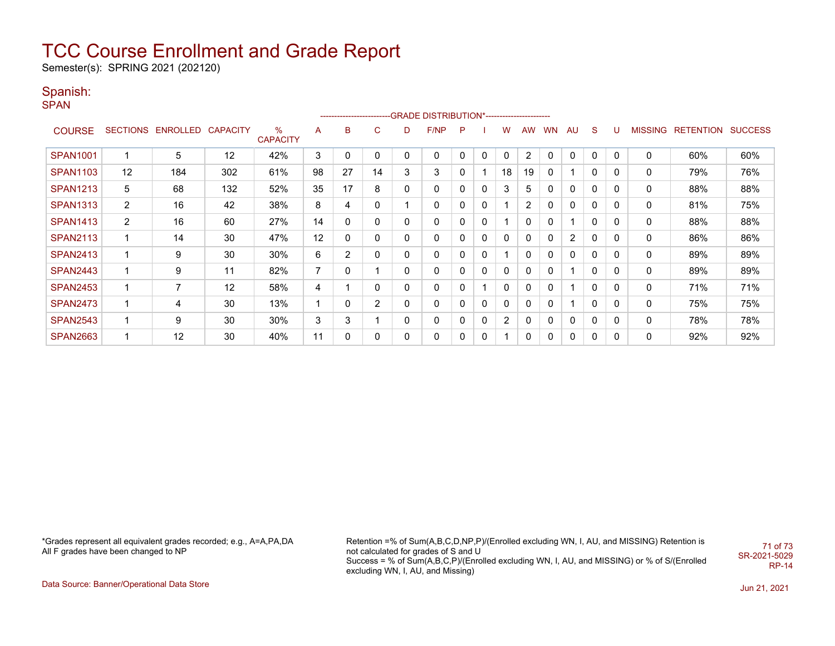Semester(s): SPRING 2021 (202120)

### Spanish:

**SPAN** 

|                 |                |                            |     |                      |    |                |                |   | ------------------------GRADE                DISTRIBUTION*---------------------- |              |              |              |           |           |                |          |          |                |                  |                |
|-----------------|----------------|----------------------------|-----|----------------------|----|----------------|----------------|---|----------------------------------------------------------------------------------|--------------|--------------|--------------|-----------|-----------|----------------|----------|----------|----------------|------------------|----------------|
| <b>COURSE</b>   |                | SECTIONS ENROLLED CAPACITY |     | %<br><b>CAPACITY</b> | A  | B              | С              | D | F/NP                                                                             | P            |              | w            | <b>AW</b> | <b>WN</b> | AU             | S        | υ        | <b>MISSING</b> | <b>RETENTION</b> | <b>SUCCESS</b> |
| <b>SPAN1001</b> |                | 5                          | 12  | 42%                  | 3  | 0              | 0              | 0 | $\mathbf 0$                                                                      | $\Omega$     | $\mathbf{0}$ | $\mathbf{0}$ | 2         | $\Omega$  | $\Omega$       | 0        | 0        | 0              | 60%              | 60%            |
| <b>SPAN1103</b> | 12             | 184                        | 302 | 61%                  | 98 | 27             | 14             | 3 | 3                                                                                |              |              | 18           | 19        |           |                | 0        | 0        | 0              | 79%              | 76%            |
| <b>SPAN1213</b> | 5              | 68                         | 132 | 52%                  | 35 | 17             | 8              | 0 | 0                                                                                | 0            | 0            | 3            | 5         |           | 0              | 0        | 0        | 0              | 88%              | 88%            |
| <b>SPAN1313</b> | $\overline{2}$ | 16                         | 42  | 38%                  | 8  | 4              | 0              |   | 0                                                                                | 0            | $\mathbf{0}$ |              | 2         | $\Omega$  | $\mathbf{0}$   | 0        | 0        | 0              | 81%              | 75%            |
| <b>SPAN1413</b> | $\overline{2}$ | 16                         | 60  | 27%                  | 14 | 0              | 0              | 0 | 0                                                                                | 0            | $\mathbf{0}$ |              | 0         | 0         |                | $\Omega$ | 0        | 0              | 88%              | 88%            |
| <b>SPAN2113</b> | 1              | 14                         | 30  | 47%                  | 12 | 0              | 0              | 0 | 0                                                                                | 0            | 0            | $\mathbf{0}$ | 0         |           | $\overline{2}$ | $\Omega$ | 0        | 0              | 86%              | 86%            |
| <b>SPAN2413</b> | 1              | 9                          | 30  | 30%                  | 6  | $\overline{2}$ | 0              | 0 | $\mathbf 0$                                                                      | 0            | $\mathbf{0}$ |              | 0         |           | $\mathbf{0}$   | $\Omega$ | 0        | 0              | 89%              | 89%            |
| <b>SPAN2443</b> | $\mathbf 1$    | 9                          | 11  | 82%                  | 7  | 0              |                | 0 | 0                                                                                | 0            | 0            | $\mathbf{0}$ | $\Omega$  | 0         |                | 0        | 0        | 0              | 89%              | 89%            |
| <b>SPAN2453</b> | 1              | 7                          | 12  | 58%                  | 4  |                | $\Omega$       | 0 | 0                                                                                |              | 1            | $\mathbf{0}$ | 0         |           |                | $\Omega$ | $\Omega$ | 0              | 71%              | 71%            |
| <b>SPAN2473</b> | $\mathbf 1$    | 4                          | 30  | 13%                  | 1  | 0              | $\overline{2}$ | 0 | 0                                                                                | $\mathbf{0}$ | $\mathbf{0}$ | $\mathbf{0}$ | 0         | 0         |                | $\Omega$ | 0        | 0              | 75%              | 75%            |
| <b>SPAN2543</b> | 1              | 9                          | 30  | 30%                  | 3  | 3              |                | 0 | 0                                                                                | 0            | $\mathbf{0}$ | 2            | 0         | 0         | 0              | 0        | 0        | 0              | 78%              | 78%            |
| <b>SPAN2663</b> | $\mathbf 1$    | 12                         | 30  | 40%                  | 11 | 0              | 0              | 0 | 0                                                                                |              | $\mathbf{0}$ |              | 0         |           | $\mathbf{0}$   | 0        | 0        | 0              | 92%              | 92%            |

\*Grades represent all equivalent grades recorded; e.g., A=A,PA,DA All F grades have been changed to NP

Retention =% of Sum(A,B,C,D,NP,P)/(Enrolled excluding WN, I, AU, and MISSING) Retention is not calculated for grades of S and U Success = % of Sum(A,B,C,P)/(Enrolled excluding WN, I, AU, and MISSING) or % of S/(Enrolled excluding WN, I, AU, and Missing) 71 of 73 SR-2021-5029 RP-14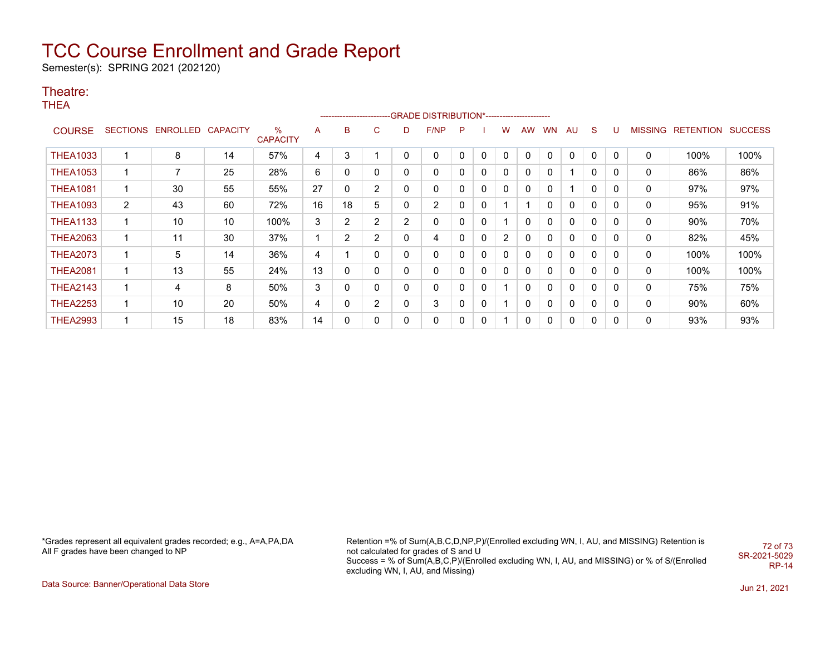Semester(s): SPRING 2021 (202120)

#### Theatre:

THEA

|                 |                 |          |                 |                      |    |                |                |              | -------------------------GRADE DISTRIBUTION*---------------------- |   |              |                |             |           |              |              |             |                |           |                |
|-----------------|-----------------|----------|-----------------|----------------------|----|----------------|----------------|--------------|--------------------------------------------------------------------|---|--------------|----------------|-------------|-----------|--------------|--------------|-------------|----------------|-----------|----------------|
| <b>COURSE</b>   | <b>SECTIONS</b> | ENROLLED | <b>CAPACITY</b> | %<br><b>CAPACITY</b> | A  | B              | C              | D            | F/NP                                                               | P |              | w              | AW          | <b>WN</b> | <b>AU</b>    | S.           | υ           | <b>MISSING</b> | RETENTION | <b>SUCCESS</b> |
| <b>THEA1033</b> |                 | 8        | 14              | 57%                  | 4  | 3              |                | 0            | 0                                                                  | 0 | 0            |                | 0           |           | 0            | 0            | 0           | 0              | 100%      | 100%           |
| <b>THEA1053</b> | 1               | 7        | 25              | 28%                  | 6  | 0              | 0              | 0            | 0                                                                  | 0 | 0            | 0              | 0           | 0         |              | 0            | 0           | 0              | 86%       | 86%            |
| <b>THEA1081</b> | 1               | 30       | 55              | 55%                  | 27 | $\mathbf{0}$   | $\overline{2}$ | 0            | 0                                                                  | 0 | $\mathbf{0}$ | $\mathbf{0}$   | $\mathbf 0$ | 0         |              | $\mathbf{0}$ | $\mathbf 0$ | 0              | 97%       | 97%            |
| <b>THEA1093</b> | 2               | 43       | 60              | 72%                  | 16 | 18             | 5              | 0            | $\overline{2}$                                                     | 0 | $\mathbf{0}$ |                |             | 0         | 0            | 0            | 0           | 0              | 95%       | 91%            |
| <b>THEA1133</b> | 1               | 10       | 10              | 100%                 | 3  | 2              | $\overline{2}$ | 2            | 0                                                                  | 0 | 0            |                | 0           | 0         | 0            | 0            | 0           | 0              | 90%       | 70%            |
| <b>THEA2063</b> | 1               | 11       | 30              | 37%                  |    | $\overline{2}$ | $\overline{2}$ | 0            | 4                                                                  | 0 | 0            | $\overline{2}$ | 0           | 0         | 0            | 0            | 0           | 0              | 82%       | 45%            |
| <b>THEA2073</b> | 1               | 5        | 14              | 36%                  | 4  |                | 0              | 0            | 0                                                                  | 0 | 0            | 0              | 0           | 0         | 0            | 0            | 0           | 0              | 100%      | 100%           |
| <b>THEA2081</b> | 1               | 13       | 55              | 24%                  | 13 | $\mathbf{0}$   | 0              | 0            | 0                                                                  | 0 | $\mathbf{0}$ | 0              | $\Omega$    | 0         | $\mathbf{0}$ | 0            | 0           | 0              | 100%      | 100%           |
| <b>THEA2143</b> | 1               | 4        | 8               | 50%                  | 3  | $\mathbf{0}$   | 0              | $\mathbf{0}$ | 0                                                                  | 0 | $\mathbf{0}$ |                | 0           | 0         | $\mathbf{0}$ | $\mathbf{0}$ | $\mathbf 0$ | 0              | 75%       | 75%            |
| <b>THEA2253</b> | 1               | 10       | 20              | 50%                  | 4  | $\mathbf{0}$   | $\overline{2}$ | 0            | 3                                                                  | 0 | $\mathbf{0}$ |                | 0           | 0         | 0            | 0            | 0           | 0              | 90%       | 60%            |
| <b>THEA2993</b> | 1               | 15       | 18              | 83%                  | 14 | 0              | 0              | 0            | 0                                                                  | 0 | $\mathbf{0}$ |                | 0           | 0         | 0            | 0            | 0           | 0              | 93%       | 93%            |

\*Grades represent all equivalent grades recorded; e.g., A=A,PA,DA All F grades have been changed to NP

Retention =% of Sum(A,B,C,D,NP,P)/(Enrolled excluding WN, I, AU, and MISSING) Retention is not calculated for grades of S and U Success = % of Sum(A,B,C,P)/(Enrolled excluding WN, I, AU, and MISSING) or % of S/(Enrolled excluding WN, I, AU, and Missing) 72 of 73 SR-2021-5029 RP-14